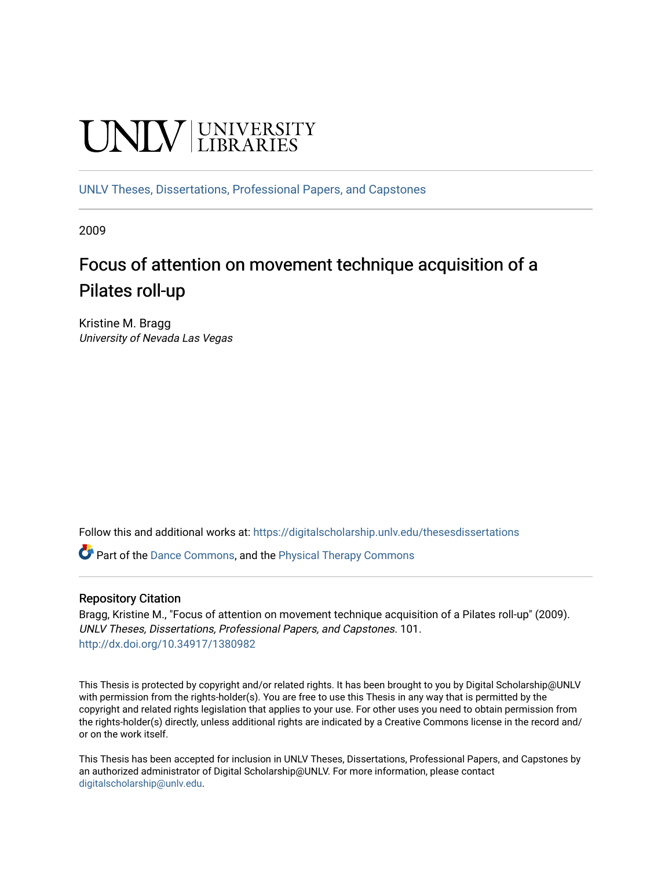# **UNIVERSITY**

[UNLV Theses, Dissertations, Professional Papers, and Capstones](https://digitalscholarship.unlv.edu/thesesdissertations)

2009

# Focus of attention on movement technique acquisition of a Pilates roll-up

Kristine M. Bragg University of Nevada Las Vegas

Follow this and additional works at: [https://digitalscholarship.unlv.edu/thesesdissertations](https://digitalscholarship.unlv.edu/thesesdissertations?utm_source=digitalscholarship.unlv.edu%2Fthesesdissertations%2F101&utm_medium=PDF&utm_campaign=PDFCoverPages)

Part of the [Dance Commons,](http://network.bepress.com/hgg/discipline/554?utm_source=digitalscholarship.unlv.edu%2Fthesesdissertations%2F101&utm_medium=PDF&utm_campaign=PDFCoverPages) and the [Physical Therapy Commons](http://network.bepress.com/hgg/discipline/754?utm_source=digitalscholarship.unlv.edu%2Fthesesdissertations%2F101&utm_medium=PDF&utm_campaign=PDFCoverPages) 

## Repository Citation

Bragg, Kristine M., "Focus of attention on movement technique acquisition of a Pilates roll-up" (2009). UNLV Theses, Dissertations, Professional Papers, and Capstones. 101. <http://dx.doi.org/10.34917/1380982>

This Thesis is protected by copyright and/or related rights. It has been brought to you by Digital Scholarship@UNLV with permission from the rights-holder(s). You are free to use this Thesis in any way that is permitted by the copyright and related rights legislation that applies to your use. For other uses you need to obtain permission from the rights-holder(s) directly, unless additional rights are indicated by a Creative Commons license in the record and/ or on the work itself.

This Thesis has been accepted for inclusion in UNLV Theses, Dissertations, Professional Papers, and Capstones by an authorized administrator of Digital Scholarship@UNLV. For more information, please contact [digitalscholarship@unlv.edu](mailto:digitalscholarship@unlv.edu).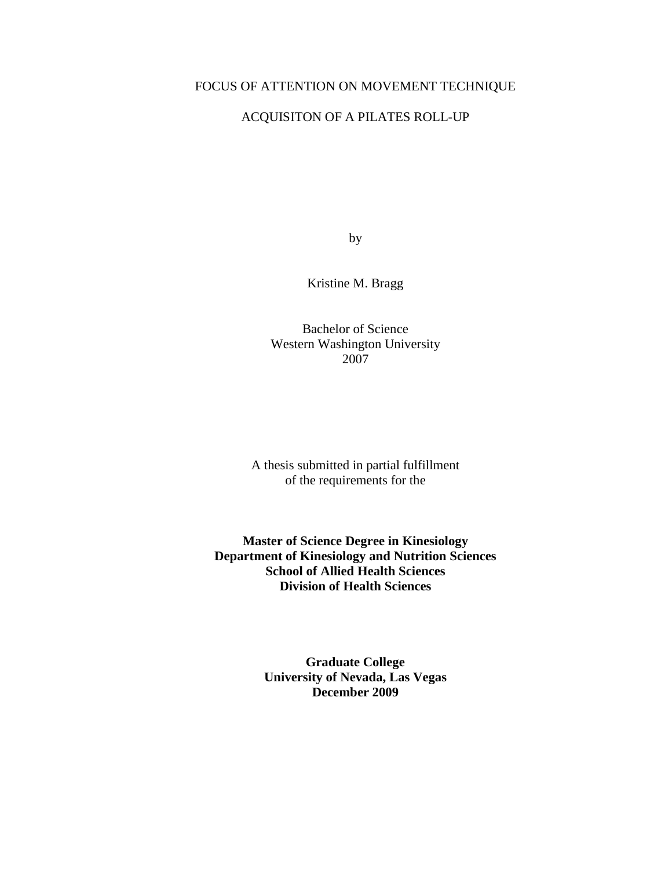# FOCUS OF ATTENTION ON MOVEMENT TECHNIQUE

# ACQUISITON OF A PILATES ROLL-UP

by

Kristine M. Bragg

Bachelor of Science Western Washington University 2007

A thesis submitted in partial fulfillment of the requirements for the

**Master of Science Degree in Kinesiology Department of Kinesiology and Nutrition Sciences School of Allied Health Sciences Division of Health Sciences** 

> **Graduate College University of Nevada, Las Vegas December 2009**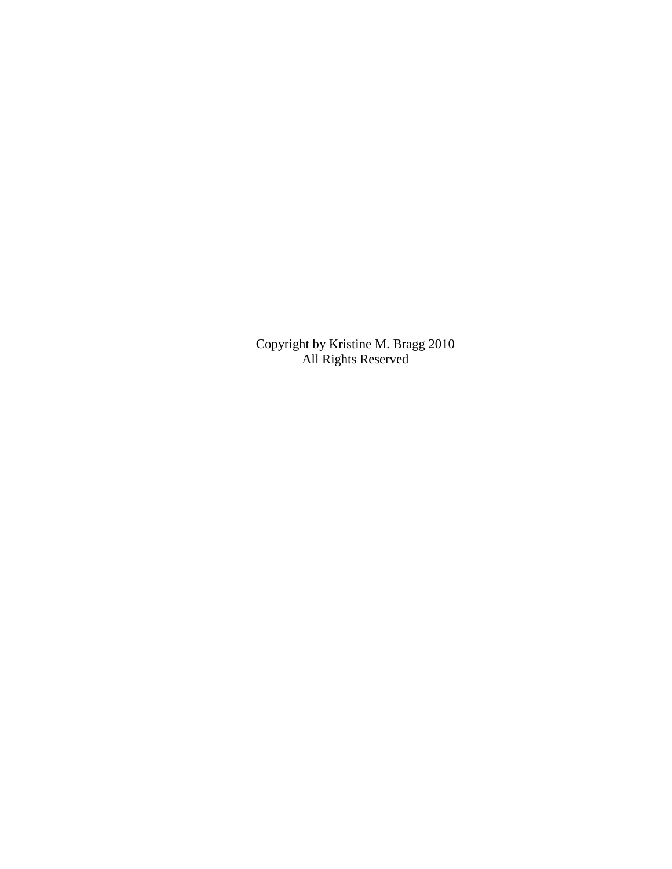Copyright by Kristine M. Bragg 2010 All Rights Reserved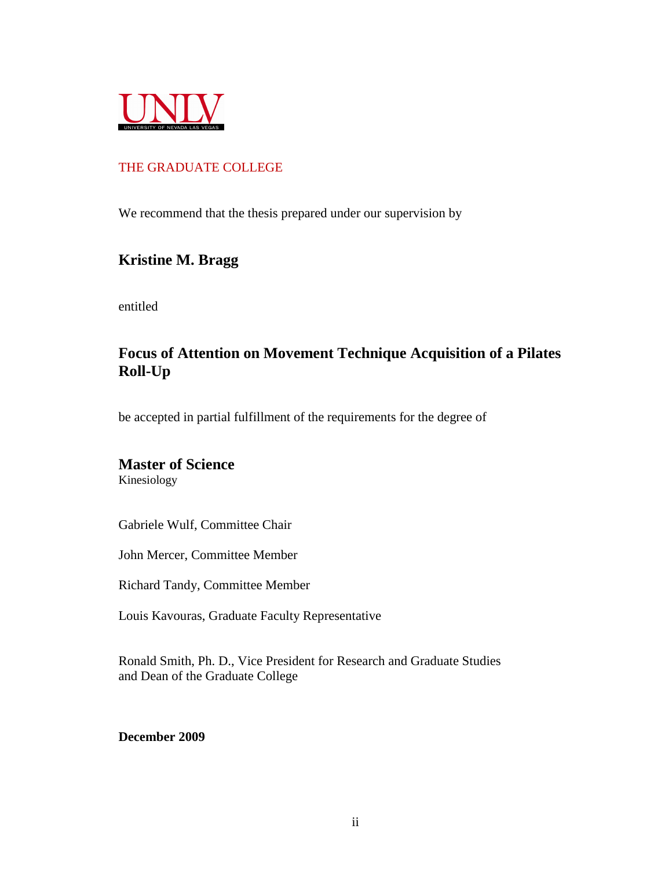

# THE GRADUATE COLLEGE

We recommend that the thesis prepared under our supervision by

# **Kristine M. Bragg**

entitled

# **Focus of Attention on Movement Technique Acquisition of a Pilates Roll-Up**

be accepted in partial fulfillment of the requirements for the degree of

# **Master of Science**

Kinesiology

Gabriele Wulf, Committee Chair

John Mercer, Committee Member

Richard Tandy, Committee Member

Louis Kavouras, Graduate Faculty Representative

Ronald Smith, Ph. D., Vice President for Research and Graduate Studies and Dean of the Graduate College

**December 2009**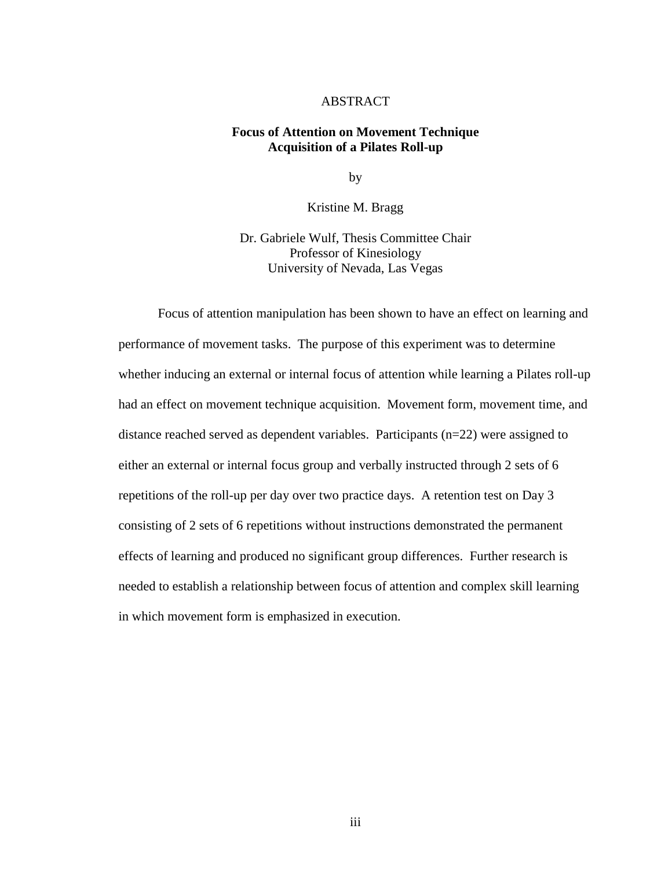## ABSTRACT

## **Focus of Attention on Movement Technique Acquisition of a Pilates Roll-up**

by

Kristine M. Bragg

Dr. Gabriele Wulf, Thesis Committee Chair Professor of Kinesiology University of Nevada, Las Vegas

 Focus of attention manipulation has been shown to have an effect on learning and performance of movement tasks. The purpose of this experiment was to determine whether inducing an external or internal focus of attention while learning a Pilates roll-up had an effect on movement technique acquisition. Movement form, movement time, and distance reached served as dependent variables. Participants  $(n=22)$  were assigned to either an external or internal focus group and verbally instructed through 2 sets of 6 repetitions of the roll-up per day over two practice days. A retention test on Day 3 consisting of 2 sets of 6 repetitions without instructions demonstrated the permanent effects of learning and produced no significant group differences. Further research is needed to establish a relationship between focus of attention and complex skill learning in which movement form is emphasized in execution.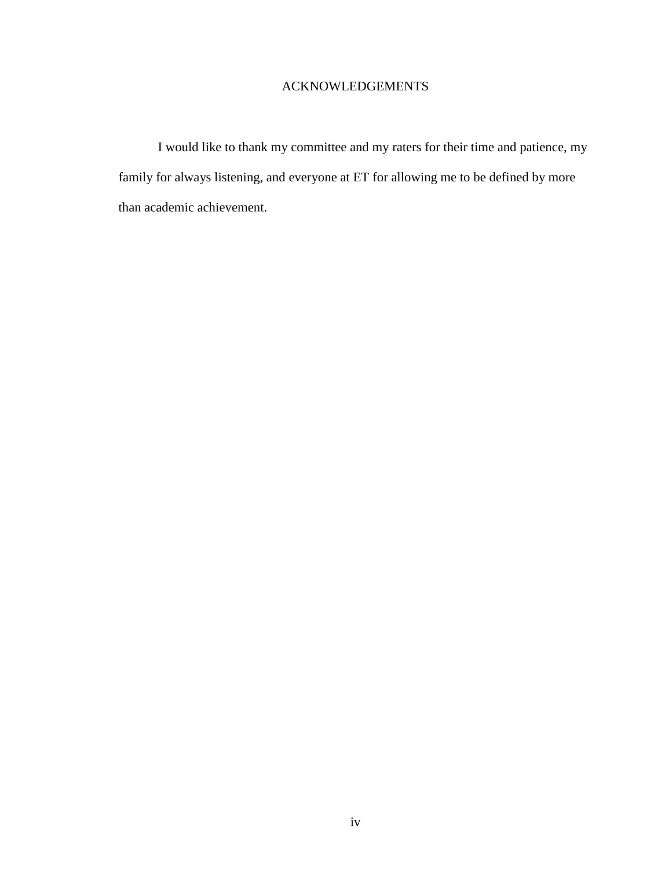# ACKNOWLEDGEMENTS

 I would like to thank my committee and my raters for their time and patience, my family for always listening, and everyone at ET for allowing me to be defined by more than academic achievement.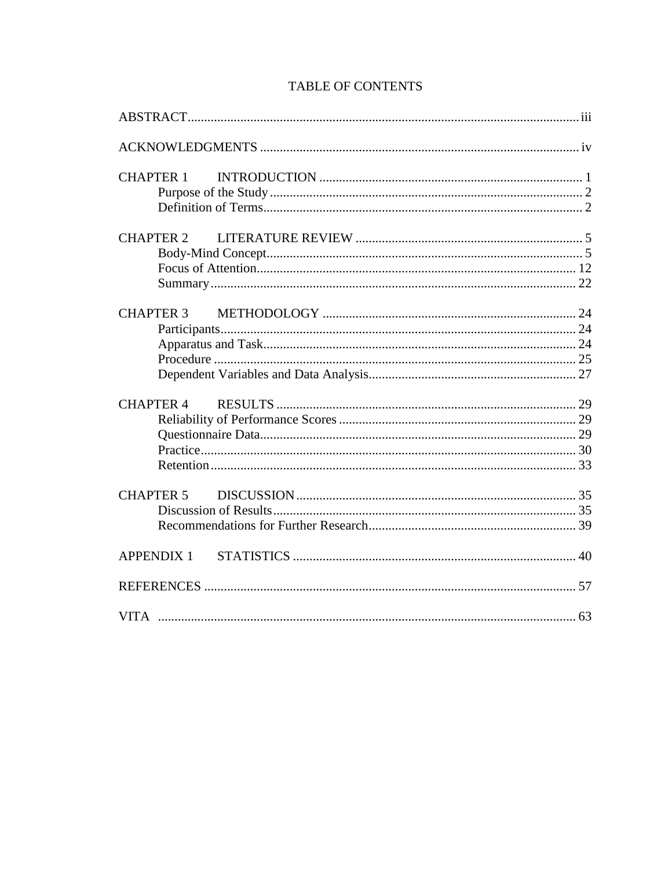| <b>CHAPTER 1</b>  |  |
|-------------------|--|
|                   |  |
|                   |  |
| <b>CHAPTER 2</b>  |  |
|                   |  |
|                   |  |
|                   |  |
|                   |  |
|                   |  |
|                   |  |
|                   |  |
|                   |  |
|                   |  |
| <b>CHAPTER 4</b>  |  |
|                   |  |
|                   |  |
|                   |  |
|                   |  |
| <b>CHAPTER 5</b>  |  |
|                   |  |
|                   |  |
|                   |  |
| <b>APPENDIX 1</b> |  |
|                   |  |
|                   |  |

# **TABLE OF CONTENTS**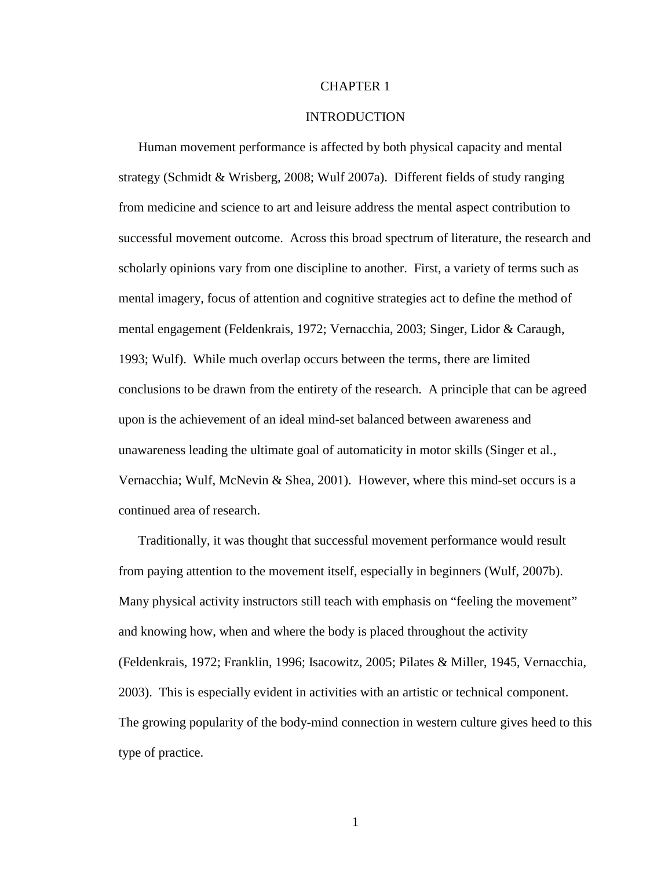## CHAPTER 1

#### INTRODUCTION

Human movement performance is affected by both physical capacity and mental strategy (Schmidt & Wrisberg, 2008; Wulf 2007a). Different fields of study ranging from medicine and science to art and leisure address the mental aspect contribution to successful movement outcome. Across this broad spectrum of literature, the research and scholarly opinions vary from one discipline to another. First, a variety of terms such as mental imagery, focus of attention and cognitive strategies act to define the method of mental engagement (Feldenkrais, 1972; Vernacchia, 2003; Singer, Lidor & Caraugh, 1993; Wulf). While much overlap occurs between the terms, there are limited conclusions to be drawn from the entirety of the research. A principle that can be agreed upon is the achievement of an ideal mind-set balanced between awareness and unawareness leading the ultimate goal of automaticity in motor skills (Singer et al., Vernacchia; Wulf, McNevin & Shea, 2001). However, where this mind-set occurs is a continued area of research.

Traditionally, it was thought that successful movement performance would result from paying attention to the movement itself, especially in beginners (Wulf, 2007b). Many physical activity instructors still teach with emphasis on "feeling the movement" and knowing how, when and where the body is placed throughout the activity (Feldenkrais, 1972; Franklin, 1996; Isacowitz, 2005; Pilates & Miller, 1945, Vernacchia, 2003). This is especially evident in activities with an artistic or technical component. The growing popularity of the body-mind connection in western culture gives heed to this type of practice.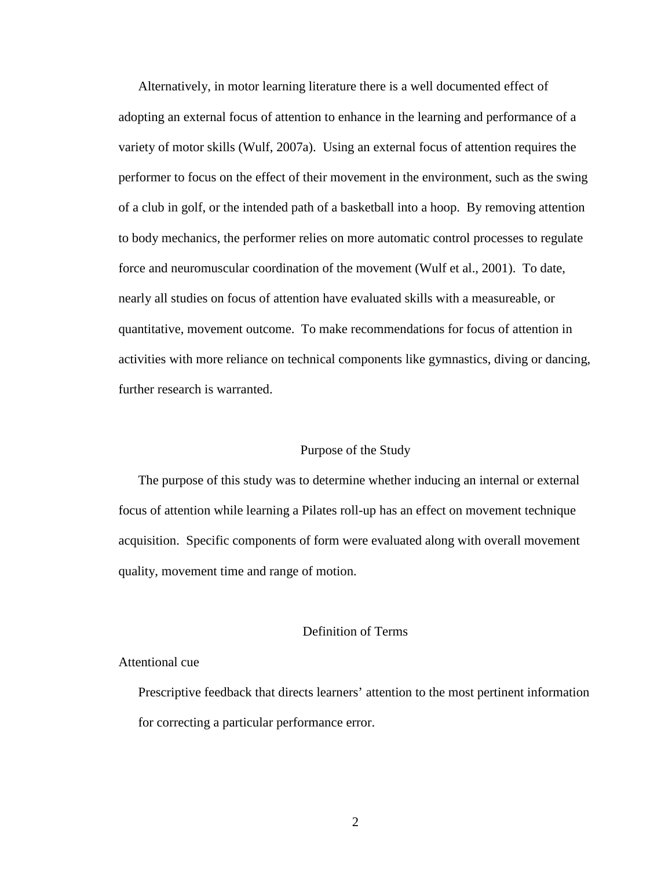Alternatively, in motor learning literature there is a well documented effect of adopting an external focus of attention to enhance in the learning and performance of a variety of motor skills (Wulf, 2007a). Using an external focus of attention requires the performer to focus on the effect of their movement in the environment, such as the swing of a club in golf, or the intended path of a basketball into a hoop. By removing attention to body mechanics, the performer relies on more automatic control processes to regulate force and neuromuscular coordination of the movement (Wulf et al., 2001). To date, nearly all studies on focus of attention have evaluated skills with a measureable, or quantitative, movement outcome. To make recommendations for focus of attention in activities with more reliance on technical components like gymnastics, diving or dancing, further research is warranted.

## Purpose of the Study

The purpose of this study was to determine whether inducing an internal or external focus of attention while learning a Pilates roll-up has an effect on movement technique acquisition. Specific components of form were evaluated along with overall movement quality, movement time and range of motion.

# Definition of Terms

## Attentional cue

 Prescriptive feedback that directs learners' attention to the most pertinent information for correcting a particular performance error.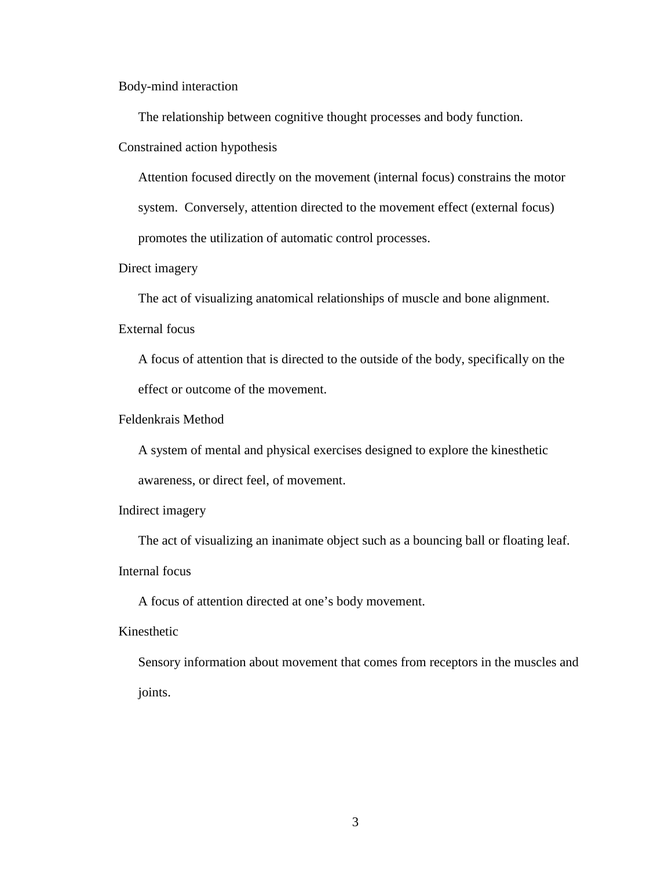Body-mind interaction

The relationship between cognitive thought processes and body function.

Constrained action hypothesis

 Attention focused directly on the movement (internal focus) constrains the motor system. Conversely, attention directed to the movement effect (external focus) promotes the utilization of automatic control processes.

## Direct imagery

The act of visualizing anatomical relationships of muscle and bone alignment.

# External focus

 A focus of attention that is directed to the outside of the body, specifically on the effect or outcome of the movement.

## Feldenkrais Method

 A system of mental and physical exercises designed to explore the kinesthetic awareness, or direct feel, of movement.

# Indirect imagery

The act of visualizing an inanimate object such as a bouncing ball or floating leaf.

# Internal focus

A focus of attention directed at one's body movement.

# Kinesthetic

 Sensory information about movement that comes from receptors in the muscles and joints.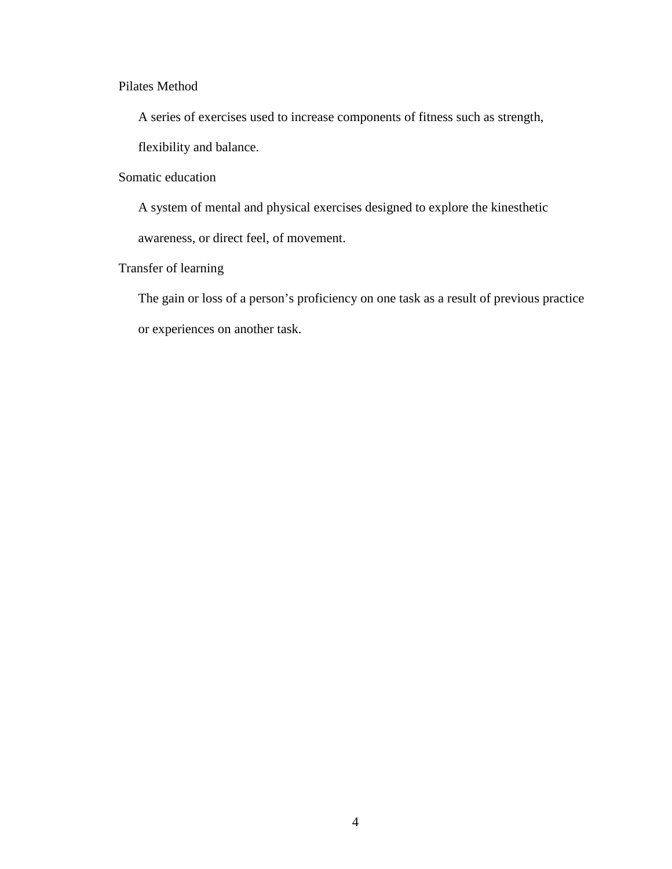# Pilates Method

A series of exercises used to increase components of fitness such as strength,

flexibility and balance.

# Somatic education

 A system of mental and physical exercises designed to explore the kinesthetic awareness, or direct feel, of movement.

# Transfer of learning

 The gain or loss of a person's proficiency on one task as a result of previous practice or experiences on another task.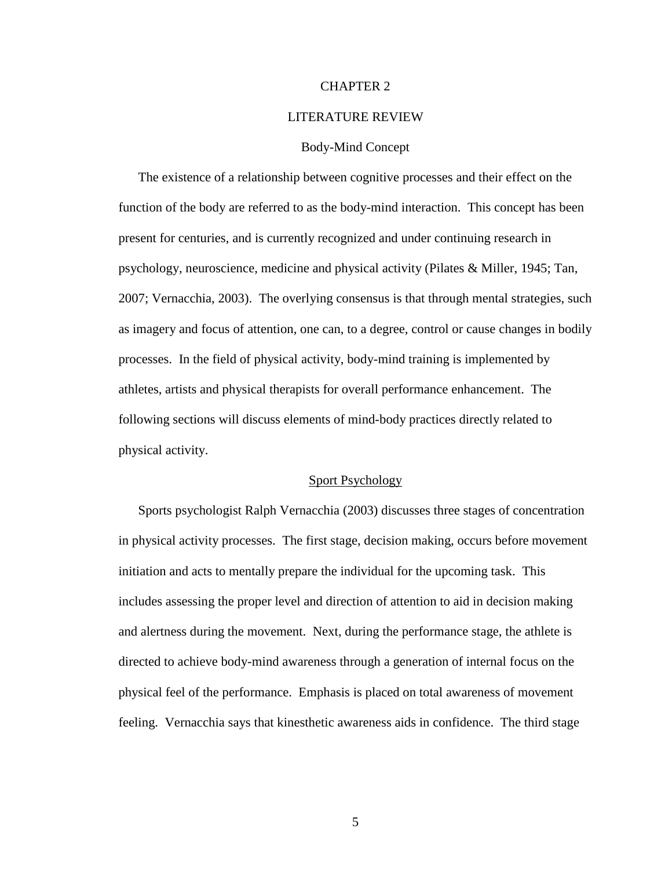## CHAPTER 2

#### LITERATURE REVIEW

#### Body-Mind Concept

The existence of a relationship between cognitive processes and their effect on the function of the body are referred to as the body-mind interaction. This concept has been present for centuries, and is currently recognized and under continuing research in psychology, neuroscience, medicine and physical activity (Pilates & Miller, 1945; Tan, 2007; Vernacchia, 2003). The overlying consensus is that through mental strategies, such as imagery and focus of attention, one can, to a degree, control or cause changes in bodily processes. In the field of physical activity, body-mind training is implemented by athletes, artists and physical therapists for overall performance enhancement. The following sections will discuss elements of mind-body practices directly related to physical activity.

#### Sport Psychology

Sports psychologist Ralph Vernacchia (2003) discusses three stages of concentration in physical activity processes. The first stage, decision making, occurs before movement initiation and acts to mentally prepare the individual for the upcoming task. This includes assessing the proper level and direction of attention to aid in decision making and alertness during the movement. Next, during the performance stage, the athlete is directed to achieve body-mind awareness through a generation of internal focus on the physical feel of the performance. Emphasis is placed on total awareness of movement feeling. Vernacchia says that kinesthetic awareness aids in confidence. The third stage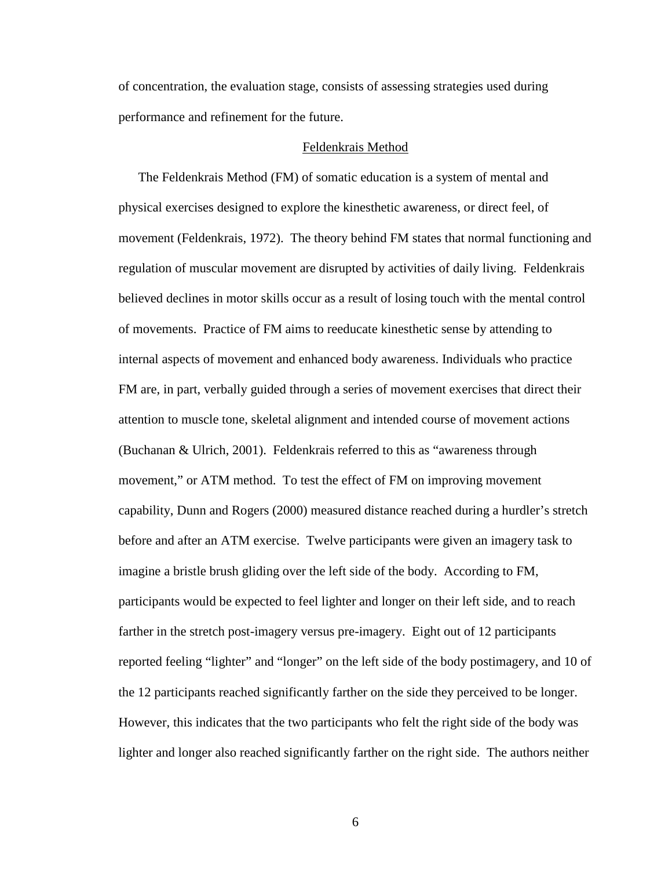of concentration, the evaluation stage, consists of assessing strategies used during performance and refinement for the future.

#### Feldenkrais Method

The Feldenkrais Method (FM) of somatic education is a system of mental and physical exercises designed to explore the kinesthetic awareness, or direct feel, of movement (Feldenkrais, 1972). The theory behind FM states that normal functioning and regulation of muscular movement are disrupted by activities of daily living. Feldenkrais believed declines in motor skills occur as a result of losing touch with the mental control of movements. Practice of FM aims to reeducate kinesthetic sense by attending to internal aspects of movement and enhanced body awareness. Individuals who practice FM are, in part, verbally guided through a series of movement exercises that direct their attention to muscle tone, skeletal alignment and intended course of movement actions (Buchanan & Ulrich, 2001). Feldenkrais referred to this as "awareness through movement," or ATM method. To test the effect of FM on improving movement capability, Dunn and Rogers (2000) measured distance reached during a hurdler's stretch before and after an ATM exercise. Twelve participants were given an imagery task to imagine a bristle brush gliding over the left side of the body. According to FM, participants would be expected to feel lighter and longer on their left side, and to reach farther in the stretch post-imagery versus pre-imagery. Eight out of 12 participants reported feeling "lighter" and "longer" on the left side of the body postimagery, and 10 of the 12 participants reached significantly farther on the side they perceived to be longer. However, this indicates that the two participants who felt the right side of the body was lighter and longer also reached significantly farther on the right side. The authors neither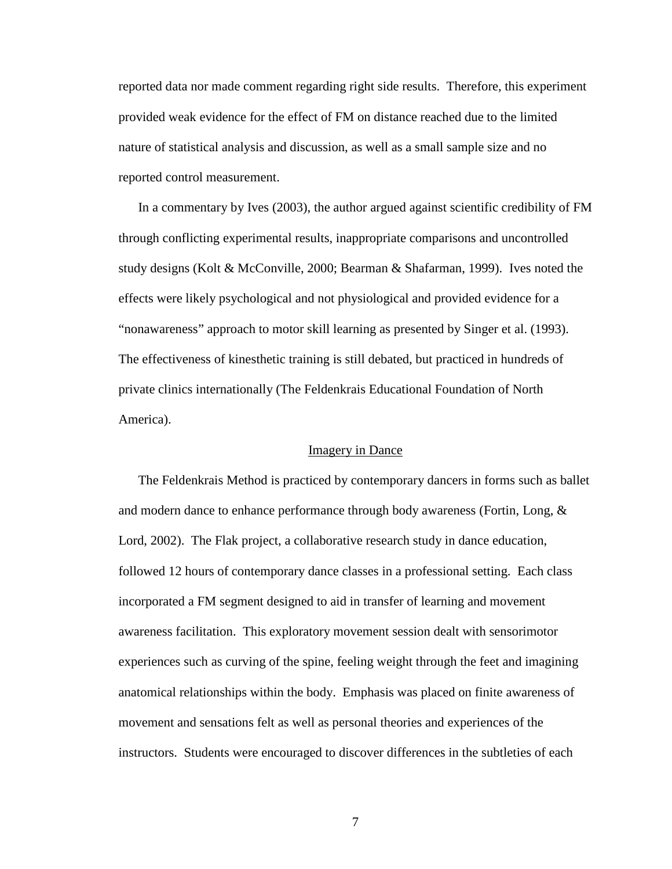reported data nor made comment regarding right side results. Therefore, this experiment provided weak evidence for the effect of FM on distance reached due to the limited nature of statistical analysis and discussion, as well as a small sample size and no reported control measurement.

In a commentary by Ives (2003), the author argued against scientific credibility of FM through conflicting experimental results, inappropriate comparisons and uncontrolled study designs (Kolt & McConville, 2000; Bearman & Shafarman, 1999). Ives noted the effects were likely psychological and not physiological and provided evidence for a "nonawareness" approach to motor skill learning as presented by Singer et al. (1993). The effectiveness of kinesthetic training is still debated, but practiced in hundreds of private clinics internationally (The Feldenkrais Educational Foundation of North America).

#### Imagery in Dance

The Feldenkrais Method is practiced by contemporary dancers in forms such as ballet and modern dance to enhance performance through body awareness (Fortin, Long, & Lord, 2002). The Flak project, a collaborative research study in dance education, followed 12 hours of contemporary dance classes in a professional setting. Each class incorporated a FM segment designed to aid in transfer of learning and movement awareness facilitation. This exploratory movement session dealt with sensorimotor experiences such as curving of the spine, feeling weight through the feet and imagining anatomical relationships within the body. Emphasis was placed on finite awareness of movement and sensations felt as well as personal theories and experiences of the instructors. Students were encouraged to discover differences in the subtleties of each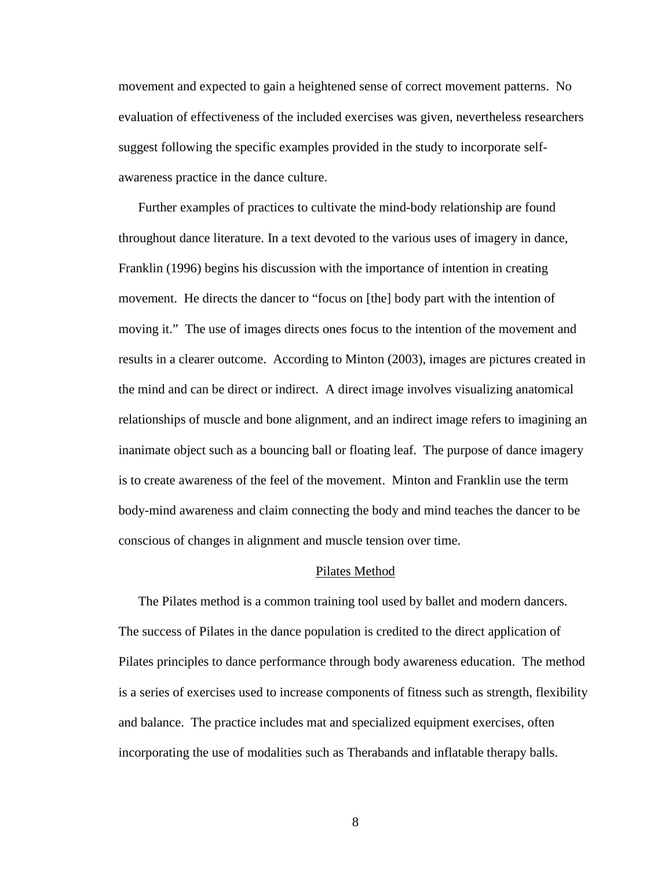movement and expected to gain a heightened sense of correct movement patterns. No evaluation of effectiveness of the included exercises was given, nevertheless researchers suggest following the specific examples provided in the study to incorporate selfawareness practice in the dance culture.

Further examples of practices to cultivate the mind-body relationship are found throughout dance literature. In a text devoted to the various uses of imagery in dance, Franklin (1996) begins his discussion with the importance of intention in creating movement. He directs the dancer to "focus on [the] body part with the intention of moving it." The use of images directs ones focus to the intention of the movement and results in a clearer outcome. According to Minton (2003), images are pictures created in the mind and can be direct or indirect. A direct image involves visualizing anatomical relationships of muscle and bone alignment, and an indirect image refers to imagining an inanimate object such as a bouncing ball or floating leaf. The purpose of dance imagery is to create awareness of the feel of the movement. Minton and Franklin use the term body-mind awareness and claim connecting the body and mind teaches the dancer to be conscious of changes in alignment and muscle tension over time.

#### Pilates Method

The Pilates method is a common training tool used by ballet and modern dancers. The success of Pilates in the dance population is credited to the direct application of Pilates principles to dance performance through body awareness education. The method is a series of exercises used to increase components of fitness such as strength, flexibility and balance. The practice includes mat and specialized equipment exercises, often incorporating the use of modalities such as Therabands and inflatable therapy balls.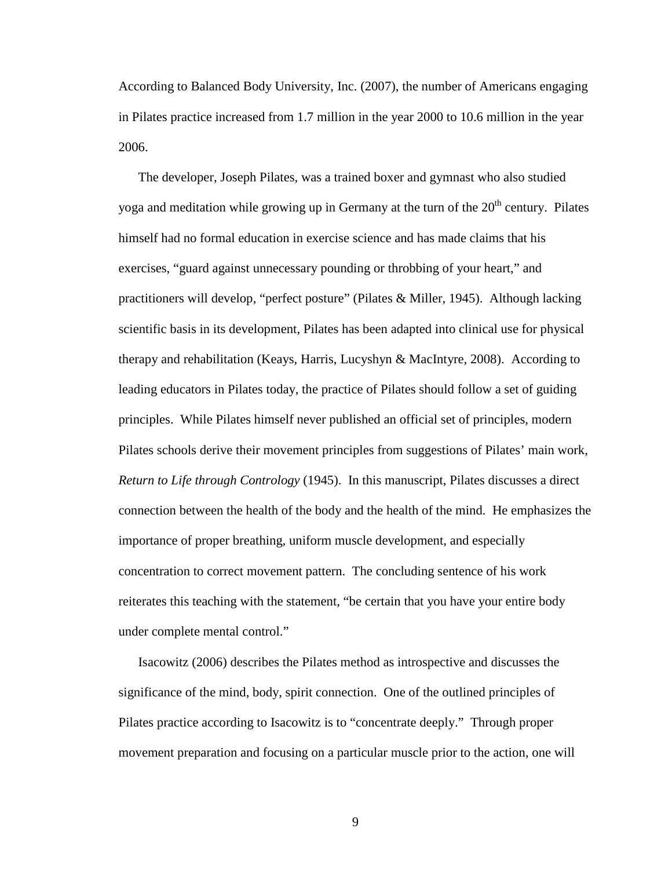According to Balanced Body University, Inc. (2007), the number of Americans engaging in Pilates practice increased from 1.7 million in the year 2000 to 10.6 million in the year 2006.

The developer, Joseph Pilates, was a trained boxer and gymnast who also studied yoga and meditation while growing up in Germany at the turn of the  $20<sup>th</sup>$  century. Pilates himself had no formal education in exercise science and has made claims that his exercises, "guard against unnecessary pounding or throbbing of your heart," and practitioners will develop, "perfect posture" (Pilates & Miller, 1945). Although lacking scientific basis in its development, Pilates has been adapted into clinical use for physical therapy and rehabilitation (Keays, Harris, Lucyshyn & MacIntyre, 2008). According to leading educators in Pilates today, the practice of Pilates should follow a set of guiding principles. While Pilates himself never published an official set of principles, modern Pilates schools derive their movement principles from suggestions of Pilates' main work, *Return to Life through Contrology* (1945). In this manuscript, Pilates discusses a direct connection between the health of the body and the health of the mind. He emphasizes the importance of proper breathing, uniform muscle development, and especially concentration to correct movement pattern. The concluding sentence of his work reiterates this teaching with the statement, "be certain that you have your entire body under complete mental control."

Isacowitz (2006) describes the Pilates method as introspective and discusses the significance of the mind, body, spirit connection. One of the outlined principles of Pilates practice according to Isacowitz is to "concentrate deeply." Through proper movement preparation and focusing on a particular muscle prior to the action, one will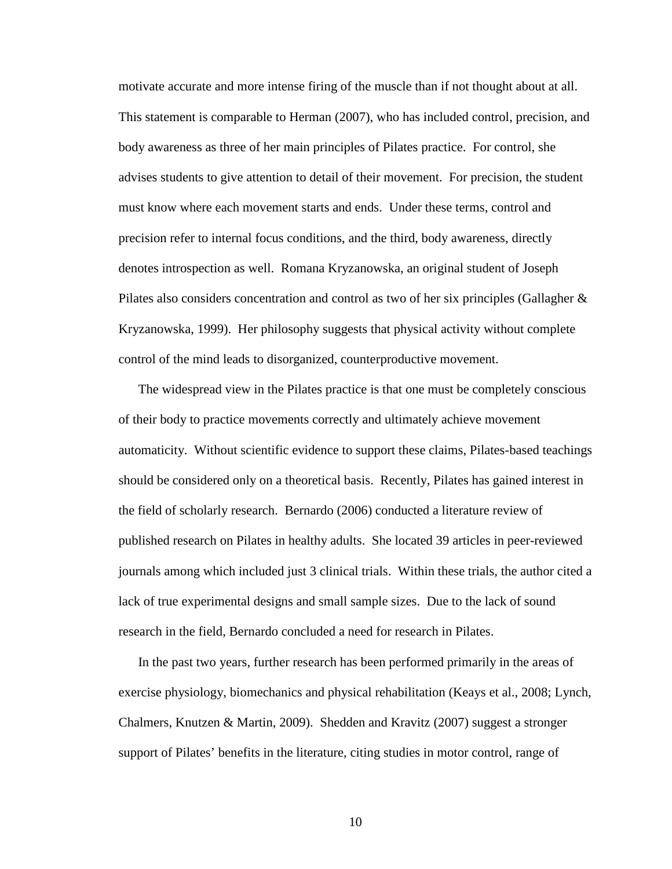motivate accurate and more intense firing of the muscle than if not thought about at all. This statement is comparable to Herman (2007), who has included control, precision, and body awareness as three of her main principles of Pilates practice. For control, she advises students to give attention to detail of their movement. For precision, the student must know where each movement starts and ends. Under these terms, control and precision refer to internal focus conditions, and the third, body awareness, directly denotes introspection as well. Romana Kryzanowska, an original student of Joseph Pilates also considers concentration and control as two of her six principles (Gallagher & Kryzanowska, 1999). Her philosophy suggests that physical activity without complete control of the mind leads to disorganized, counterproductive movement.

The widespread view in the Pilates practice is that one must be completely conscious of their body to practice movements correctly and ultimately achieve movement automaticity. Without scientific evidence to support these claims, Pilates-based teachings should be considered only on a theoretical basis. Recently, Pilates has gained interest in the field of scholarly research. Bernardo (2006) conducted a literature review of published research on Pilates in healthy adults. She located 39 articles in peer-reviewed journals among which included just 3 clinical trials. Within these trials, the author cited a lack of true experimental designs and small sample sizes. Due to the lack of sound research in the field, Bernardo concluded a need for research in Pilates.

In the past two years, further research has been performed primarily in the areas of exercise physiology, biomechanics and physical rehabilitation (Keays et al., 2008; Lynch, Chalmers, Knutzen & Martin, 2009). Shedden and Kravitz (2007) suggest a stronger support of Pilates' benefits in the literature, citing studies in motor control, range of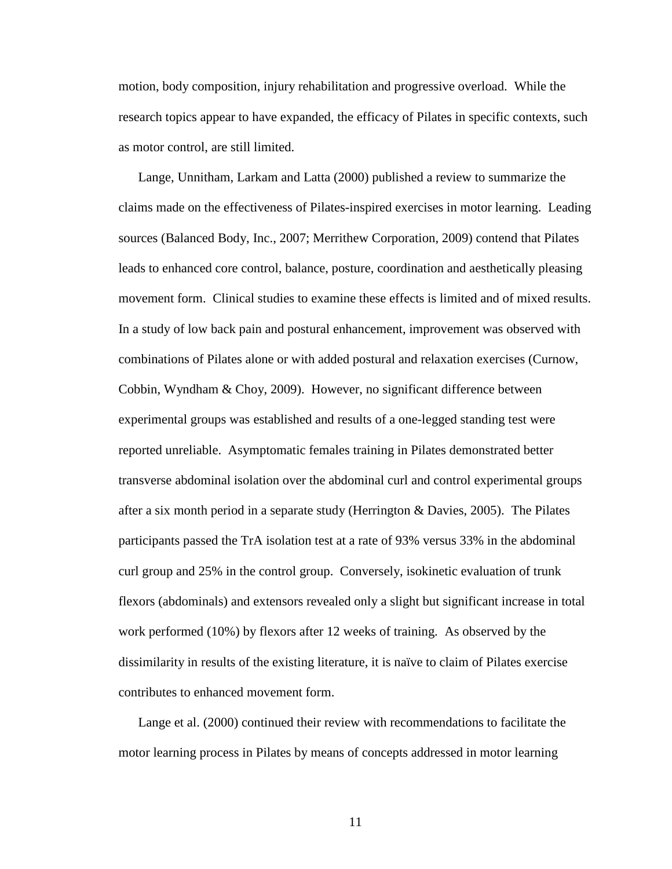motion, body composition, injury rehabilitation and progressive overload. While the research topics appear to have expanded, the efficacy of Pilates in specific contexts, such as motor control, are still limited.

Lange, Unnitham, Larkam and Latta (2000) published a review to summarize the claims made on the effectiveness of Pilates-inspired exercises in motor learning. Leading sources (Balanced Body, Inc., 2007; Merrithew Corporation, 2009) contend that Pilates leads to enhanced core control, balance, posture, coordination and aesthetically pleasing movement form. Clinical studies to examine these effects is limited and of mixed results. In a study of low back pain and postural enhancement, improvement was observed with combinations of Pilates alone or with added postural and relaxation exercises (Curnow, Cobbin, Wyndham & Choy, 2009). However, no significant difference between experimental groups was established and results of a one-legged standing test were reported unreliable. Asymptomatic females training in Pilates demonstrated better transverse abdominal isolation over the abdominal curl and control experimental groups after a six month period in a separate study (Herrington & Davies, 2005). The Pilates participants passed the TrA isolation test at a rate of 93% versus 33% in the abdominal curl group and 25% in the control group. Conversely, isokinetic evaluation of trunk flexors (abdominals) and extensors revealed only a slight but significant increase in total work performed (10%) by flexors after 12 weeks of training. As observed by the dissimilarity in results of the existing literature, it is naïve to claim of Pilates exercise contributes to enhanced movement form.

Lange et al. (2000) continued their review with recommendations to facilitate the motor learning process in Pilates by means of concepts addressed in motor learning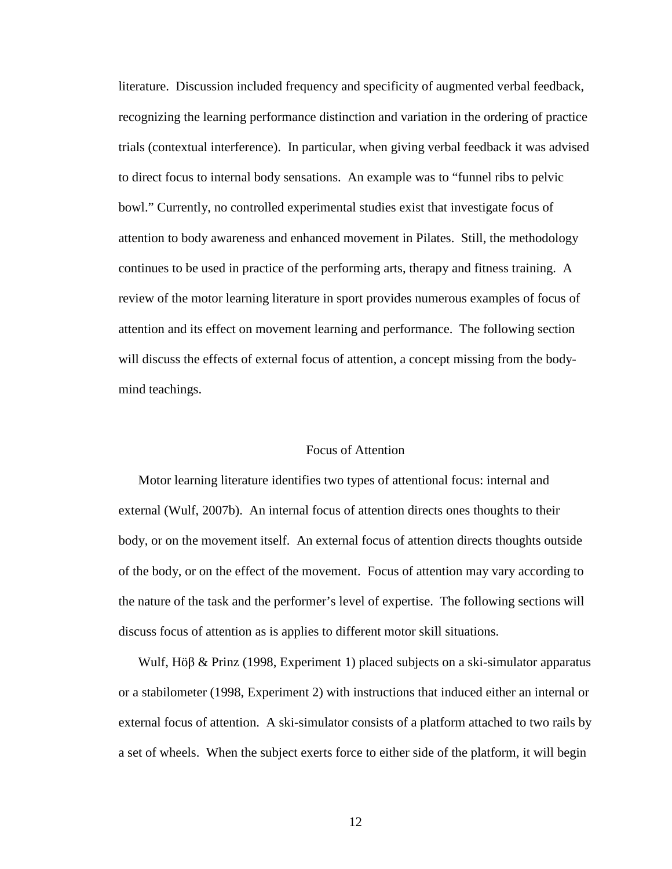literature. Discussion included frequency and specificity of augmented verbal feedback, recognizing the learning performance distinction and variation in the ordering of practice trials (contextual interference). In particular, when giving verbal feedback it was advised to direct focus to internal body sensations. An example was to "funnel ribs to pelvic bowl." Currently, no controlled experimental studies exist that investigate focus of attention to body awareness and enhanced movement in Pilates. Still, the methodology continues to be used in practice of the performing arts, therapy and fitness training. A review of the motor learning literature in sport provides numerous examples of focus of attention and its effect on movement learning and performance. The following section will discuss the effects of external focus of attention, a concept missing from the bodymind teachings.

#### Focus of Attention

Motor learning literature identifies two types of attentional focus: internal and external (Wulf, 2007b). An internal focus of attention directs ones thoughts to their body, or on the movement itself. An external focus of attention directs thoughts outside of the body, or on the effect of the movement. Focus of attention may vary according to the nature of the task and the performer's level of expertise. The following sections will discuss focus of attention as is applies to different motor skill situations.

Wulf, Höβ & Prinz (1998, Experiment 1) placed subjects on a ski-simulator apparatus or a stabilometer (1998, Experiment 2) with instructions that induced either an internal or external focus of attention. A ski-simulator consists of a platform attached to two rails by a set of wheels. When the subject exerts force to either side of the platform, it will begin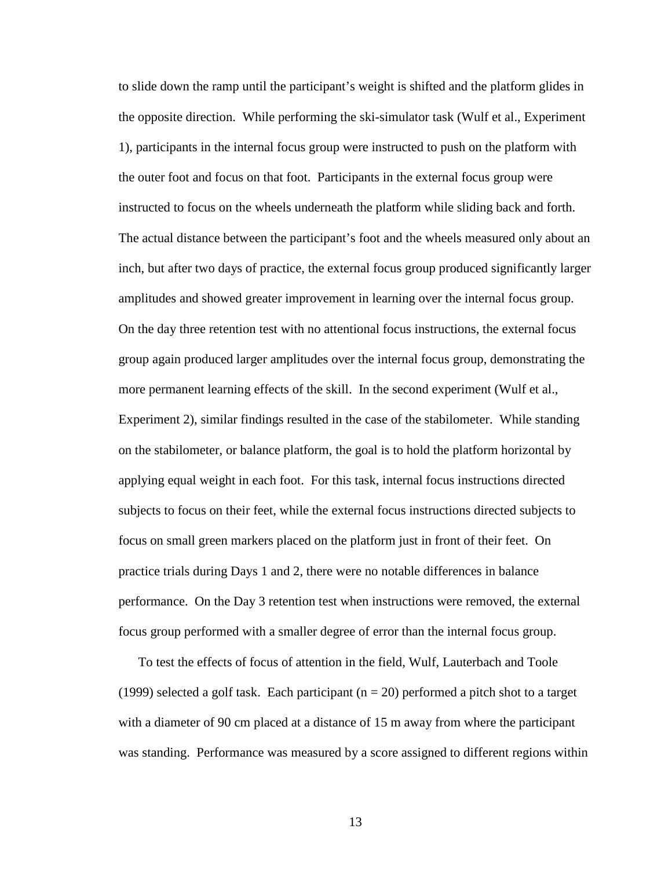to slide down the ramp until the participant's weight is shifted and the platform glides in the opposite direction. While performing the ski-simulator task (Wulf et al., Experiment 1), participants in the internal focus group were instructed to push on the platform with the outer foot and focus on that foot. Participants in the external focus group were instructed to focus on the wheels underneath the platform while sliding back and forth. The actual distance between the participant's foot and the wheels measured only about an inch, but after two days of practice, the external focus group produced significantly larger amplitudes and showed greater improvement in learning over the internal focus group. On the day three retention test with no attentional focus instructions, the external focus group again produced larger amplitudes over the internal focus group, demonstrating the more permanent learning effects of the skill. In the second experiment (Wulf et al., Experiment 2), similar findings resulted in the case of the stabilometer. While standing on the stabilometer, or balance platform, the goal is to hold the platform horizontal by applying equal weight in each foot. For this task, internal focus instructions directed subjects to focus on their feet, while the external focus instructions directed subjects to focus on small green markers placed on the platform just in front of their feet. On practice trials during Days 1 and 2, there were no notable differences in balance performance. On the Day 3 retention test when instructions were removed, the external focus group performed with a smaller degree of error than the internal focus group.

To test the effects of focus of attention in the field, Wulf, Lauterbach and Toole (1999) selected a golf task. Each participant  $(n = 20)$  performed a pitch shot to a target with a diameter of 90 cm placed at a distance of 15 m away from where the participant was standing. Performance was measured by a score assigned to different regions within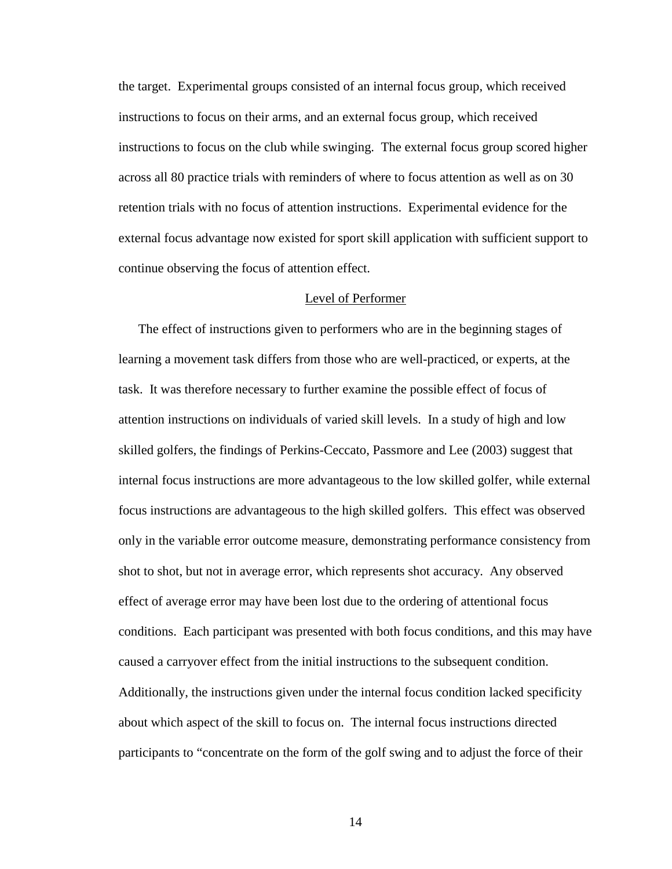the target. Experimental groups consisted of an internal focus group, which received instructions to focus on their arms, and an external focus group, which received instructions to focus on the club while swinging. The external focus group scored higher across all 80 practice trials with reminders of where to focus attention as well as on 30 retention trials with no focus of attention instructions. Experimental evidence for the external focus advantage now existed for sport skill application with sufficient support to continue observing the focus of attention effect.

#### Level of Performer

The effect of instructions given to performers who are in the beginning stages of learning a movement task differs from those who are well-practiced, or experts, at the task. It was therefore necessary to further examine the possible effect of focus of attention instructions on individuals of varied skill levels. In a study of high and low skilled golfers, the findings of Perkins-Ceccato, Passmore and Lee (2003) suggest that internal focus instructions are more advantageous to the low skilled golfer, while external focus instructions are advantageous to the high skilled golfers. This effect was observed only in the variable error outcome measure, demonstrating performance consistency from shot to shot, but not in average error, which represents shot accuracy. Any observed effect of average error may have been lost due to the ordering of attentional focus conditions. Each participant was presented with both focus conditions, and this may have caused a carryover effect from the initial instructions to the subsequent condition. Additionally, the instructions given under the internal focus condition lacked specificity about which aspect of the skill to focus on. The internal focus instructions directed participants to "concentrate on the form of the golf swing and to adjust the force of their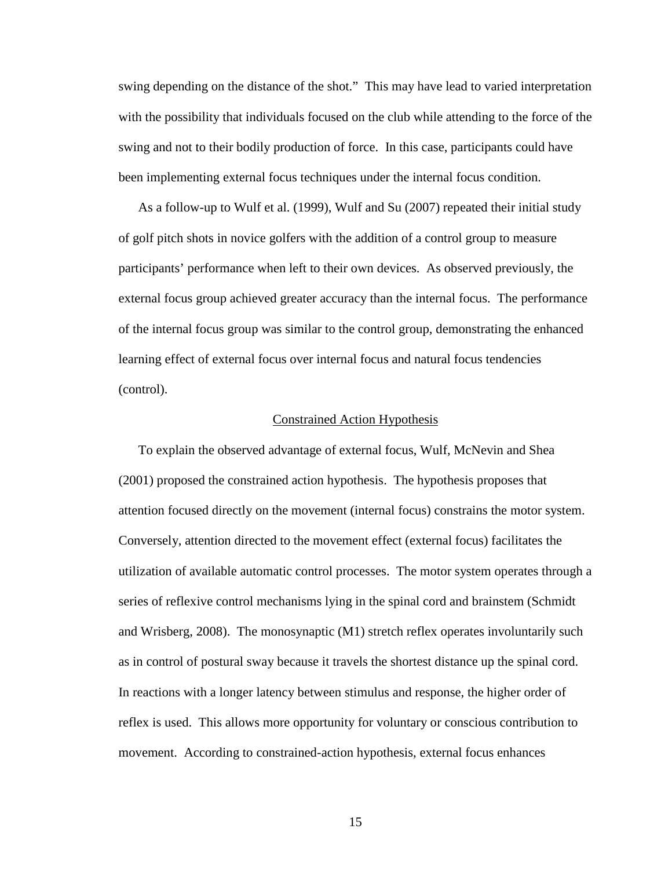swing depending on the distance of the shot." This may have lead to varied interpretation with the possibility that individuals focused on the club while attending to the force of the swing and not to their bodily production of force. In this case, participants could have been implementing external focus techniques under the internal focus condition.

As a follow-up to Wulf et al. (1999), Wulf and Su (2007) repeated their initial study of golf pitch shots in novice golfers with the addition of a control group to measure participants' performance when left to their own devices. As observed previously, the external focus group achieved greater accuracy than the internal focus. The performance of the internal focus group was similar to the control group, demonstrating the enhanced learning effect of external focus over internal focus and natural focus tendencies (control).

#### Constrained Action Hypothesis

To explain the observed advantage of external focus, Wulf, McNevin and Shea (2001) proposed the constrained action hypothesis. The hypothesis proposes that attention focused directly on the movement (internal focus) constrains the motor system. Conversely, attention directed to the movement effect (external focus) facilitates the utilization of available automatic control processes. The motor system operates through a series of reflexive control mechanisms lying in the spinal cord and brainstem (Schmidt and Wrisberg, 2008). The monosynaptic (M1) stretch reflex operates involuntarily such as in control of postural sway because it travels the shortest distance up the spinal cord. In reactions with a longer latency between stimulus and response, the higher order of reflex is used. This allows more opportunity for voluntary or conscious contribution to movement. According to constrained-action hypothesis, external focus enhances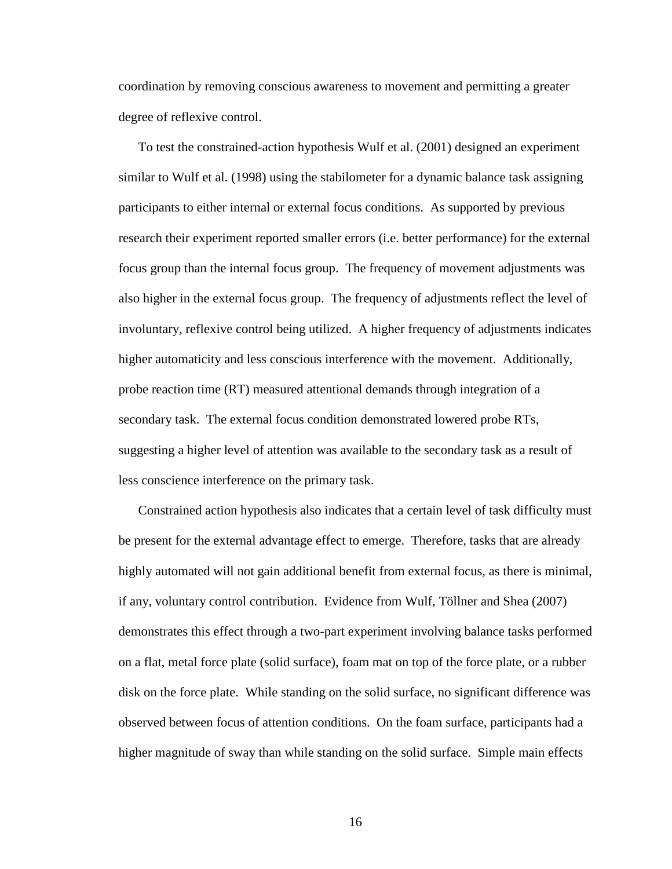coordination by removing conscious awareness to movement and permitting a greater degree of reflexive control.

To test the constrained-action hypothesis Wulf et al. (2001) designed an experiment similar to Wulf et al. (1998) using the stabilometer for a dynamic balance task assigning participants to either internal or external focus conditions. As supported by previous research their experiment reported smaller errors (i.e. better performance) for the external focus group than the internal focus group. The frequency of movement adjustments was also higher in the external focus group. The frequency of adjustments reflect the level of involuntary, reflexive control being utilized. A higher frequency of adjustments indicates higher automaticity and less conscious interference with the movement. Additionally, probe reaction time (RT) measured attentional demands through integration of a secondary task. The external focus condition demonstrated lowered probe RTs, suggesting a higher level of attention was available to the secondary task as a result of less conscience interference on the primary task.

Constrained action hypothesis also indicates that a certain level of task difficulty must be present for the external advantage effect to emerge. Therefore, tasks that are already highly automated will not gain additional benefit from external focus, as there is minimal, if any, voluntary control contribution. Evidence from Wulf, Töllner and Shea (2007) demonstrates this effect through a two-part experiment involving balance tasks performed on a flat, metal force plate (solid surface), foam mat on top of the force plate, or a rubber disk on the force plate. While standing on the solid surface, no significant difference was observed between focus of attention conditions. On the foam surface, participants had a higher magnitude of sway than while standing on the solid surface. Simple main effects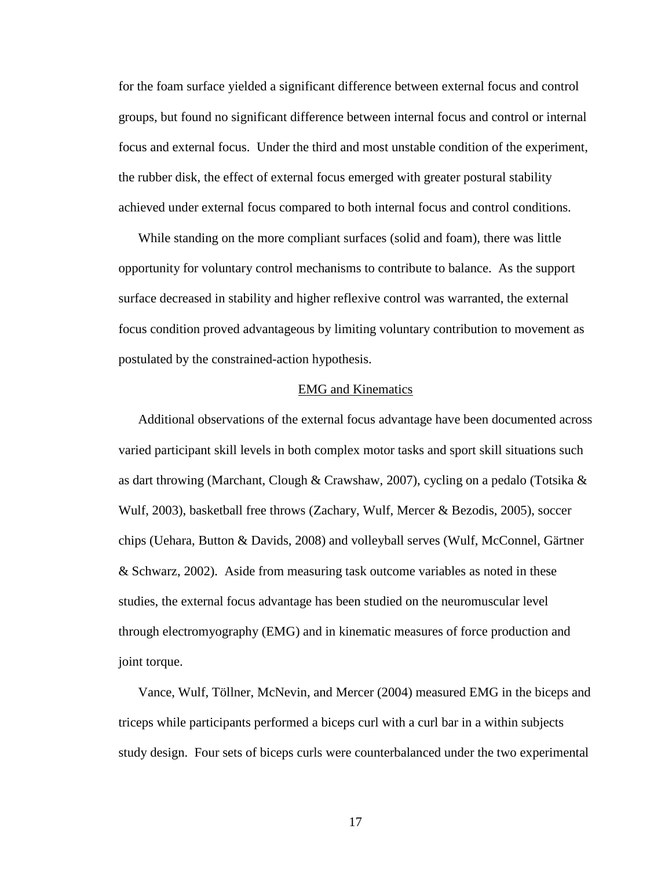for the foam surface yielded a significant difference between external focus and control groups, but found no significant difference between internal focus and control or internal focus and external focus. Under the third and most unstable condition of the experiment, the rubber disk, the effect of external focus emerged with greater postural stability achieved under external focus compared to both internal focus and control conditions.

While standing on the more compliant surfaces (solid and foam), there was little opportunity for voluntary control mechanisms to contribute to balance. As the support surface decreased in stability and higher reflexive control was warranted, the external focus condition proved advantageous by limiting voluntary contribution to movement as postulated by the constrained-action hypothesis.

#### EMG and Kinematics

Additional observations of the external focus advantage have been documented across varied participant skill levels in both complex motor tasks and sport skill situations such as dart throwing (Marchant, Clough & Crawshaw, 2007), cycling on a pedalo (Totsika & Wulf, 2003), basketball free throws (Zachary, Wulf, Mercer & Bezodis, 2005), soccer chips (Uehara, Button & Davids, 2008) and volleyball serves (Wulf, McConnel, Gärtner & Schwarz, 2002). Aside from measuring task outcome variables as noted in these studies, the external focus advantage has been studied on the neuromuscular level through electromyography (EMG) and in kinematic measures of force production and joint torque.

Vance, Wulf, Töllner, McNevin, and Mercer (2004) measured EMG in the biceps and triceps while participants performed a biceps curl with a curl bar in a within subjects study design. Four sets of biceps curls were counterbalanced under the two experimental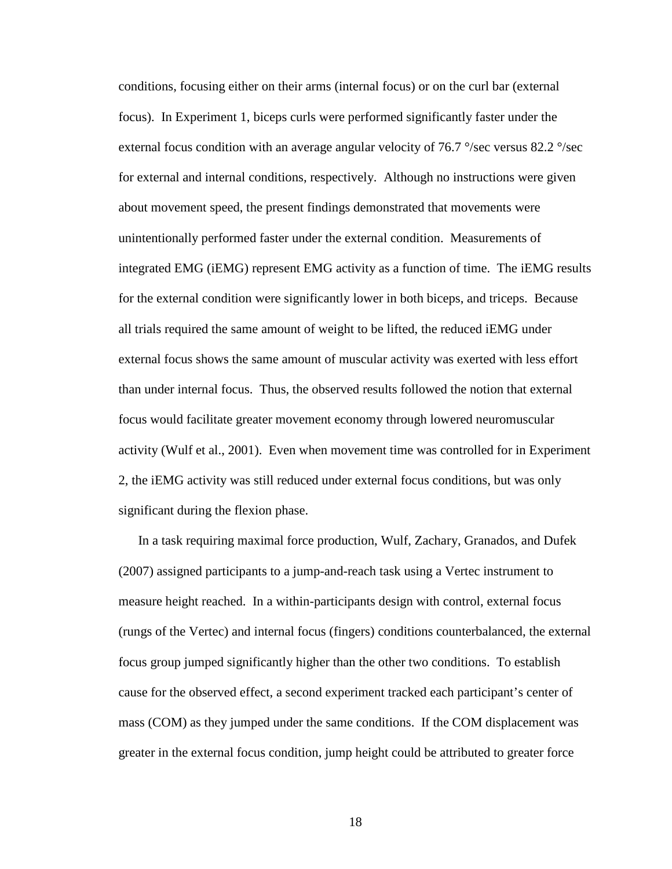conditions, focusing either on their arms (internal focus) or on the curl bar (external focus). In Experiment 1, biceps curls were performed significantly faster under the external focus condition with an average angular velocity of 76.7  $\degree$ /sec versus 82.2  $\degree$ /sec for external and internal conditions, respectively. Although no instructions were given about movement speed, the present findings demonstrated that movements were unintentionally performed faster under the external condition. Measurements of integrated EMG (iEMG) represent EMG activity as a function of time. The iEMG results for the external condition were significantly lower in both biceps, and triceps. Because all trials required the same amount of weight to be lifted, the reduced iEMG under external focus shows the same amount of muscular activity was exerted with less effort than under internal focus. Thus, the observed results followed the notion that external focus would facilitate greater movement economy through lowered neuromuscular activity (Wulf et al., 2001). Even when movement time was controlled for in Experiment 2, the iEMG activity was still reduced under external focus conditions, but was only significant during the flexion phase.

In a task requiring maximal force production, Wulf, Zachary, Granados, and Dufek (2007) assigned participants to a jump-and-reach task using a Vertec instrument to measure height reached. In a within-participants design with control, external focus (rungs of the Vertec) and internal focus (fingers) conditions counterbalanced, the external focus group jumped significantly higher than the other two conditions. To establish cause for the observed effect, a second experiment tracked each participant's center of mass (COM) as they jumped under the same conditions. If the COM displacement was greater in the external focus condition, jump height could be attributed to greater force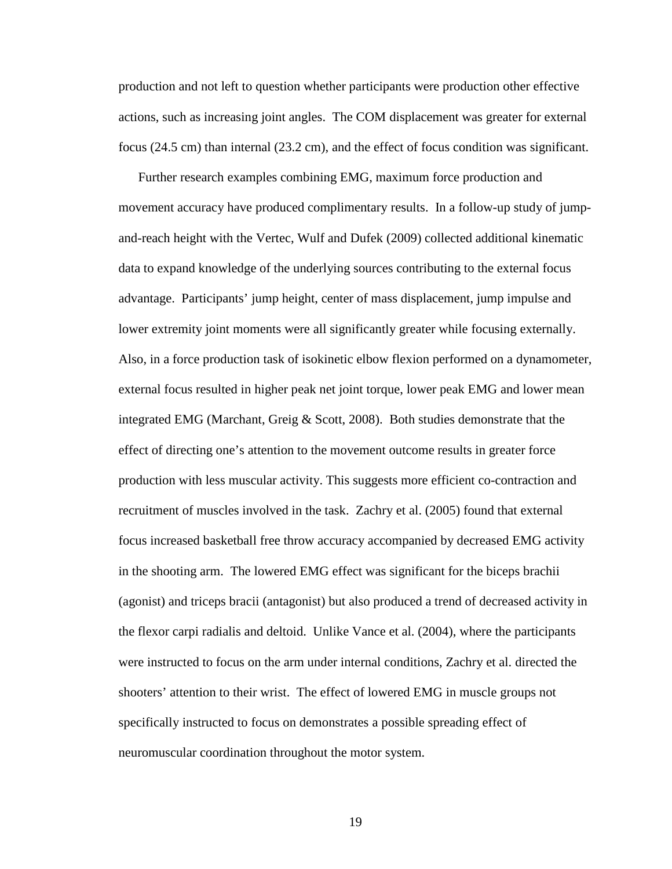production and not left to question whether participants were production other effective actions, such as increasing joint angles. The COM displacement was greater for external focus (24.5 cm) than internal (23.2 cm), and the effect of focus condition was significant.

Further research examples combining EMG, maximum force production and movement accuracy have produced complimentary results. In a follow-up study of jumpand-reach height with the Vertec, Wulf and Dufek (2009) collected additional kinematic data to expand knowledge of the underlying sources contributing to the external focus advantage. Participants' jump height, center of mass displacement, jump impulse and lower extremity joint moments were all significantly greater while focusing externally. Also, in a force production task of isokinetic elbow flexion performed on a dynamometer, external focus resulted in higher peak net joint torque, lower peak EMG and lower mean integrated EMG (Marchant, Greig & Scott, 2008). Both studies demonstrate that the effect of directing one's attention to the movement outcome results in greater force production with less muscular activity. This suggests more efficient co-contraction and recruitment of muscles involved in the task. Zachry et al. (2005) found that external focus increased basketball free throw accuracy accompanied by decreased EMG activity in the shooting arm. The lowered EMG effect was significant for the biceps brachii (agonist) and triceps bracii (antagonist) but also produced a trend of decreased activity in the flexor carpi radialis and deltoid. Unlike Vance et al. (2004), where the participants were instructed to focus on the arm under internal conditions, Zachry et al. directed the shooters' attention to their wrist. The effect of lowered EMG in muscle groups not specifically instructed to focus on demonstrates a possible spreading effect of neuromuscular coordination throughout the motor system.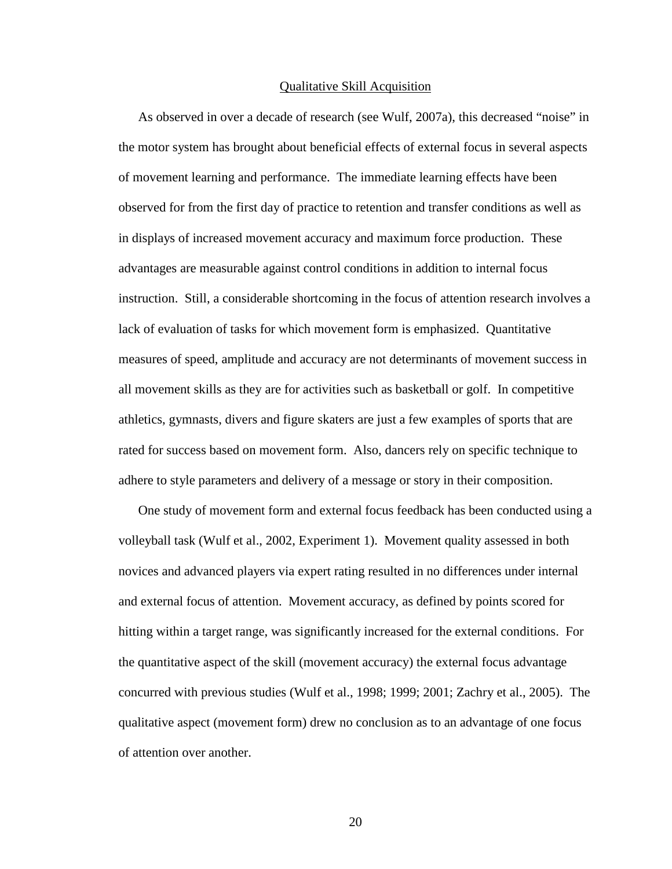#### Qualitative Skill Acquisition

As observed in over a decade of research (see Wulf, 2007a), this decreased "noise" in the motor system has brought about beneficial effects of external focus in several aspects of movement learning and performance. The immediate learning effects have been observed for from the first day of practice to retention and transfer conditions as well as in displays of increased movement accuracy and maximum force production. These advantages are measurable against control conditions in addition to internal focus instruction. Still, a considerable shortcoming in the focus of attention research involves a lack of evaluation of tasks for which movement form is emphasized. Quantitative measures of speed, amplitude and accuracy are not determinants of movement success in all movement skills as they are for activities such as basketball or golf. In competitive athletics, gymnasts, divers and figure skaters are just a few examples of sports that are rated for success based on movement form. Also, dancers rely on specific technique to adhere to style parameters and delivery of a message or story in their composition.

One study of movement form and external focus feedback has been conducted using a volleyball task (Wulf et al., 2002, Experiment 1). Movement quality assessed in both novices and advanced players via expert rating resulted in no differences under internal and external focus of attention. Movement accuracy, as defined by points scored for hitting within a target range, was significantly increased for the external conditions. For the quantitative aspect of the skill (movement accuracy) the external focus advantage concurred with previous studies (Wulf et al., 1998; 1999; 2001; Zachry et al., 2005). The qualitative aspect (movement form) drew no conclusion as to an advantage of one focus of attention over another.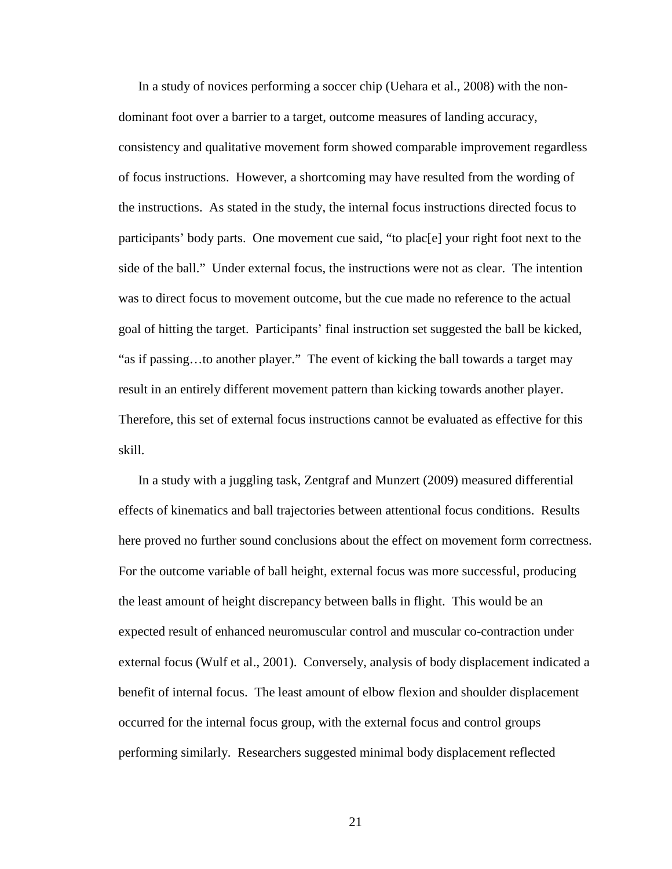In a study of novices performing a soccer chip (Uehara et al., 2008) with the nondominant foot over a barrier to a target, outcome measures of landing accuracy, consistency and qualitative movement form showed comparable improvement regardless of focus instructions. However, a shortcoming may have resulted from the wording of the instructions. As stated in the study, the internal focus instructions directed focus to participants' body parts. One movement cue said, "to plac[e] your right foot next to the side of the ball." Under external focus, the instructions were not as clear. The intention was to direct focus to movement outcome, but the cue made no reference to the actual goal of hitting the target. Participants' final instruction set suggested the ball be kicked, "as if passing…to another player." The event of kicking the ball towards a target may result in an entirely different movement pattern than kicking towards another player. Therefore, this set of external focus instructions cannot be evaluated as effective for this skill.

In a study with a juggling task, Zentgraf and Munzert (2009) measured differential effects of kinematics and ball trajectories between attentional focus conditions. Results here proved no further sound conclusions about the effect on movement form correctness. For the outcome variable of ball height, external focus was more successful, producing the least amount of height discrepancy between balls in flight. This would be an expected result of enhanced neuromuscular control and muscular co-contraction under external focus (Wulf et al., 2001). Conversely, analysis of body displacement indicated a benefit of internal focus. The least amount of elbow flexion and shoulder displacement occurred for the internal focus group, with the external focus and control groups performing similarly. Researchers suggested minimal body displacement reflected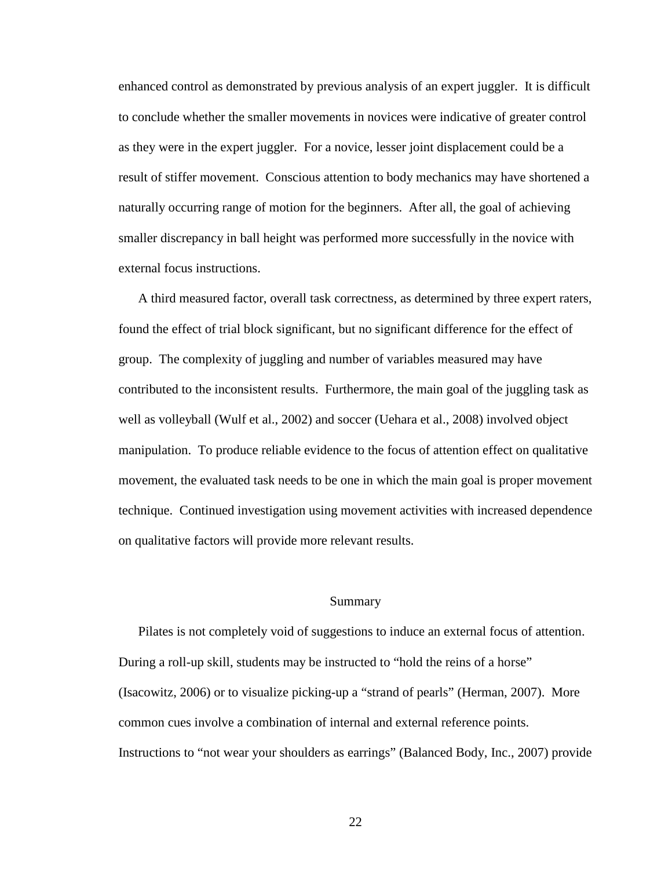enhanced control as demonstrated by previous analysis of an expert juggler. It is difficult to conclude whether the smaller movements in novices were indicative of greater control as they were in the expert juggler. For a novice, lesser joint displacement could be a result of stiffer movement. Conscious attention to body mechanics may have shortened a naturally occurring range of motion for the beginners. After all, the goal of achieving smaller discrepancy in ball height was performed more successfully in the novice with external focus instructions.

A third measured factor, overall task correctness, as determined by three expert raters, found the effect of trial block significant, but no significant difference for the effect of group. The complexity of juggling and number of variables measured may have contributed to the inconsistent results. Furthermore, the main goal of the juggling task as well as volleyball (Wulf et al., 2002) and soccer (Uehara et al., 2008) involved object manipulation. To produce reliable evidence to the focus of attention effect on qualitative movement, the evaluated task needs to be one in which the main goal is proper movement technique. Continued investigation using movement activities with increased dependence on qualitative factors will provide more relevant results.

#### Summary

Pilates is not completely void of suggestions to induce an external focus of attention. During a roll-up skill, students may be instructed to "hold the reins of a horse" (Isacowitz, 2006) or to visualize picking-up a "strand of pearls" (Herman, 2007). More common cues involve a combination of internal and external reference points. Instructions to "not wear your shoulders as earrings" (Balanced Body, Inc., 2007) provide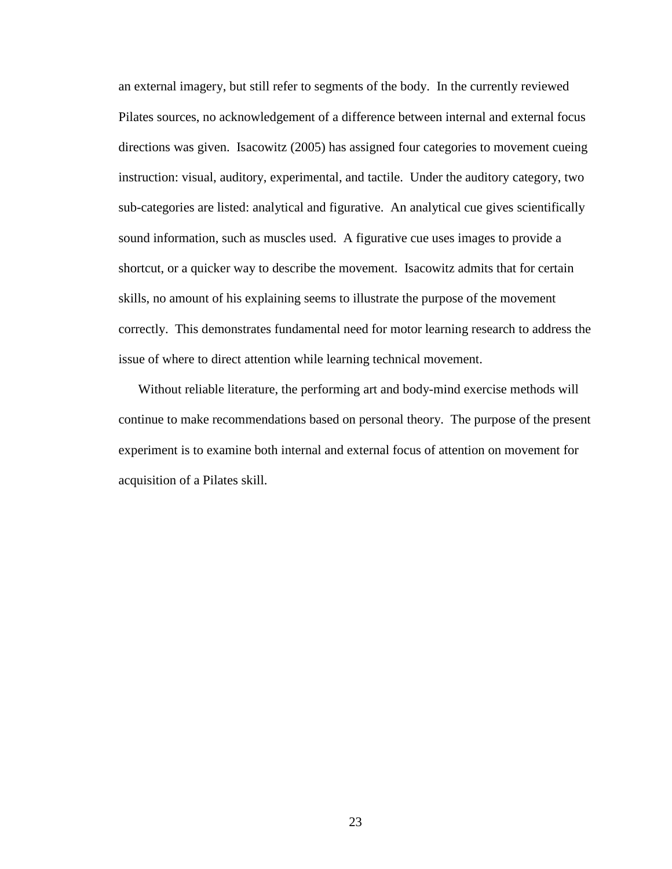an external imagery, but still refer to segments of the body. In the currently reviewed Pilates sources, no acknowledgement of a difference between internal and external focus directions was given. Isacowitz (2005) has assigned four categories to movement cueing instruction: visual, auditory, experimental, and tactile. Under the auditory category, two sub-categories are listed: analytical and figurative. An analytical cue gives scientifically sound information, such as muscles used. A figurative cue uses images to provide a shortcut, or a quicker way to describe the movement. Isacowitz admits that for certain skills, no amount of his explaining seems to illustrate the purpose of the movement correctly. This demonstrates fundamental need for motor learning research to address the issue of where to direct attention while learning technical movement.

Without reliable literature, the performing art and body-mind exercise methods will continue to make recommendations based on personal theory. The purpose of the present experiment is to examine both internal and external focus of attention on movement for acquisition of a Pilates skill.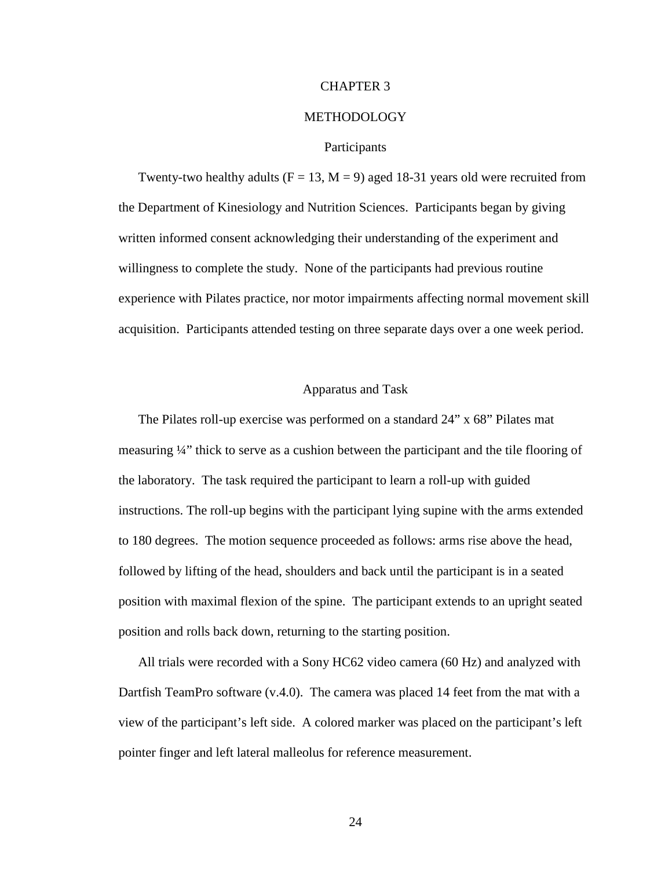## CHAPTER 3

#### METHODOLOGY

#### Participants

Twenty-two healthy adults ( $F = 13$ ,  $M = 9$ ) aged 18-31 years old were recruited from the Department of Kinesiology and Nutrition Sciences. Participants began by giving written informed consent acknowledging their understanding of the experiment and willingness to complete the study. None of the participants had previous routine experience with Pilates practice, nor motor impairments affecting normal movement skill acquisition. Participants attended testing on three separate days over a one week period.

## Apparatus and Task

The Pilates roll-up exercise was performed on a standard 24" x 68" Pilates mat measuring ¼" thick to serve as a cushion between the participant and the tile flooring of the laboratory. The task required the participant to learn a roll-up with guided instructions. The roll-up begins with the participant lying supine with the arms extended to 180 degrees. The motion sequence proceeded as follows: arms rise above the head, followed by lifting of the head, shoulders and back until the participant is in a seated position with maximal flexion of the spine. The participant extends to an upright seated position and rolls back down, returning to the starting position.

All trials were recorded with a Sony HC62 video camera (60 Hz) and analyzed with Dartfish TeamPro software (v.4.0). The camera was placed 14 feet from the mat with a view of the participant's left side. A colored marker was placed on the participant's left pointer finger and left lateral malleolus for reference measurement.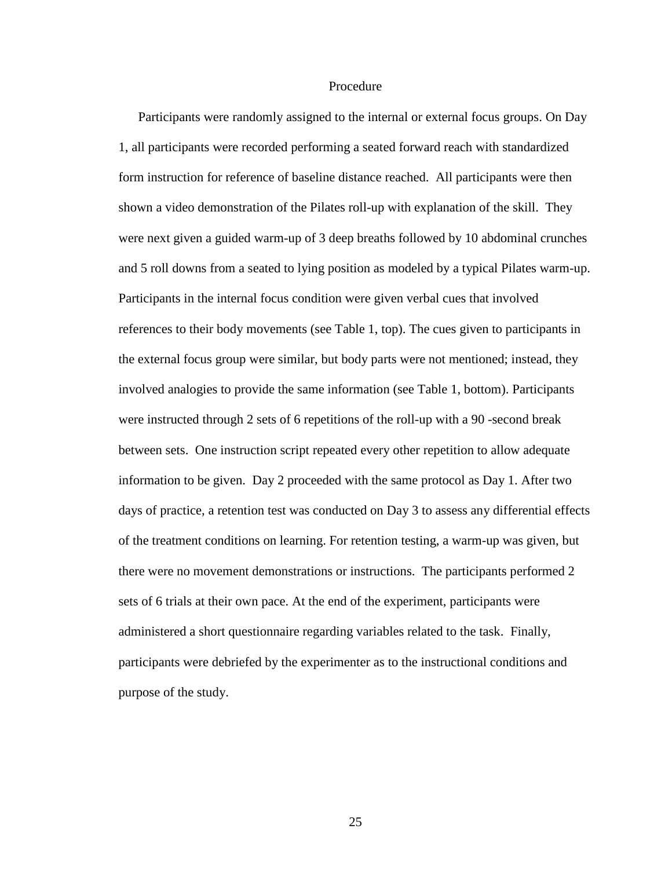#### Procedure

Participants were randomly assigned to the internal or external focus groups. On Day 1, all participants were recorded performing a seated forward reach with standardized form instruction for reference of baseline distance reached. All participants were then shown a video demonstration of the Pilates roll-up with explanation of the skill. They were next given a guided warm-up of 3 deep breaths followed by 10 abdominal crunches and 5 roll downs from a seated to lying position as modeled by a typical Pilates warm-up. Participants in the internal focus condition were given verbal cues that involved references to their body movements (see Table 1, top). The cues given to participants in the external focus group were similar, but body parts were not mentioned; instead, they involved analogies to provide the same information (see Table 1, bottom). Participants were instructed through 2 sets of 6 repetitions of the roll-up with a 90 -second break between sets. One instruction script repeated every other repetition to allow adequate information to be given. Day 2 proceeded with the same protocol as Day 1. After two days of practice, a retention test was conducted on Day 3 to assess any differential effects of the treatment conditions on learning. For retention testing, a warm-up was given, but there were no movement demonstrations or instructions. The participants performed 2 sets of 6 trials at their own pace. At the end of the experiment, participants were administered a short questionnaire regarding variables related to the task. Finally, participants were debriefed by the experimenter as to the instructional conditions and purpose of the study.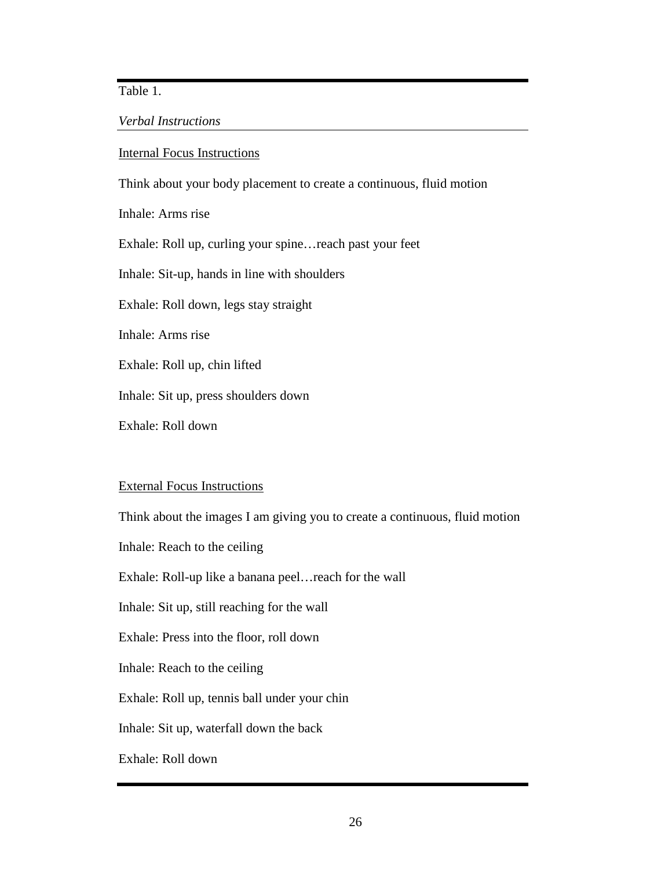Table 1.

# *Verbal Instructions*

## Internal Focus Instructions

Think about your body placement to create a continuous, fluid motion

Inhale: Arms rise

Exhale: Roll up, curling your spine…reach past your feet

Inhale: Sit-up, hands in line with shoulders

Exhale: Roll down, legs stay straight

Inhale: Arms rise

Exhale: Roll up, chin lifted

Inhale: Sit up, press shoulders down

Exhale: Roll down

# External Focus Instructions

Think about the images I am giving you to create a continuous, fluid motion Inhale: Reach to the ceiling Exhale: Roll-up like a banana peel…reach for the wall Inhale: Sit up, still reaching for the wall Exhale: Press into the floor, roll down Inhale: Reach to the ceiling Exhale: Roll up, tennis ball under your chin Inhale: Sit up, waterfall down the back Exhale: Roll down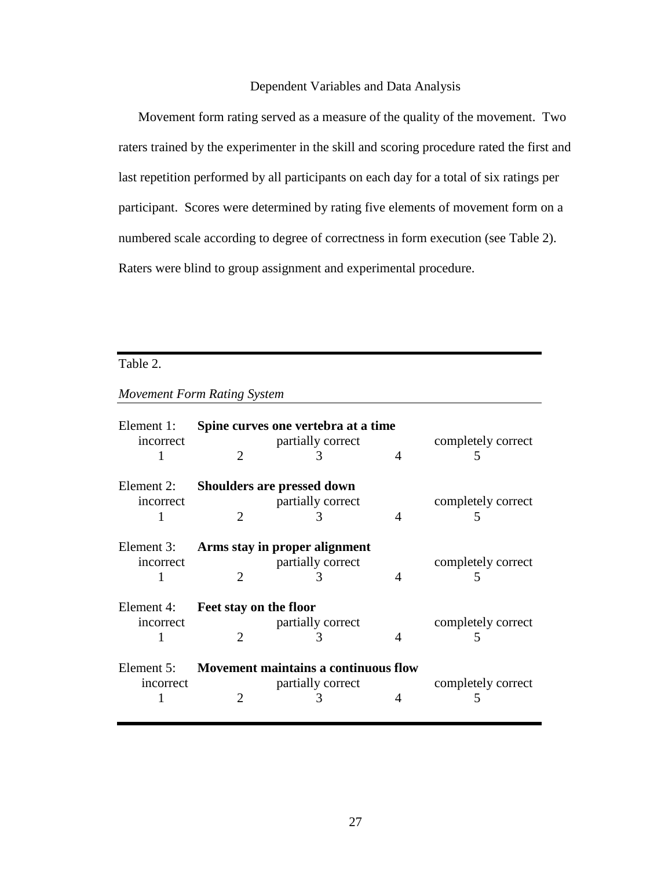# Dependent Variables and Data Analysis

Movement form rating served as a measure of the quality of the movement. Two raters trained by the experimenter in the skill and scoring procedure rated the first and last repetition performed by all participants on each day for a total of six ratings per participant. Scores were determined by rating five elements of movement form on a numbered scale according to degree of correctness in form execution (see Table 2). Raters were blind to group assignment and experimental procedure.

# Table 2.

# *Movement Form Rating System*

| Element 1:<br>incorrect | $\mathcal{D}_{\mathcal{L}}$ | Spine curves one vertebra at a time<br>partially correct       | 4                           | completely correct<br>5             |
|-------------------------|-----------------------------|----------------------------------------------------------------|-----------------------------|-------------------------------------|
| Element 2:<br>incorrect |                             | <b>Shoulders are pressed down</b><br>partially correct<br>3    | $\overline{4}$              | completely correct<br>$\mathcal{L}$ |
| Element 3:<br>incorrect | $\mathcal{D}_{\mathcal{L}}$ | Arms stay in proper alignment<br>partially correct<br>3        | $\boldsymbol{\vartriangle}$ | completely correct<br>5             |
| Element 4:<br>incorrect | Feet stay on the floor      | partially correct<br>3                                         | $\overline{4}$              | completely correct<br>$\mathcal{D}$ |
| Element 5:<br>incorrect | 2                           | Movement maintains a continuous flow<br>partially correct<br>3 |                             | completely correct<br>5             |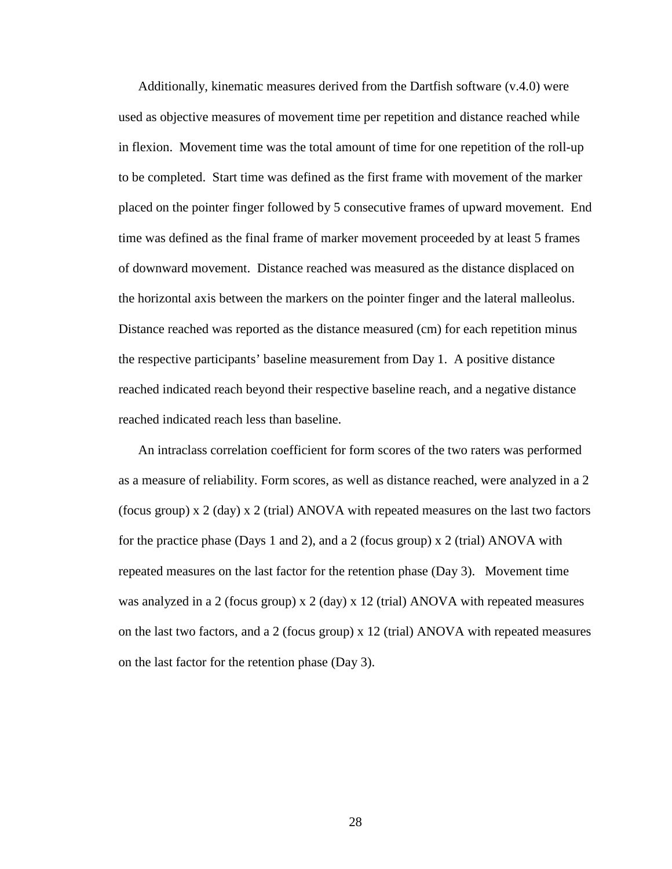Additionally, kinematic measures derived from the Dartfish software (v.4.0) were used as objective measures of movement time per repetition and distance reached while in flexion. Movement time was the total amount of time for one repetition of the roll-up to be completed. Start time was defined as the first frame with movement of the marker placed on the pointer finger followed by 5 consecutive frames of upward movement. End time was defined as the final frame of marker movement proceeded by at least 5 frames of downward movement. Distance reached was measured as the distance displaced on the horizontal axis between the markers on the pointer finger and the lateral malleolus. Distance reached was reported as the distance measured (cm) for each repetition minus the respective participants' baseline measurement from Day 1. A positive distance reached indicated reach beyond their respective baseline reach, and a negative distance reached indicated reach less than baseline.

An intraclass correlation coefficient for form scores of the two raters was performed as a measure of reliability. Form scores, as well as distance reached, were analyzed in a 2 (focus group) x 2 (day) x 2 (trial) ANOVA with repeated measures on the last two factors for the practice phase (Days 1 and 2), and a 2 (focus group) x 2 (trial) ANOVA with repeated measures on the last factor for the retention phase (Day 3). Movement time was analyzed in a 2 (focus group)  $x$  2 (day)  $x$  12 (trial) ANOVA with repeated measures on the last two factors, and a 2 (focus group) x 12 (trial) ANOVA with repeated measures on the last factor for the retention phase (Day 3).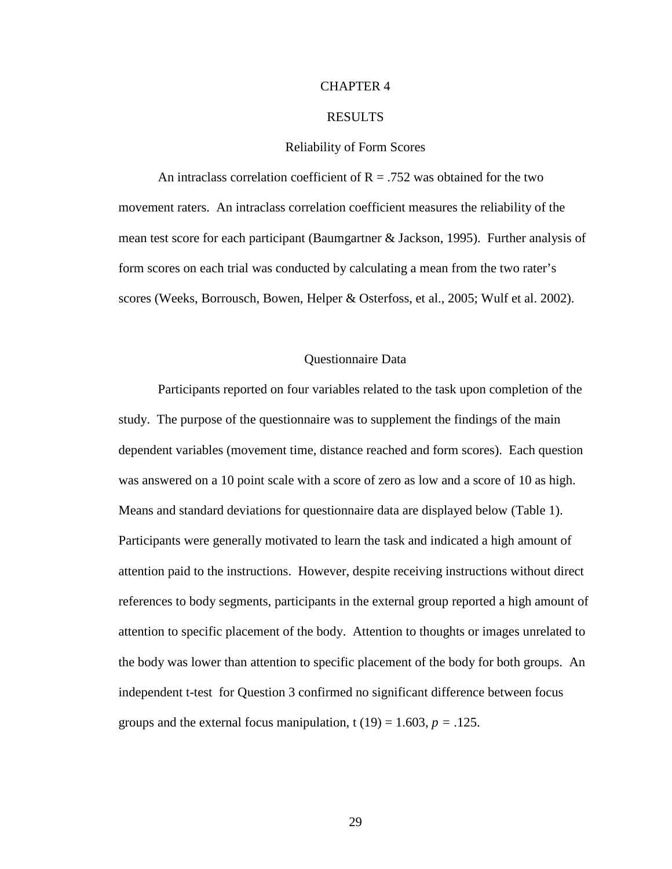## CHAPTER 4

#### RESULTS

#### Reliability of Form Scores

An intraclass correlation coefficient of  $R = .752$  was obtained for the two movement raters. An intraclass correlation coefficient measures the reliability of the mean test score for each participant (Baumgartner & Jackson, 1995). Further analysis of form scores on each trial was conducted by calculating a mean from the two rater's scores (Weeks, Borrousch, Bowen, Helper & Osterfoss, et al., 2005; Wulf et al. 2002).

#### Questionnaire Data

 Participants reported on four variables related to the task upon completion of the study. The purpose of the questionnaire was to supplement the findings of the main dependent variables (movement time, distance reached and form scores). Each question was answered on a 10 point scale with a score of zero as low and a score of 10 as high. Means and standard deviations for questionnaire data are displayed below (Table 1). Participants were generally motivated to learn the task and indicated a high amount of attention paid to the instructions. However, despite receiving instructions without direct references to body segments, participants in the external group reported a high amount of attention to specific placement of the body. Attention to thoughts or images unrelated to the body was lower than attention to specific placement of the body for both groups. An independent t-test for Question 3 confirmed no significant difference between focus groups and the external focus manipulation,  $t(19) = 1.603$ ,  $p = .125$ .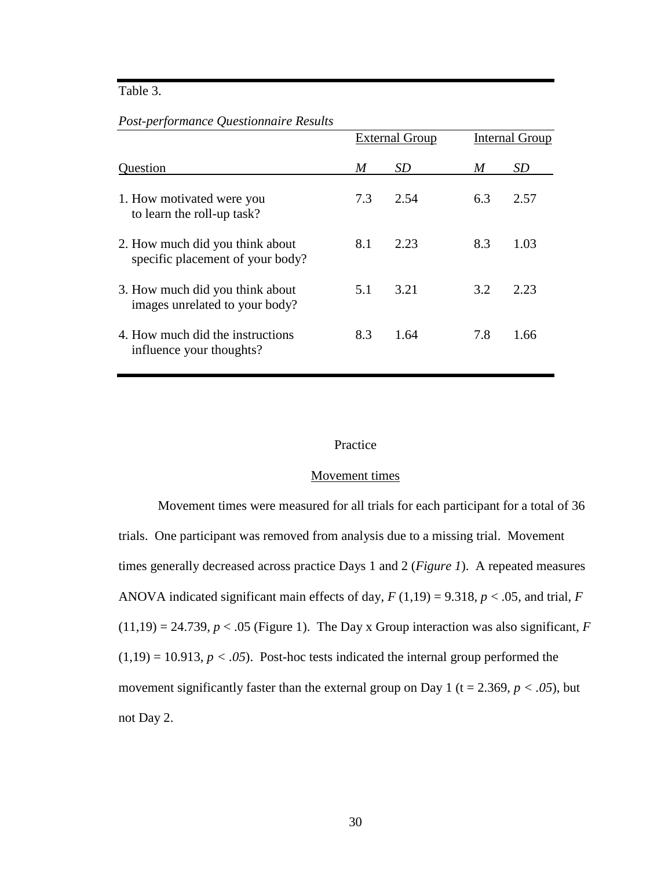# Table 3.

*Post-performance Questionnaire Results* 

|                                                                     |     | <b>External Group</b> |     | Internal Group |
|---------------------------------------------------------------------|-----|-----------------------|-----|----------------|
| Question                                                            | M   | <i>SD</i>             | M   | SD             |
| 1. How motivated were you<br>to learn the roll-up task?             | 7.3 | 2.54                  | 6.3 | 2.57           |
| 2. How much did you think about<br>specific placement of your body? | 8.1 | 2.23                  | 8.3 | 1.03           |
| 3. How much did you think about<br>images unrelated to your body?   | 5.1 | 3.21                  | 3.2 | 2.23           |
| 4. How much did the instructions<br>influence your thoughts?        | 8.3 | 1.64                  | 7.8 | 1.66           |

## Practice

#### Movement times

 Movement times were measured for all trials for each participant for a total of 36 trials. One participant was removed from analysis due to a missing trial. Movement times generally decreased across practice Days 1 and 2 (*Figure 1*). A repeated measures ANOVA indicated significant main effects of day, *F* (1,19) = 9.318, *p* < .05, and trial, *F*  $(11,19) = 24.739, p < .05$  (Figure 1). The Day x Group interaction was also significant, *F*  $(1,19) = 10.913$ ,  $p < .05$ ). Post-hoc tests indicated the internal group performed the movement significantly faster than the external group on Day 1 ( $t = 2.369$ ,  $p < .05$ ), but not Day 2.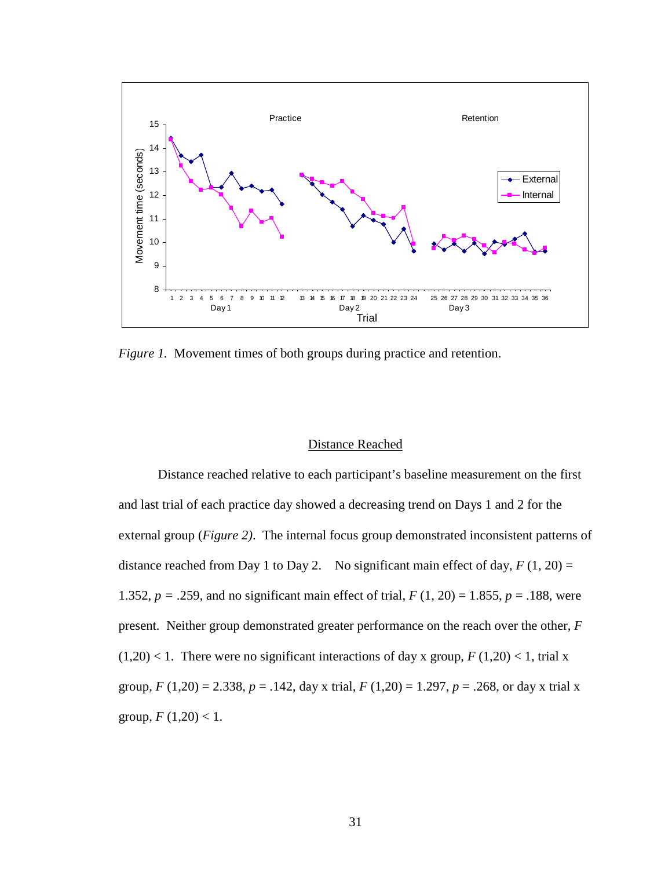

*Figure 1.* Movement times of both groups during practice and retention.

#### Distance Reached

 Distance reached relative to each participant's baseline measurement on the first and last trial of each practice day showed a decreasing trend on Days 1 and 2 for the external group (*Figure 2)*. The internal focus group demonstrated inconsistent patterns of distance reached from Day 1 to Day 2. No significant main effect of day,  $F(1, 20) =$ 1.352, *p =* .259, and no significant main effect of trial, *F* (1, 20) = 1.855, *p* = .188, were present. Neither group demonstrated greater performance on the reach over the other, *F*   $(1,20)$  < 1. There were no significant interactions of day x group,  $F(1,20)$  < 1, trial x group, *F* (1,20) = 2.338, *p* = .142, day x trial, *F* (1,20) = 1.297, *p* = .268, or day x trial x group,  $F(1,20) < 1$ .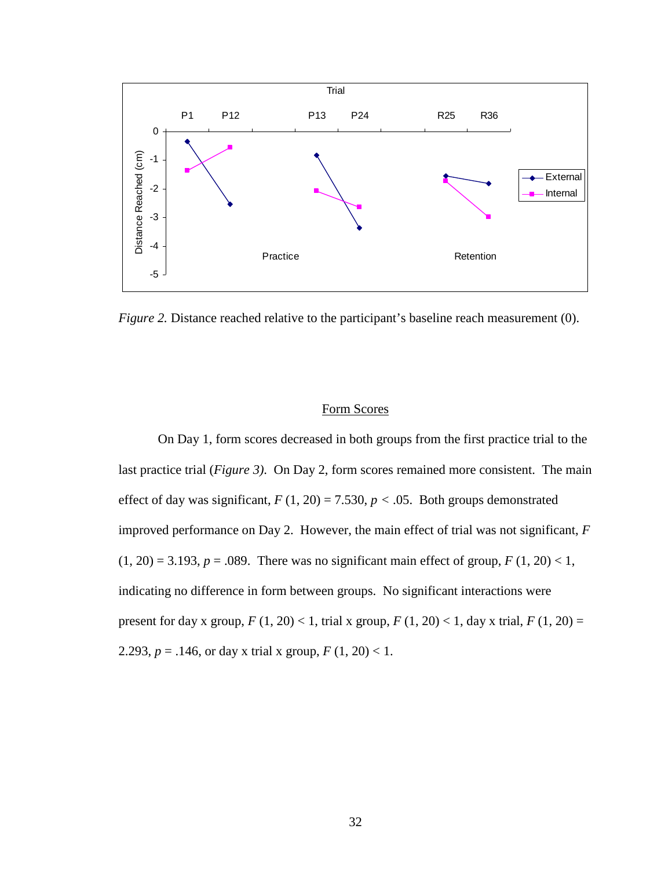

*Figure 2.* Distance reached relative to the participant's baseline reach measurement (0).

## Form Scores

 On Day 1, form scores decreased in both groups from the first practice trial to the last practice trial (*Figure 3)*. On Day 2, form scores remained more consistent. The main effect of day was significant,  $F(1, 20) = 7.530$ ,  $p < .05$ . Both groups demonstrated improved performance on Day 2. However, the main effect of trial was not significant, *F*  $(1, 20) = 3.193$ ,  $p = .089$ . There was no significant main effect of group,  $F(1, 20) < 1$ , indicating no difference in form between groups. No significant interactions were present for day x group,  $F(1, 20) < 1$ , trial x group,  $F(1, 20) < 1$ , day x trial,  $F(1, 20) =$ 2.293,  $p = .146$ , or day x trial x group,  $F(1, 20) < 1$ .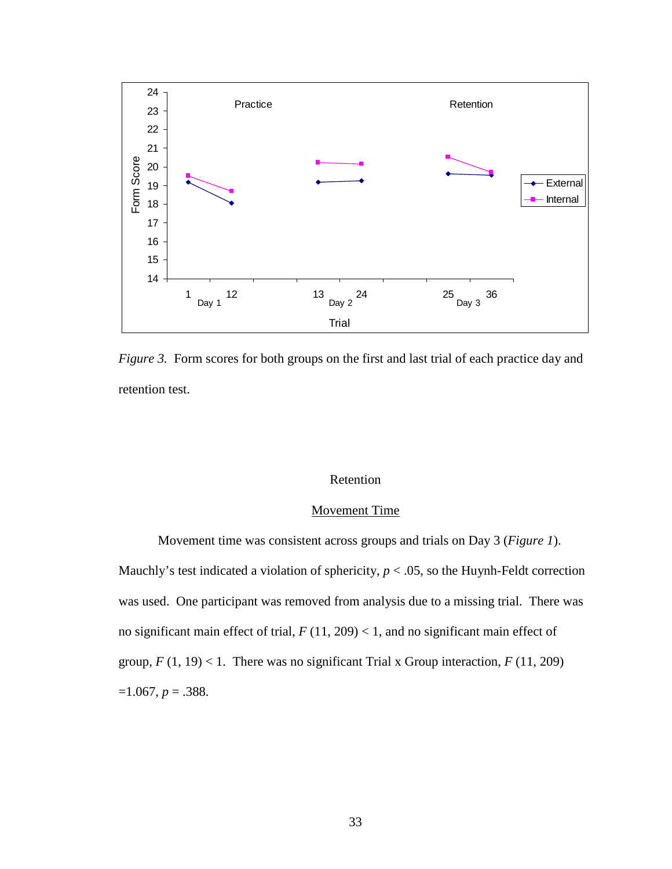

*Figure 3.* Form scores for both groups on the first and last trial of each practice day and retention test.

## Retention

# Movement Time

Movement time was consistent across groups and trials on Day 3 (*Figure 1*).

Mauchly's test indicated a violation of sphericity,  $p < .05$ , so the Huynh-Feldt correction was used. One participant was removed from analysis due to a missing trial. There was no significant main effect of trial,  $F(11, 209) < 1$ , and no significant main effect of group,  $F(1, 19) < 1$ . There was no significant Trial x Group interaction,  $F(11, 209)$  $=1.067, p=.388.$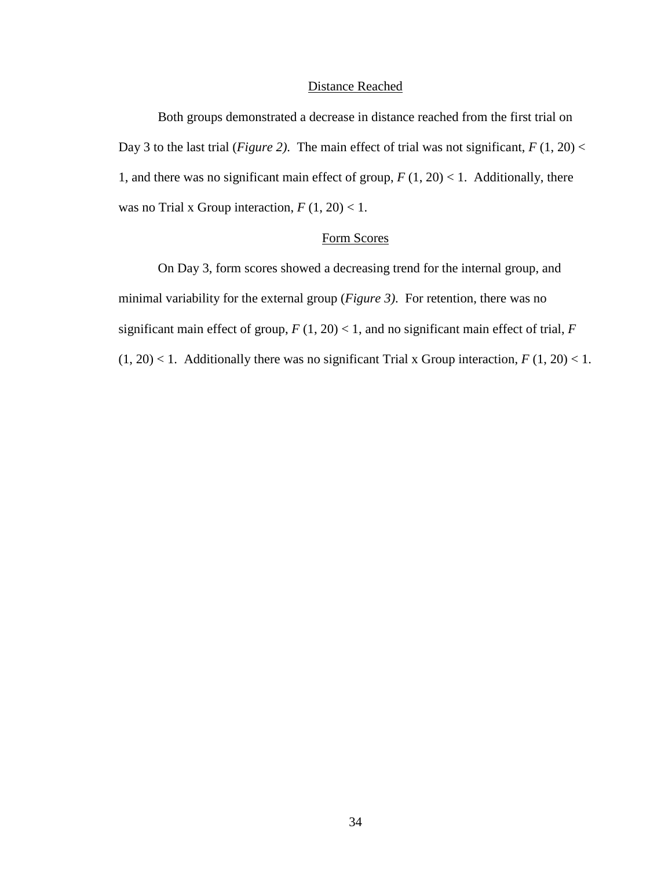## Distance Reached

 Both groups demonstrated a decrease in distance reached from the first trial on Day 3 to the last trial (*Figure 2*). The main effect of trial was not significant,  $F(1, 20)$  < 1, and there was no significant main effect of group,  $F(1, 20) < 1$ . Additionally, there was no Trial x Group interaction,  $F(1, 20) < 1$ .

# Form Scores

 On Day 3, form scores showed a decreasing trend for the internal group, and minimal variability for the external group (*Figure 3)*. For retention, there was no significant main effect of group,  $F(1, 20) < 1$ , and no significant main effect of trial,  $F$  $(1, 20)$  < 1. Additionally there was no significant Trial x Group interaction,  $F(1, 20)$  < 1.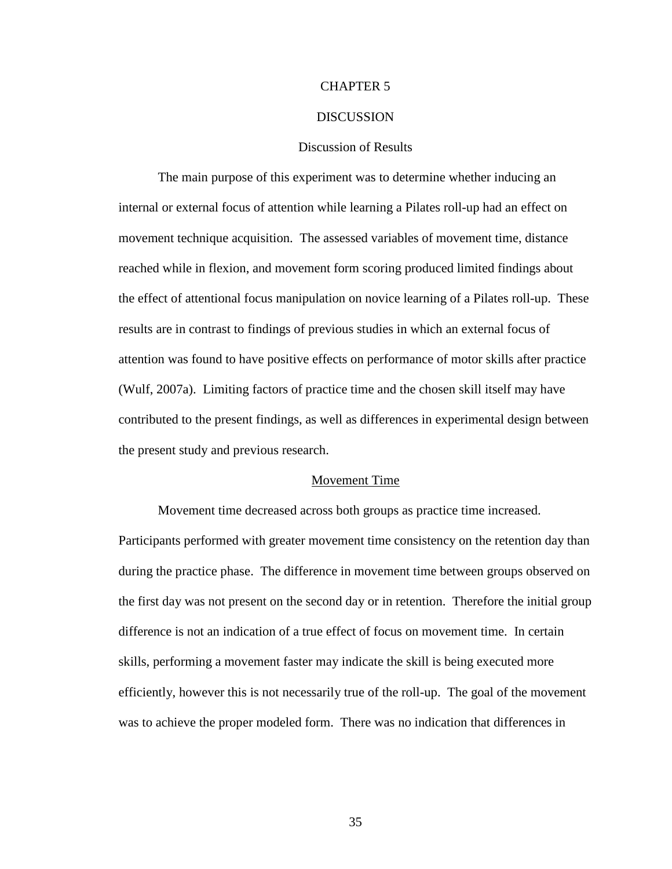## CHAPTER 5

#### **DISCUSSION**

## Discussion of Results

 The main purpose of this experiment was to determine whether inducing an internal or external focus of attention while learning a Pilates roll-up had an effect on movement technique acquisition. The assessed variables of movement time, distance reached while in flexion, and movement form scoring produced limited findings about the effect of attentional focus manipulation on novice learning of a Pilates roll-up. These results are in contrast to findings of previous studies in which an external focus of attention was found to have positive effects on performance of motor skills after practice (Wulf, 2007a). Limiting factors of practice time and the chosen skill itself may have contributed to the present findings, as well as differences in experimental design between the present study and previous research.

#### Movement Time

 Movement time decreased across both groups as practice time increased. Participants performed with greater movement time consistency on the retention day than during the practice phase. The difference in movement time between groups observed on the first day was not present on the second day or in retention. Therefore the initial group difference is not an indication of a true effect of focus on movement time. In certain skills, performing a movement faster may indicate the skill is being executed more efficiently, however this is not necessarily true of the roll-up. The goal of the movement was to achieve the proper modeled form. There was no indication that differences in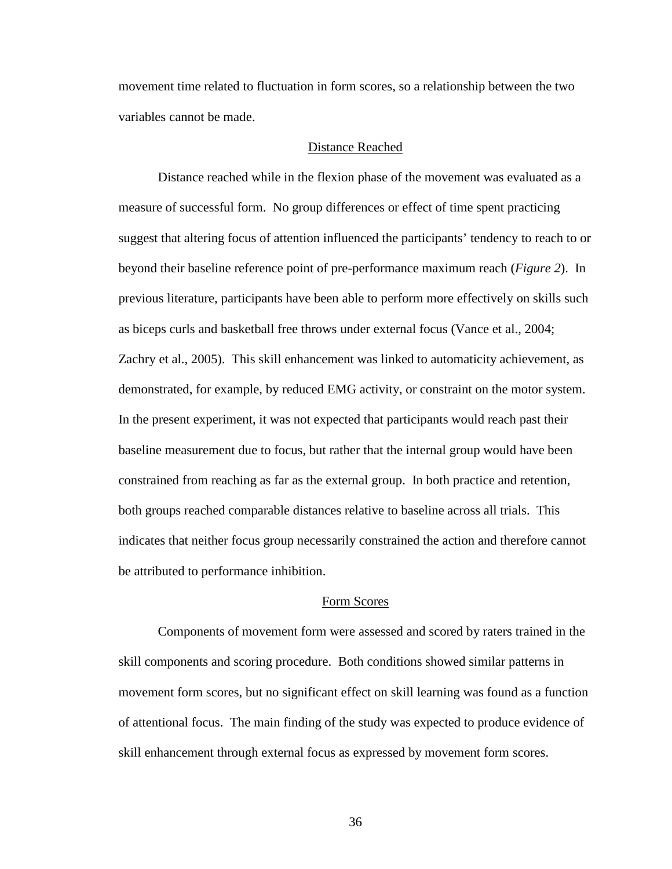movement time related to fluctuation in form scores, so a relationship between the two variables cannot be made.

#### Distance Reached

 Distance reached while in the flexion phase of the movement was evaluated as a measure of successful form. No group differences or effect of time spent practicing suggest that altering focus of attention influenced the participants' tendency to reach to or beyond their baseline reference point of pre-performance maximum reach (*Figure 2*). In previous literature, participants have been able to perform more effectively on skills such as biceps curls and basketball free throws under external focus (Vance et al., 2004; Zachry et al., 2005). This skill enhancement was linked to automaticity achievement, as demonstrated, for example, by reduced EMG activity, or constraint on the motor system. In the present experiment, it was not expected that participants would reach past their baseline measurement due to focus, but rather that the internal group would have been constrained from reaching as far as the external group. In both practice and retention, both groups reached comparable distances relative to baseline across all trials. This indicates that neither focus group necessarily constrained the action and therefore cannot be attributed to performance inhibition.

#### Form Scores

 Components of movement form were assessed and scored by raters trained in the skill components and scoring procedure. Both conditions showed similar patterns in movement form scores, but no significant effect on skill learning was found as a function of attentional focus. The main finding of the study was expected to produce evidence of skill enhancement through external focus as expressed by movement form scores.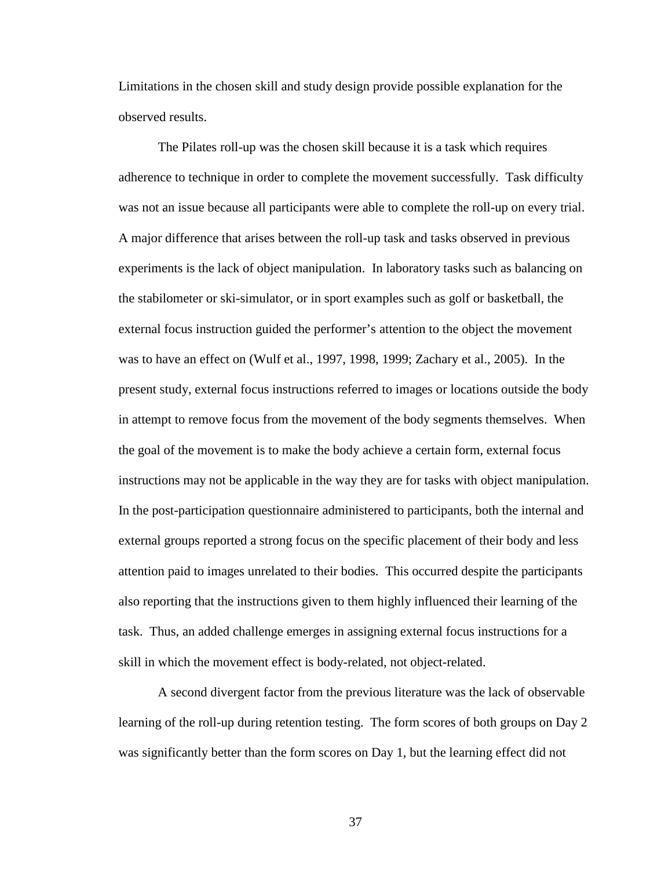Limitations in the chosen skill and study design provide possible explanation for the observed results.

 The Pilates roll-up was the chosen skill because it is a task which requires adherence to technique in order to complete the movement successfully. Task difficulty was not an issue because all participants were able to complete the roll-up on every trial. A major difference that arises between the roll-up task and tasks observed in previous experiments is the lack of object manipulation. In laboratory tasks such as balancing on the stabilometer or ski-simulator, or in sport examples such as golf or basketball, the external focus instruction guided the performer's attention to the object the movement was to have an effect on (Wulf et al., 1997, 1998, 1999; Zachary et al., 2005). In the present study, external focus instructions referred to images or locations outside the body in attempt to remove focus from the movement of the body segments themselves. When the goal of the movement is to make the body achieve a certain form, external focus instructions may not be applicable in the way they are for tasks with object manipulation. In the post-participation questionnaire administered to participants, both the internal and external groups reported a strong focus on the specific placement of their body and less attention paid to images unrelated to their bodies. This occurred despite the participants also reporting that the instructions given to them highly influenced their learning of the task. Thus, an added challenge emerges in assigning external focus instructions for a skill in which the movement effect is body-related, not object-related.

 A second divergent factor from the previous literature was the lack of observable learning of the roll-up during retention testing. The form scores of both groups on Day 2 was significantly better than the form scores on Day 1, but the learning effect did not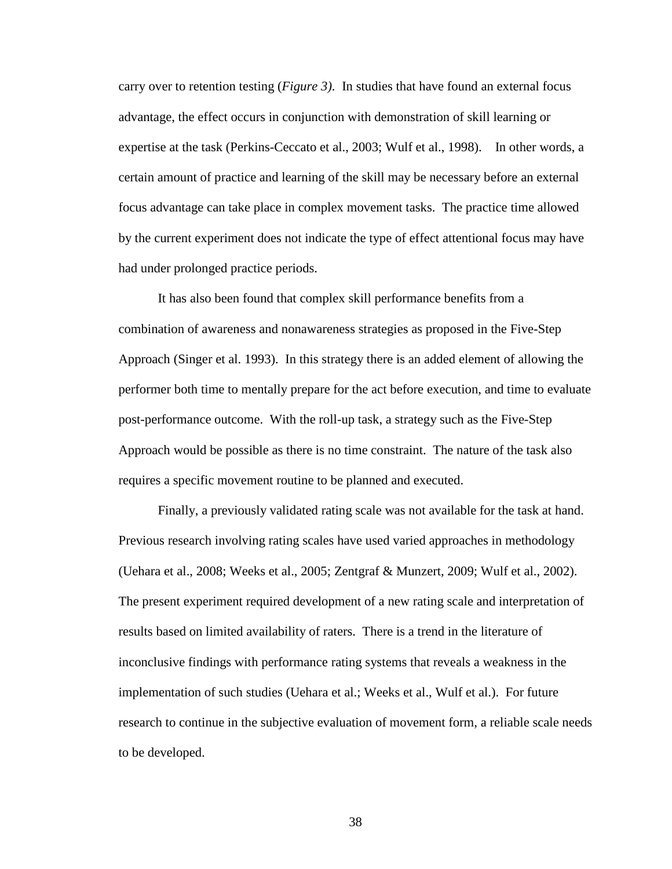carry over to retention testing (*Figure 3)*. In studies that have found an external focus advantage, the effect occurs in conjunction with demonstration of skill learning or expertise at the task (Perkins-Ceccato et al., 2003; Wulf et al., 1998). In other words, a certain amount of practice and learning of the skill may be necessary before an external focus advantage can take place in complex movement tasks. The practice time allowed by the current experiment does not indicate the type of effect attentional focus may have had under prolonged practice periods.

 It has also been found that complex skill performance benefits from a combination of awareness and nonawareness strategies as proposed in the Five-Step Approach (Singer et al. 1993). In this strategy there is an added element of allowing the performer both time to mentally prepare for the act before execution, and time to evaluate post-performance outcome. With the roll-up task, a strategy such as the Five-Step Approach would be possible as there is no time constraint. The nature of the task also requires a specific movement routine to be planned and executed.

 Finally, a previously validated rating scale was not available for the task at hand. Previous research involving rating scales have used varied approaches in methodology (Uehara et al., 2008; Weeks et al., 2005; Zentgraf & Munzert, 2009; Wulf et al., 2002). The present experiment required development of a new rating scale and interpretation of results based on limited availability of raters. There is a trend in the literature of inconclusive findings with performance rating systems that reveals a weakness in the implementation of such studies (Uehara et al.; Weeks et al., Wulf et al.). For future research to continue in the subjective evaluation of movement form, a reliable scale needs to be developed.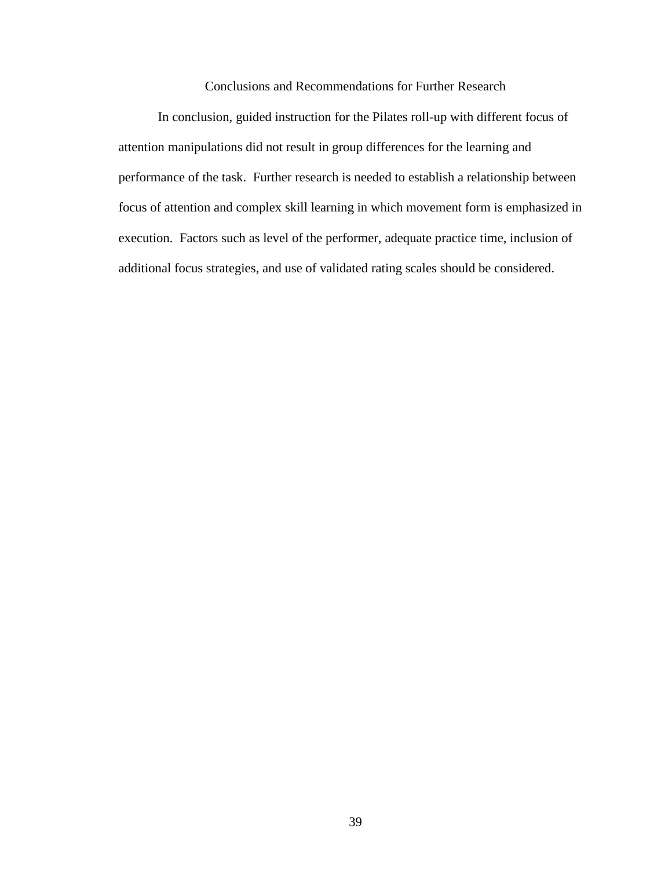Conclusions and Recommendations for Further Research

 In conclusion, guided instruction for the Pilates roll-up with different focus of attention manipulations did not result in group differences for the learning and performance of the task. Further research is needed to establish a relationship between focus of attention and complex skill learning in which movement form is emphasized in execution. Factors such as level of the performer, adequate practice time, inclusion of additional focus strategies, and use of validated rating scales should be considered.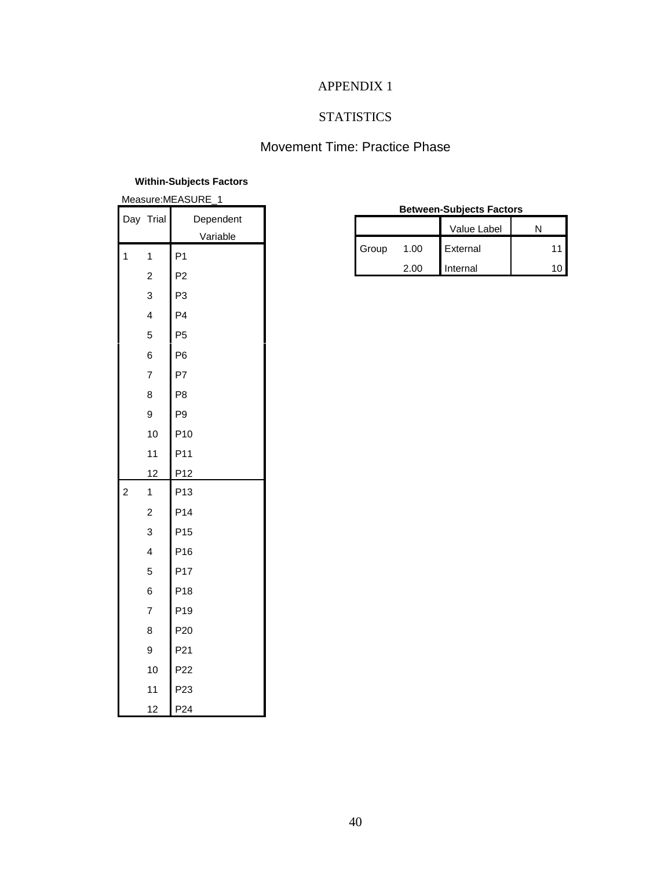# APPENDIX 1

# **STATISTICS**

# Movement Time: Practice Phase

## **Within-Subjects Factors**

| Measure:MEASURE_1 |                |                 |  |  |  |  |
|-------------------|----------------|-----------------|--|--|--|--|
|                   | Day Trial      | Dependent       |  |  |  |  |
|                   |                | Variable        |  |  |  |  |
| 1                 | 1              | P <sub>1</sub>  |  |  |  |  |
|                   | $\overline{c}$ | P <sub>2</sub>  |  |  |  |  |
|                   | 3              | P3              |  |  |  |  |
|                   | 4              | P <sub>4</sub>  |  |  |  |  |
|                   | 5              | P <sub>5</sub>  |  |  |  |  |
|                   | 6              | P <sub>6</sub>  |  |  |  |  |
|                   | $\overline{7}$ | P7              |  |  |  |  |
|                   | 8              | P <sub>8</sub>  |  |  |  |  |
|                   | 9              | P9              |  |  |  |  |
|                   | 10             | P <sub>10</sub> |  |  |  |  |
|                   | 11             | P11             |  |  |  |  |
|                   | 12             | P12             |  |  |  |  |
| $\overline{c}$    | 1              | P <sub>13</sub> |  |  |  |  |
|                   | $\overline{c}$ | P14             |  |  |  |  |
|                   | 3              | P <sub>15</sub> |  |  |  |  |
|                   | 4              | P <sub>16</sub> |  |  |  |  |
|                   | 5              | P17             |  |  |  |  |
|                   | 6              | P18             |  |  |  |  |
|                   | $\overline{7}$ | P19             |  |  |  |  |
|                   | 8              | P <sub>20</sub> |  |  |  |  |
|                   | 9              | P21             |  |  |  |  |
|                   | 10             | P <sub>22</sub> |  |  |  |  |
|                   | 11             | P <sub>23</sub> |  |  |  |  |
|                   | 12             | P <sub>24</sub> |  |  |  |  |

| <b>Between-Subjects Factors</b> |      |          |    |  |  |  |  |
|---------------------------------|------|----------|----|--|--|--|--|
| Value Label                     |      |          |    |  |  |  |  |
| Group                           | 1.00 | External | 11 |  |  |  |  |
|                                 | 2.00 | Internal |    |  |  |  |  |
|                                 |      |          |    |  |  |  |  |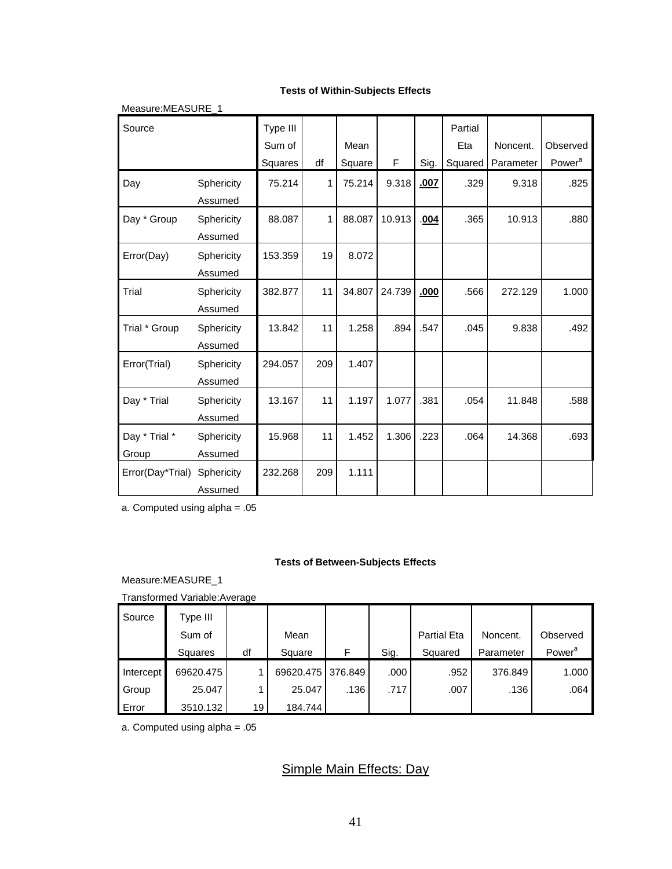#### **Tests of Within-Subjects Effects**

| Measure: MEASURE 1     |                       |                    |     |        |        |      |                |           |                    |
|------------------------|-----------------------|--------------------|-----|--------|--------|------|----------------|-----------|--------------------|
| Source                 |                       | Type III<br>Sum of |     | Mean   |        |      | Partial<br>Eta | Noncent.  | Observed           |
|                        |                       | Squares            | df  | Square | F      | Sig. | Squared        | Parameter | Power <sup>a</sup> |
| Day                    | Sphericity<br>Assumed | 75.214             | 1   | 75.214 | 9.318  | .007 | .329           | 9.318     | .825               |
| Day * Group            | Sphericity<br>Assumed | 88.087             | 1   | 88.087 | 10.913 | .004 | .365           | 10.913    | .880               |
| Error(Day)             | Sphericity<br>Assumed | 153.359            | 19  | 8.072  |        |      |                |           |                    |
| Trial                  | Sphericity<br>Assumed | 382.877            | 11  | 34.807 | 24.739 | .000 | .566           | 272.129   | 1.000              |
| Trial * Group          | Sphericity<br>Assumed | 13.842             | 11  | 1.258  | .894   | .547 | .045           | 9.838     | .492               |
| Error(Trial)           | Sphericity<br>Assumed | 294.057            | 209 | 1.407  |        |      |                |           |                    |
| Day * Trial            | Sphericity<br>Assumed | 13.167             | 11  | 1.197  | 1.077  | .381 | .054           | 11.848    | .588               |
| Day * Trial *<br>Group | Sphericity<br>Assumed | 15.968             | 11  | 1.452  | 1.306  | .223 | .064           | 14.368    | .693               |
| Error(Day*Trial)       | Sphericity<br>Assumed | 232.268            | 209 | 1.111  |        |      |                |           |                    |

a. Computed using alpha = .05

#### **Tests of Between-Subjects Effects**

Measure:MEASURE\_1

Transformed Variable:Average

| Source    | Type III  |    |                   |      |      |                    |           |                    |
|-----------|-----------|----|-------------------|------|------|--------------------|-----------|--------------------|
|           | Sum of    |    | Mean              |      |      | <b>Partial Eta</b> | Noncent.  | Observed           |
|           | Squares   | df | Square            | F    | Sig. | Squared            | Parameter | Power <sup>a</sup> |
|           |           |    |                   |      |      |                    |           |                    |
| Intercept | 69620.475 |    | 69620.475 376.849 |      | .000 | .952               | 376.849   | 1.000              |
| Group     | 25.047    |    | 25.047            | .136 | .717 | .007               | .136      | .064               |

a. Computed using alpha = .05

# Simple Main Effects: Day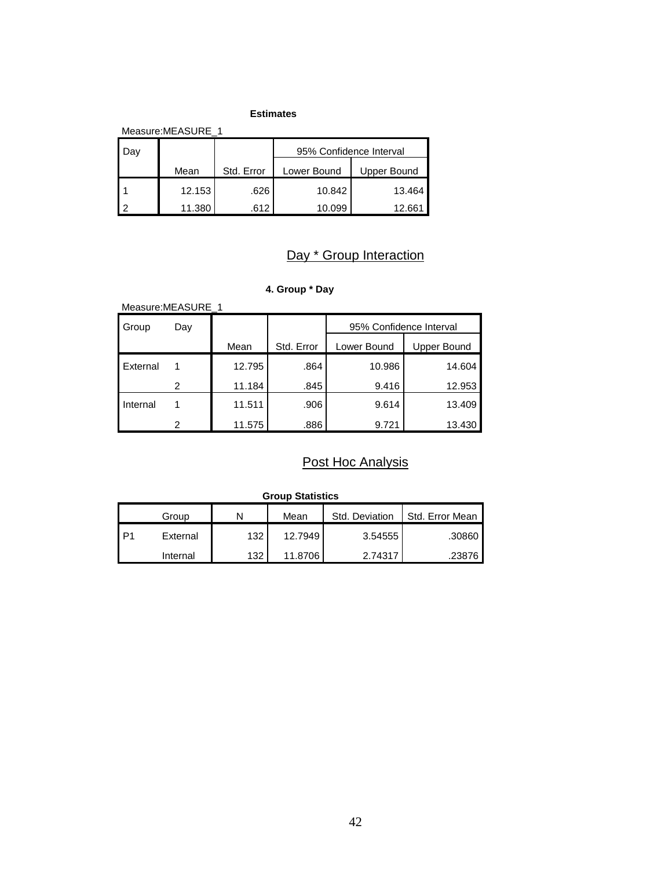#### **Estimates**

| Measure: MEASURE 1 |        |            |             |                         |  |  |  |  |  |  |
|--------------------|--------|------------|-------------|-------------------------|--|--|--|--|--|--|
| Jaγ                |        |            |             | 95% Confidence Interval |  |  |  |  |  |  |
|                    | Mean   | Std. Error | Lower Bound | Upper Bound             |  |  |  |  |  |  |
|                    | 12.153 | .626       | 10.842      | 13.464                  |  |  |  |  |  |  |
| ົ                  | 11.380 | .612       | 10.099      | 12.661                  |  |  |  |  |  |  |

# Day \* Group Interaction

# **4. Group \* Day**

| Measure: MEASURE 1 |     |        |            |                         |                    |  |  |  |  |  |
|--------------------|-----|--------|------------|-------------------------|--------------------|--|--|--|--|--|
| Group              | Day |        |            | 95% Confidence Interval |                    |  |  |  |  |  |
|                    |     | Mean   | Std. Error | Lower Bound             | <b>Upper Bound</b> |  |  |  |  |  |
| <b>External</b>    |     | 12.795 | .864       | 10.986                  | 14.604             |  |  |  |  |  |
|                    | 2   | 11.184 | .845       | 9.416                   | 12.953             |  |  |  |  |  |
| Internal           |     | 11.511 | .906       | 9.614                   | 13.409             |  |  |  |  |  |
|                    | 2   | 11.575 | .886       | 9.721                   | 13.430             |  |  |  |  |  |

# Post Hoc Analysis

|                 | <b>Group Statistics</b> |     |         |                |                 |  |  |  |  |  |
|-----------------|-------------------------|-----|---------|----------------|-----------------|--|--|--|--|--|
|                 | Group                   |     | Mean    | Std. Deviation | Std. Error Mean |  |  |  |  |  |
| IP <sub>1</sub> | External                | 132 | 12.7949 | 3.54555        | .30860          |  |  |  |  |  |
|                 | Internal                | 132 | 11.8706 | 2.74317        | .23876          |  |  |  |  |  |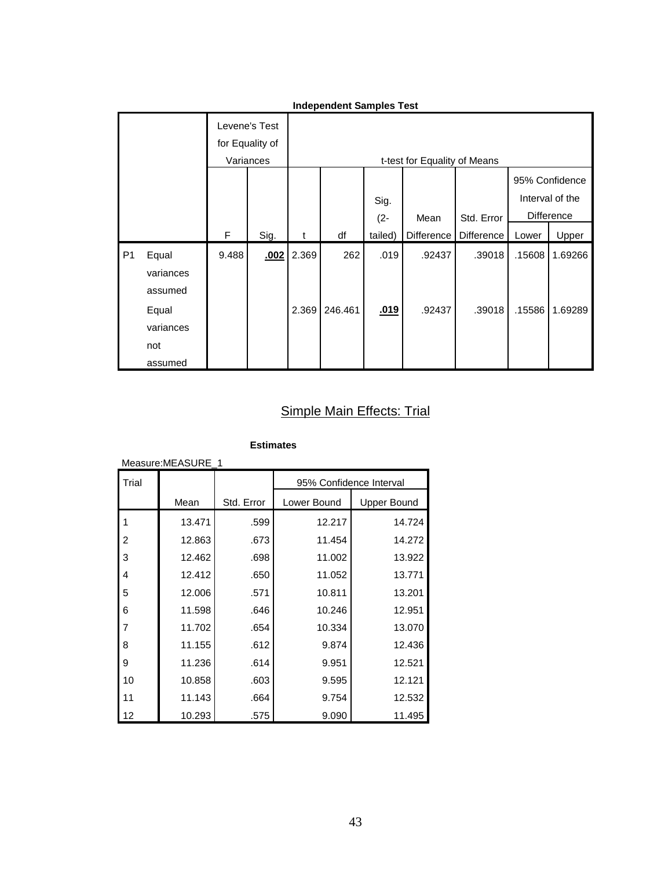|                | Independent Samples Test |       |                 |       |         |             |                              |            |        |                   |
|----------------|--------------------------|-------|-----------------|-------|---------|-------------|------------------------------|------------|--------|-------------------|
|                |                          |       | Levene's Test   |       |         |             |                              |            |        |                   |
|                |                          |       | for Equality of |       |         |             |                              |            |        |                   |
|                |                          |       | Variances       |       |         |             | t-test for Equality of Means |            |        |                   |
|                |                          |       |                 |       |         |             |                              |            |        | 95% Confidence    |
|                |                          |       |                 |       |         | Sig.        |                              |            |        | Interval of the   |
|                |                          |       |                 |       |         | $(2 -$      | Mean                         | Std. Error |        | <b>Difference</b> |
|                |                          | F     | Sig.            | t     | df      | tailed)     | Difference                   | Difference | Lower  | Upper             |
| P <sub>1</sub> | Equal                    | 9.488 | .002            | 2.369 | 262     | .019        | .92437                       | .39018     | .15608 | 1.69266           |
|                | variances                |       |                 |       |         |             |                              |            |        |                   |
|                | assumed                  |       |                 |       |         |             |                              |            |        |                   |
|                | Equal                    |       |                 | 2.369 | 246.461 | <u>.019</u> | .92437                       | .39018     | .15586 | 1.69289           |
|                | variances                |       |                 |       |         |             |                              |            |        |                   |
|                | not                      |       |                 |       |         |             |                              |            |        |                   |
|                | assumed                  |       |                 |       |         |             |                              |            |        |                   |

# **Independent Samples Test**

# Simple Main Effects: Trial

| Measure:MEASURE_1 |        |            |                         |                    |  |  |  |  |  |
|-------------------|--------|------------|-------------------------|--------------------|--|--|--|--|--|
| Trial             |        |            | 95% Confidence Interval |                    |  |  |  |  |  |
|                   | Mean   | Std. Error | Lower Bound             | <b>Upper Bound</b> |  |  |  |  |  |
| 1                 | 13.471 | .599       | 12.217                  | 14.724             |  |  |  |  |  |
| 2                 | 12.863 | .673       | 11.454                  | 14.272             |  |  |  |  |  |
| 3                 | 12.462 | .698       | 11.002                  | 13.922             |  |  |  |  |  |
| 4                 | 12.412 | .650       | 11.052                  | 13.771             |  |  |  |  |  |
| 5                 | 12.006 | .571       | 10.811                  | 13.201             |  |  |  |  |  |
| 6                 | 11.598 | .646       | 10.246                  | 12.951             |  |  |  |  |  |
| 7                 | 11.702 | .654       | 10.334                  | 13.070             |  |  |  |  |  |
| 8                 | 11.155 | .612       | 9.874                   | 12.436             |  |  |  |  |  |
| 9                 | 11.236 | .614       | 9.951                   | 12.521             |  |  |  |  |  |
| 10                | 10.858 | .603       | 9.595                   | 12.121             |  |  |  |  |  |
| 11                | 11.143 | .664       | 9.754                   | 12.532             |  |  |  |  |  |
| 12                | 10.293 | .575       | 9.090                   | 11.495             |  |  |  |  |  |

#### **Estimates**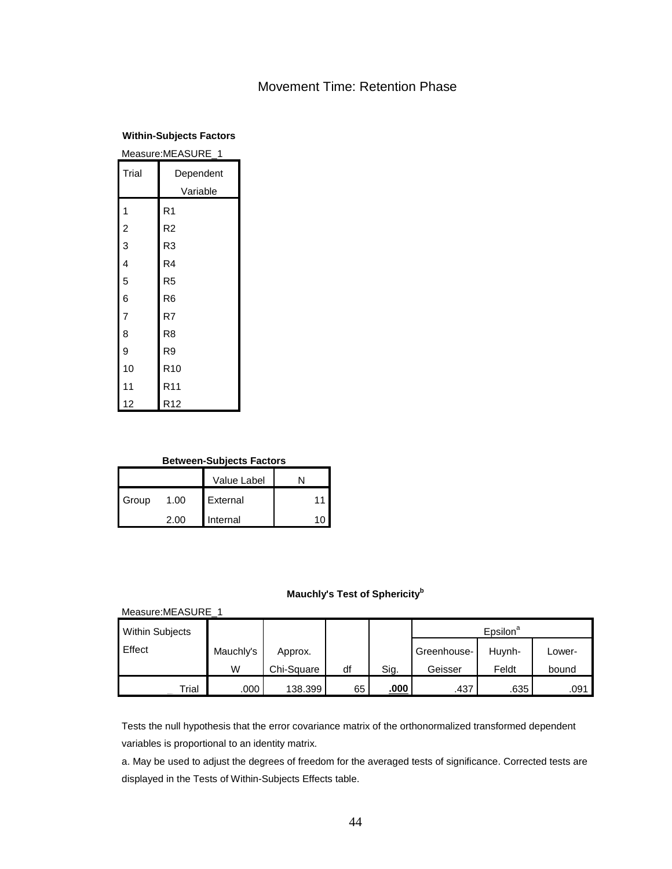# Movement Time: Retention Phase

#### **Within-Subjects Factors**

| Measure:MEASURE_1 |                 |  |  |  |  |  |
|-------------------|-----------------|--|--|--|--|--|
| Trial             | Dependent       |  |  |  |  |  |
|                   | Variable        |  |  |  |  |  |
| 1                 | R <sub>1</sub>  |  |  |  |  |  |
| $\overline{c}$    | R <sub>2</sub>  |  |  |  |  |  |
| 3                 | R <sub>3</sub>  |  |  |  |  |  |
| 4                 | R4              |  |  |  |  |  |
| 5                 | R <sub>5</sub>  |  |  |  |  |  |
| 6                 | R <sub>6</sub>  |  |  |  |  |  |
| $\overline{7}$    | R7              |  |  |  |  |  |
| 8                 | R <sub>8</sub>  |  |  |  |  |  |
| 9                 | R9              |  |  |  |  |  |
| 10                | R <sub>10</sub> |  |  |  |  |  |
| 11                | R <sub>11</sub> |  |  |  |  |  |
| 12                | R <sub>12</sub> |  |  |  |  |  |

#### **Between-Subjects Factors**

|       |      | Value Label |  |
|-------|------|-------------|--|
| Group | 1.00 | External    |  |
|       | 2.00 | Internal    |  |

# **Mauchly's Test of Sphericity<sup>b</sup>**

| Measure: MEASURE 1     |           |            |    |      |             |                      |        |  |  |  |  |
|------------------------|-----------|------------|----|------|-------------|----------------------|--------|--|--|--|--|
| <b>Within Subjects</b> |           |            |    |      |             | Epsilon <sup>a</sup> |        |  |  |  |  |
| <b>Effect</b>          | Mauchly's | Approx.    |    |      | Greenhouse- | Huynh-               | Lower- |  |  |  |  |
|                        | W         | Chi-Square | df | Sig. | Geisser     | Feldt                | bound  |  |  |  |  |
| Trial                  | .000      | 138.399    | 65 | .000 | .437        | .635                 | .091   |  |  |  |  |

Tests the null hypothesis that the error covariance matrix of the orthonormalized transformed dependent variables is proportional to an identity matrix.

a. May be used to adjust the degrees of freedom for the averaged tests of significance. Corrected tests are displayed in the Tests of Within-Subjects Effects table.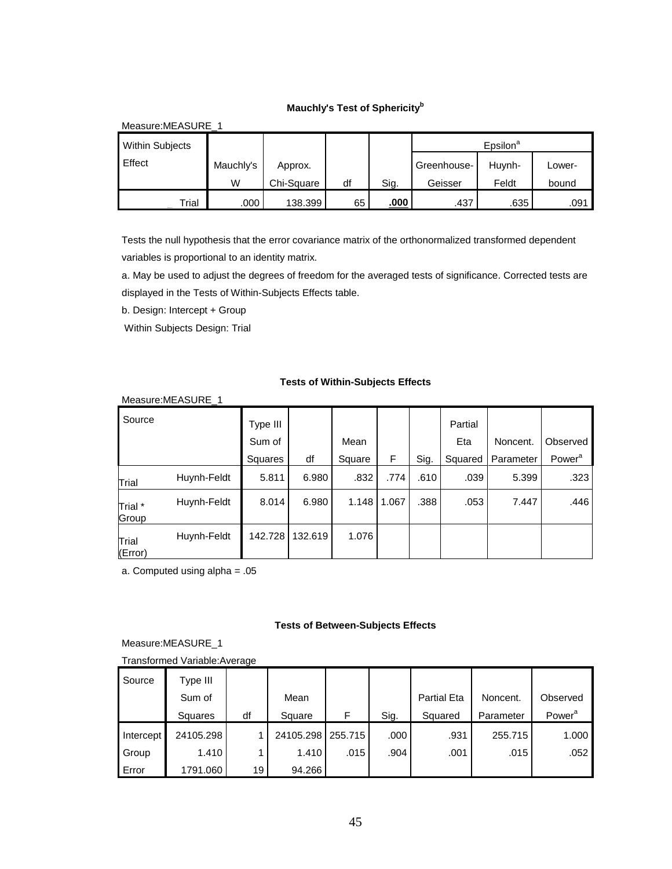#### **Mauchly's Test of Sphericity<sup>b</sup>**

| Measure: MEASURE 1     |           |            |    |             |             |                      |        |  |  |  |  |
|------------------------|-----------|------------|----|-------------|-------------|----------------------|--------|--|--|--|--|
| <b>Within Subjects</b> |           |            |    |             |             | Epsilon <sup>a</sup> |        |  |  |  |  |
| Effect                 | Mauchly's | Approx.    |    |             | Greenhouse- | Huvnh-               | Lower- |  |  |  |  |
|                        | W         | Chi-Square | df | Sig.        | Geisser     | Feldt                | bound  |  |  |  |  |
| Trial                  | .000      | 138.399    | 65 | <u>.000</u> | .437        | .635                 | .091   |  |  |  |  |

Tests the null hypothesis that the error covariance matrix of the orthonormalized transformed dependent variables is proportional to an identity matrix.

a. May be used to adjust the degrees of freedom for the averaged tests of significance. Corrected tests are displayed in the Tests of Within-Subjects Effects table.

b. Design: Intercept + Group

Within Subjects Design: Trial

#### **Tests of Within-Subjects Effects**

|                  | Measure: MEASURE 1 |                               |         |                |       |      |                           |                       |                                |
|------------------|--------------------|-------------------------------|---------|----------------|-------|------|---------------------------|-----------------------|--------------------------------|
| Source           |                    | Type III<br>Sum of<br>Squares | df      | Mean<br>Square | F     | Sig. | Partial<br>Eta<br>Squared | Noncent.<br>Parameter | Observed<br>Power <sup>a</sup> |
| Trial            | Huynh-Feldt        | 5.811                         | 6.980   | .832           | .774  | .610 | .039                      | 5.399                 | .323                           |
| Trial *<br>Group | Huynh-Feldt        | 8.014                         | 6.980   | 1.148          | 1.067 | .388 | .053                      | 7.447                 | .446                           |
| Trial<br>(Error) | Huynh-Feldt        | 142.728                       | 132.619 | 1.076          |       |      |                           |                       |                                |

a. Computed using alpha = .05

#### **Tests of Between-Subjects Effects**

Measure:MEASURE\_1

| Transformed Variable: Average |  |
|-------------------------------|--|
|-------------------------------|--|

| Source             | Type III  |    |           |         |      |                    |           |                    |
|--------------------|-----------|----|-----------|---------|------|--------------------|-----------|--------------------|
|                    | Sum of    |    | Mean      |         |      | <b>Partial Eta</b> | Noncent.  | Observed           |
|                    | Squares   | df | Square    | F       | Sig. | Squared            | Parameter | Power <sup>a</sup> |
|                    |           |    |           |         |      |                    |           |                    |
|                    | 24105.298 |    | 24105.298 | 255.715 | .000 | .931               | 255.715   | 1.000              |
| Intercept<br>Group | 1.410     |    | 1.410     | .015    | .904 | .001               | .015      | .052               |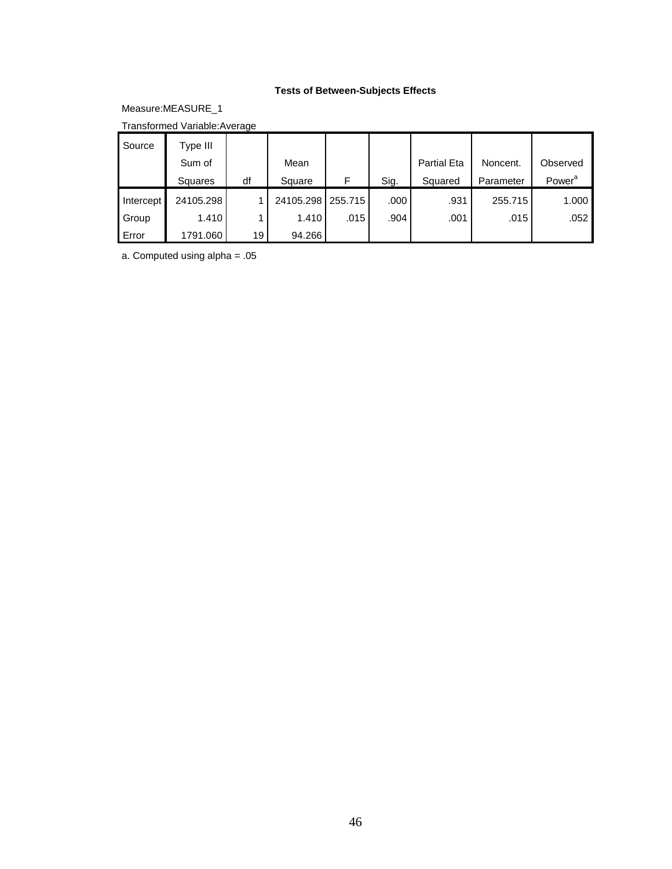#### **Tests of Between-Subjects Effects**

Measure:MEASURE\_1

Transformed Variable:Average

| Source    | Type III  |    |           |         |      |                    |           |                    |
|-----------|-----------|----|-----------|---------|------|--------------------|-----------|--------------------|
|           | Sum of    |    | Mean      |         |      | <b>Partial Eta</b> | Noncent.  | Observed           |
|           | Squares   | df | Square    | F       | Sig. | Squared            | Parameter | Power <sup>a</sup> |
| Intercept | 24105.298 |    | 24105.298 | 255.715 | .000 | .931               | 255.715   | 1.000              |
| Group     | 1.410     |    | 1.410     | .015    | .904 | .001               | .015      | .052               |
| Error     | 1791.060  | 19 | 94.266    |         |      |                    |           |                    |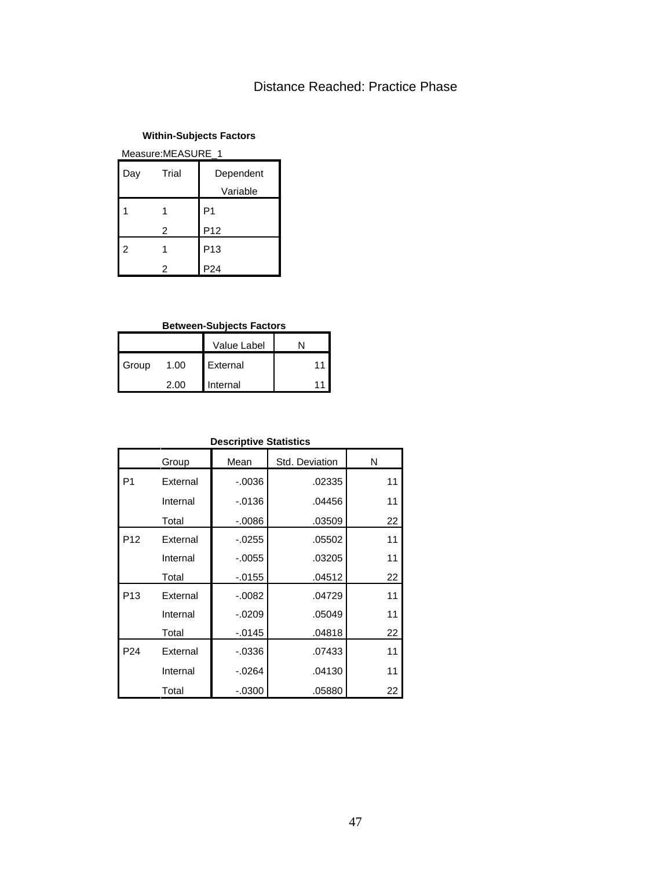# Distance Reached: Practice Phase

#### **Within-Subjects Factors**

Measure:MEASURE\_1

| Day | Trial | Dependent<br>Variable |
|-----|-------|-----------------------|
|     | 1     | P1                    |
|     | 2     | P12                   |
| 2   | 1     | P <sub>13</sub>       |
|     | 2     | P <sub>24</sub>       |

## **Between-Subjects Factors**

|       |      | Value Label |    |
|-------|------|-------------|----|
| Group | 1.00 | External    | 11 |
|       | 2 UU | Internal    |    |

| <b>Descriptive Statistics</b> |          |           |                |    |  |  |  |  |  |
|-------------------------------|----------|-----------|----------------|----|--|--|--|--|--|
|                               | Group    | Mean      | Std. Deviation | N  |  |  |  |  |  |
| P <sub>1</sub>                | External | $-0.0036$ | .02335         | 11 |  |  |  |  |  |
|                               | Internal | $-0.0136$ | .04456         | 11 |  |  |  |  |  |
|                               | Total    | $-0.0086$ | .03509         | 22 |  |  |  |  |  |
| P <sub>12</sub>               | External | $-0.0255$ | .05502         | 11 |  |  |  |  |  |
|                               | Internal | $-0.0055$ | .03205         | 11 |  |  |  |  |  |
|                               | Total    | $-0.0155$ | .04512         | 22 |  |  |  |  |  |
| P <sub>13</sub>               | External | $-0.0082$ | .04729         | 11 |  |  |  |  |  |
|                               | Internal | $-0.0209$ | .05049         | 11 |  |  |  |  |  |
|                               | Total    | $-0145$   | .04818         | 22 |  |  |  |  |  |
| P <sub>24</sub>               | External | $-0.0336$ | .07433         | 11 |  |  |  |  |  |
|                               | Internal | $-0.0264$ | .04130         | 11 |  |  |  |  |  |
|                               | Total    | $-0.0300$ | .05880         | 22 |  |  |  |  |  |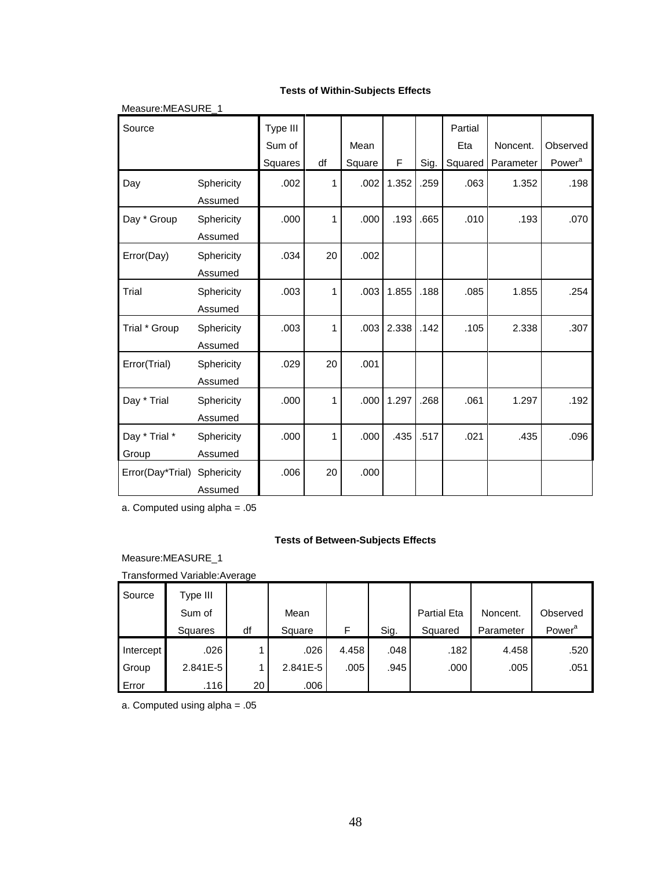#### **Tests of Within-Subjects Effects**

| Measure: MEASURE 1 |            |                    |    |        |       |      |                |           |                    |
|--------------------|------------|--------------------|----|--------|-------|------|----------------|-----------|--------------------|
| Source             |            | Type III<br>Sum of |    | Mean   |       |      | Partial<br>Eta | Noncent.  | Observed           |
|                    |            | Squares            | df | Square | F     | Sig. | Squared        | Parameter | Power <sup>a</sup> |
| Day                | Sphericity | .002               | 1  | .002   | 1.352 | .259 | .063           | 1.352     | .198               |
|                    | Assumed    |                    |    |        |       |      |                |           |                    |
| Day * Group        | Sphericity | .000               | 1  | .000   | .193  | .665 | .010           | .193      | .070               |
|                    | Assumed    |                    |    |        |       |      |                |           |                    |
| Error(Day)         | Sphericity | .034               | 20 | .002   |       |      |                |           |                    |
|                    | Assumed    |                    |    |        |       |      |                |           |                    |
| Trial              | Sphericity | .003               | 1  | .003   | 1.855 | .188 | .085           | 1.855     | .254               |
|                    | Assumed    |                    |    |        |       |      |                |           |                    |
| Trial * Group      | Sphericity | .003               | 1  | .003   | 2.338 | .142 | .105           | 2.338     | .307               |
|                    | Assumed    |                    |    |        |       |      |                |           |                    |
| Error(Trial)       | Sphericity | .029               | 20 | .001   |       |      |                |           |                    |
|                    | Assumed    |                    |    |        |       |      |                |           |                    |
| Day * Trial        | Sphericity | .000               | 1  | .000   | 1.297 | .268 | .061           | 1.297     | .192               |
|                    | Assumed    |                    |    |        |       |      |                |           |                    |
| Day * Trial *      | Sphericity | .000               | 1  | .000   | .435  | .517 | .021           | .435      | .096               |
| Group              | Assumed    |                    |    |        |       |      |                |           |                    |
| Error(Day*Trial)   | Sphericity | .006               | 20 | .000   |       |      |                |           |                    |
|                    | Assumed    |                    |    |        |       |      |                |           |                    |

a. Computed using alpha = .05

#### **Tests of Between-Subjects Effects**

Measure:MEASURE\_1

Transformed Variable:Average

| Source    | Type III     |    |              |       |      |                    |           |                    |
|-----------|--------------|----|--------------|-------|------|--------------------|-----------|--------------------|
|           | Sum of       |    | Mean         |       |      | <b>Partial Eta</b> | Noncent.  | Observed           |
|           | Squares      | df | Square       | F     | Sig. | Squared            | Parameter | Power <sup>a</sup> |
| Intercept | .026         |    | .026         | 4.458 | .048 | .182               | 4.458     | .520               |
| Group     | $2.841E - 5$ |    | $2.841E - 5$ | .005  | .945 | .000               | .005      | .051               |
| Error     | .116         | 20 | .006         |       |      |                    |           |                    |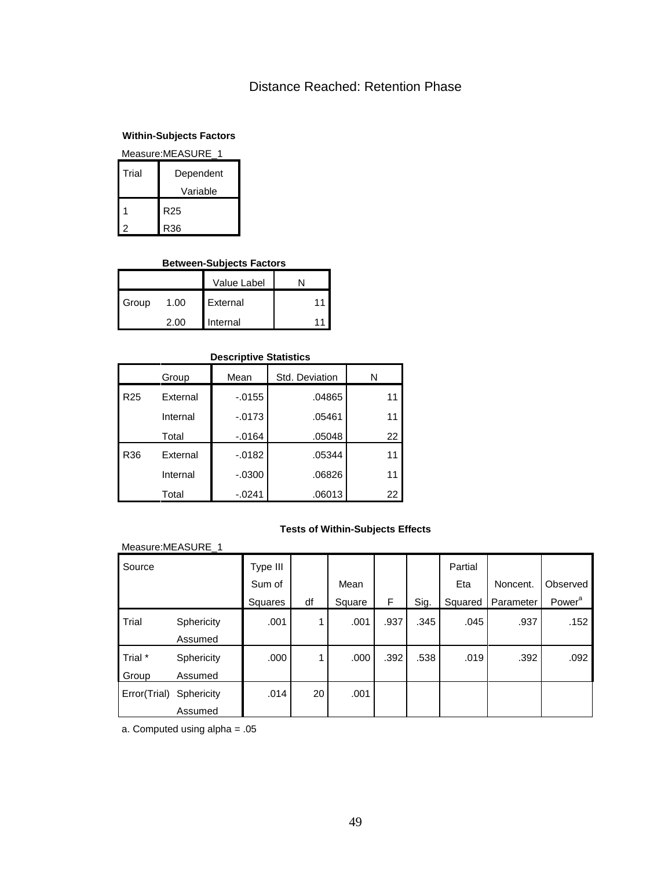# Distance Reached: Retention Phase

## **Within-Subjects Factors**

#### Measure:MEASURE\_1

| Trial | Dependent |
|-------|-----------|
|       | Variable  |
|       | R25       |
|       | R36       |

#### **Between-Subjects Factors**

|       |      | Value Label |    |
|-------|------|-------------|----|
| Group | 1.00 | External    | 11 |
|       | 2 UU | Internal    | 11 |

#### **Descriptive Statistics**

|                 | Group    | Mean      | Std. Deviation | N  |
|-----------------|----------|-----------|----------------|----|
| R <sub>25</sub> | External | $-0.0155$ | .04865         | 11 |
|                 | Internal | $-0173$   | .05461         | 11 |
|                 | Total    | $-0.0164$ | .05048         | 22 |
| R36             | External | $-0.0182$ | .05344         | 11 |
|                 | Internal | $-0.0300$ | .06826         | 11 |
|                 | Total    | $-0241$   | .06013         | 22 |

#### **Tests of Within-Subjects Effects**

#### Measure:MEASURE\_1

| Source       |            | Type III |                 |        |      |      | Partial |           |                    |
|--------------|------------|----------|-----------------|--------|------|------|---------|-----------|--------------------|
|              |            | Sum of   |                 | Mean   |      |      | Eta     | Noncent.  | Observed           |
|              |            | Squares  | df              | Square | F.   | Sig. | Squared | Parameter | Power <sup>a</sup> |
| Trial        | Sphericity | .001     | 1               | .001   | .937 | .345 | .045    | .937      | .152               |
|              | Assumed    |          |                 |        |      |      |         |           |                    |
| Trial *      | Sphericity | .000     | $\mathbf{1}$    | .000   | .392 | .538 | .019    | .392      | .092               |
| Group        | Assumed    |          |                 |        |      |      |         |           |                    |
| Error(Trial) | Sphericity | .014     | 20 <sup>1</sup> | .001   |      |      |         |           |                    |
|              | Assumed    |          |                 |        |      |      |         |           |                    |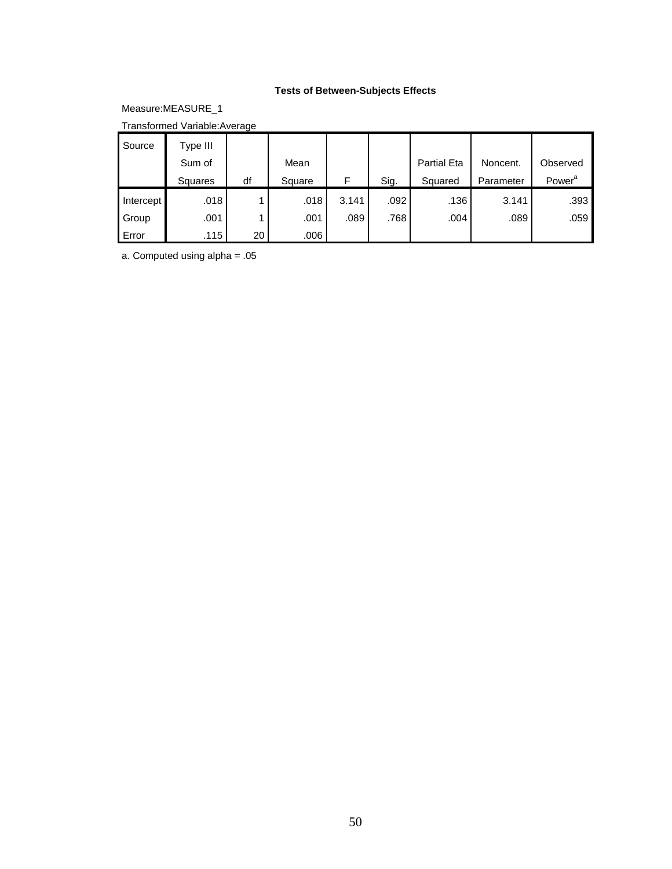# **Tests of Between-Subjects Effects**

Measure:MEASURE\_1

Transformed Variable:Average

| Source    | Type III          |    |        |       |      |                    |           |                    |
|-----------|-------------------|----|--------|-------|------|--------------------|-----------|--------------------|
|           | Sum of            |    | Mean   |       |      | <b>Partial Eta</b> | Noncent.  | Observed           |
|           | Squares           | df | Square | F     | Sig. | Squared            | Parameter | Power <sup>a</sup> |
| Intercept | .018              |    | .018   | 3.141 | .092 | .136               | 3.141     | .393               |
| Group     | .001              |    | .001   | .089  | .768 | .004               | .089      | .059               |
| Error     | .115 <sup>1</sup> | 20 | .006   |       |      |                    |           |                    |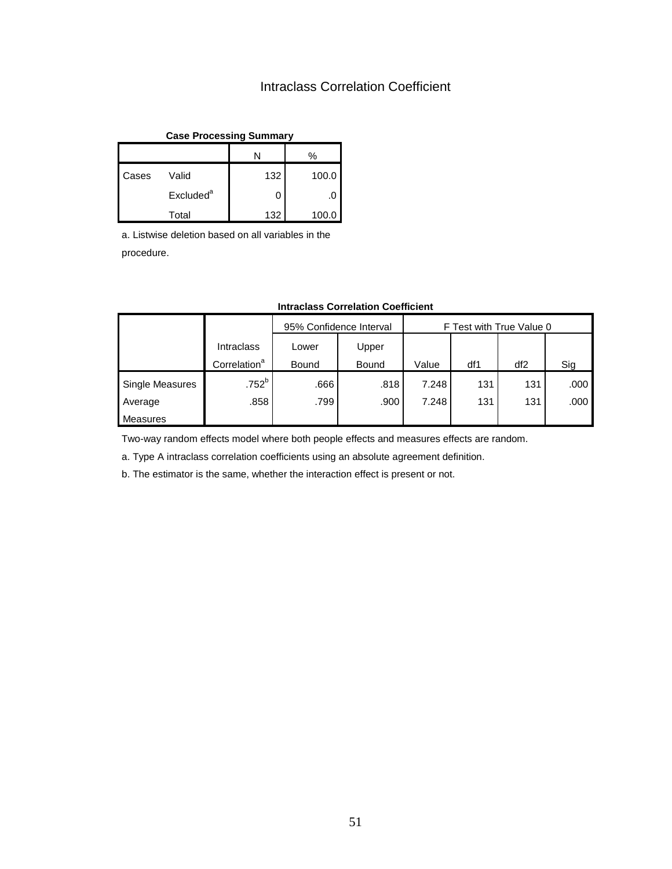# Intraclass Correlation Coefficient

| <b>Case Processing Summary</b> |                       |     |       |  |  |  |
|--------------------------------|-----------------------|-----|-------|--|--|--|
| %<br>N                         |                       |     |       |  |  |  |
| Cases                          | Valid                 | 132 | 100.0 |  |  |  |
|                                | Excluded <sup>a</sup> | 0   |       |  |  |  |
|                                | Total                 | 132 | 100.0 |  |  |  |

a. Listwise deletion based on all variables in the procedure.

|                 |                          | 95% Confidence Interval |       | F Test with True Value 0 |     |                 |      |
|-----------------|--------------------------|-------------------------|-------|--------------------------|-----|-----------------|------|
|                 | <b>Intraclass</b>        | Upper<br>Lower          |       |                          |     |                 |      |
|                 | Correlation <sup>a</sup> | Bound                   | Bound | Value                    | df1 | df <sub>2</sub> | Sig  |
| Single Measures | .752 <sup>b</sup>        | .666                    | .818  | 7.248                    | 131 | 131             | .000 |
| Average         | .858                     | .799                    | .900  | 7.248                    | 131 | 131             | .000 |
| Measures        |                          |                         |       |                          |     |                 |      |

#### **Intraclass Correlation Coefficient**

Two-way random effects model where both people effects and measures effects are random.

a. Type A intraclass correlation coefficients using an absolute agreement definition.

b. The estimator is the same, whether the interaction effect is present or not.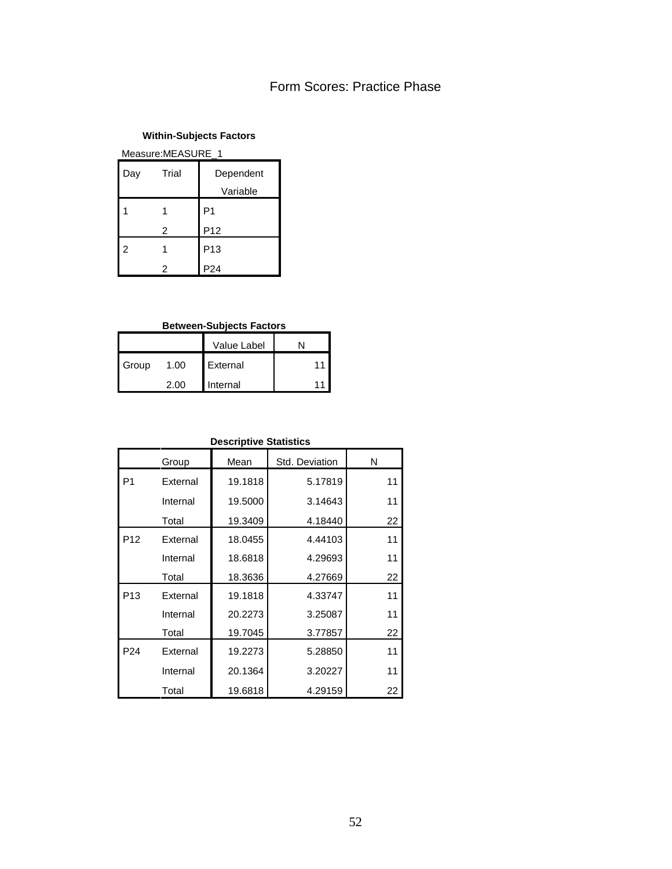# Form Scores: Practice Phase

### **Within-Subjects Factors**

Measure:MEASURE\_1

| Day | Trial | Dependent       |
|-----|-------|-----------------|
|     |       | Variable        |
|     | 1     | P1              |
|     | 2     | P12             |
| 2   | 1     | P13             |
|     | 2     | P <sub>24</sub> |

## **Between-Subjects Factors**

|       |      | Value Label |  |
|-------|------|-------------|--|
| Group | 1.00 | External    |  |
|       | 2 00 | Internal    |  |

# **Descriptive Statistics**

|                 | Group    | Mean    | Std. Deviation | N  |
|-----------------|----------|---------|----------------|----|
| P <sub>1</sub>  | External | 19.1818 | 5.17819        | 11 |
|                 | Internal | 19.5000 | 3.14643        | 11 |
|                 | Total    | 19.3409 | 4.18440        | 22 |
| P <sub>12</sub> | External | 18.0455 | 4.44103        | 11 |
|                 | Internal | 18.6818 | 4.29693        | 11 |
|                 | Total    | 18.3636 | 4.27669        | 22 |
| P <sub>13</sub> | External | 19.1818 | 4.33747        | 11 |
|                 | Internal | 20.2273 | 3.25087        | 11 |
|                 | Total    | 19.7045 | 3.77857        | 22 |
| P <sub>24</sub> | External | 19.2273 | 5.28850        | 11 |
|                 | Internal | 20.1364 | 3.20227        | 11 |
|                 | Total    | 19.6818 | 4.29159        | 22 |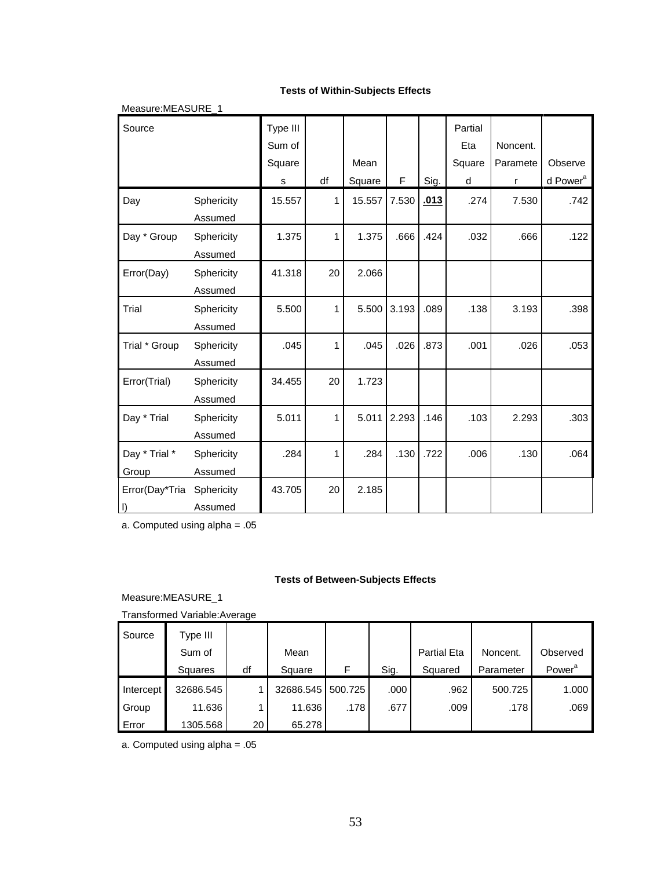#### **Tests of Within-Subjects Effects**

| Measure:MEASURE_1             |                       |                                   |    |                |       |      |                               |                           |                                 |
|-------------------------------|-----------------------|-----------------------------------|----|----------------|-------|------|-------------------------------|---------------------------|---------------------------------|
| Source                        |                       | Type III<br>Sum of<br>Square<br>s | df | Mean<br>Square | F     | Sig. | Partial<br>Eta<br>Square<br>d | Noncent.<br>Paramete<br>r | Observe<br>d Power <sup>a</sup> |
| Day                           | Sphericity<br>Assumed | 15.557                            | 1  | 15.557         | 7.530 | .013 | .274                          | 7.530                     | .742                            |
| Day * Group                   | Sphericity<br>Assumed | 1.375                             | 1  | 1.375          | .666  | .424 | .032                          | .666                      | .122                            |
| Error(Day)                    | Sphericity<br>Assumed | 41.318                            | 20 | 2.066          |       |      |                               |                           |                                 |
| Trial                         | Sphericity<br>Assumed | 5.500                             | 1  | 5.500          | 3.193 | .089 | .138                          | 3.193                     | .398                            |
| Trial * Group                 | Sphericity<br>Assumed | .045                              | 1  | .045           | .026  | .873 | .001                          | .026                      | .053                            |
| Error(Trial)                  | Sphericity<br>Assumed | 34.455                            | 20 | 1.723          |       |      |                               |                           |                                 |
| Day * Trial                   | Sphericity<br>Assumed | 5.011                             | 1  | 5.011          | 2.293 | .146 | .103                          | 2.293                     | .303                            |
| Day * Trial *<br>Group        | Sphericity<br>Assumed | .284                              | 1  | .284           | .130  | .722 | .006                          | .130                      | .064                            |
| Error(Day*Tria<br>$  \cdot  $ | Sphericity<br>Assumed | 43.705                            | 20 | 2.185          |       |      |                               |                           |                                 |

a. Computed using alpha = .05

#### **Tests of Between-Subjects Effects**

Measure:MEASURE\_1

Transformed Variable:Average

| Source    | Type III  |    |           |         |      |                    |           |                    |
|-----------|-----------|----|-----------|---------|------|--------------------|-----------|--------------------|
|           | Sum of    |    | Mean      |         |      | <b>Partial Eta</b> | Noncent.  | Observed           |
|           | Squares   | df | Square    |         | Sig. | Squared            | Parameter | Power <sup>a</sup> |
|           |           |    |           |         |      |                    |           |                    |
| Intercept | 32686.545 |    | 32686.545 | 500.725 | .000 | .962               | 500.725   | 1.000              |
| Group     | 11.636    |    | 11.636    | .178    | .677 | .009               | .178      | .069               |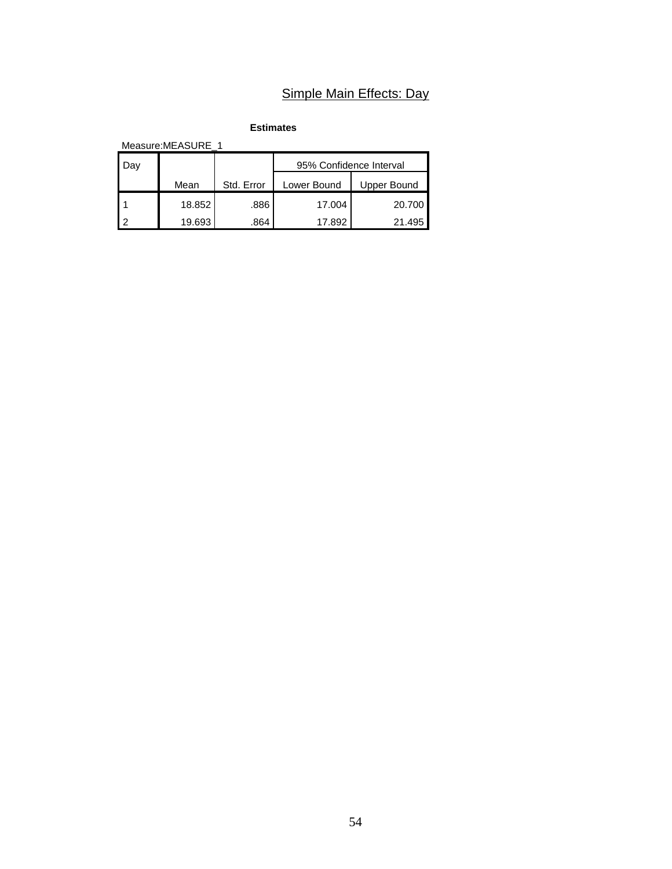# Simple Main Effects: Day

**Estimates**

Measure:MEASURE\_1

| Jaγ |        |            | 95% Confidence Interval |             |  |  |
|-----|--------|------------|-------------------------|-------------|--|--|
|     | Mean   | Std. Error | Lower Bound             | Upper Bound |  |  |
|     | 18.852 | .886       | 17.004                  | 20.700      |  |  |
|     | 19.693 | .864       | 17.892                  | 21.495      |  |  |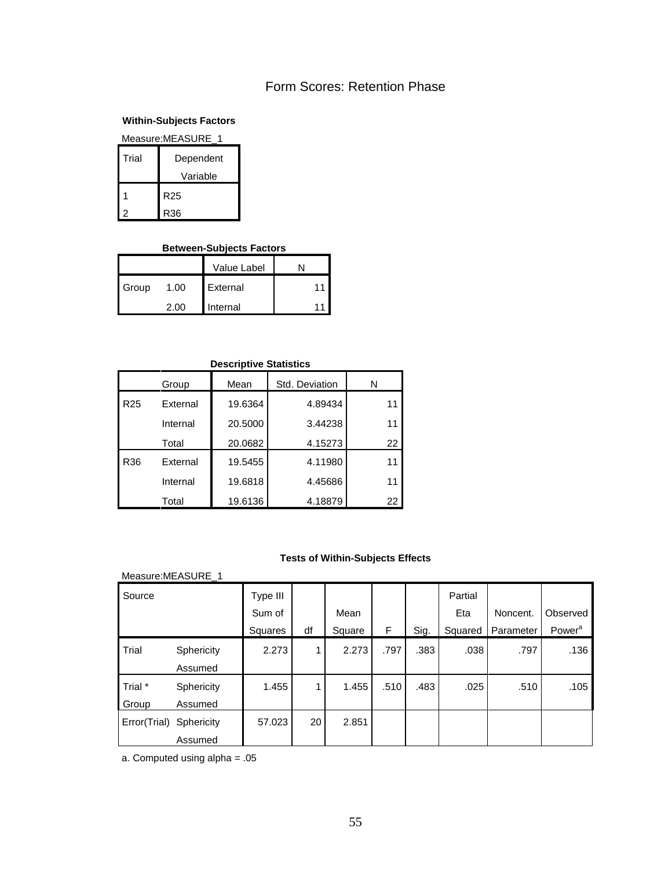# Form Scores: Retention Phase

## **Within-Subjects Factors**

| Measure:MEASURE 1  |                 |  |  |  |  |  |
|--------------------|-----------------|--|--|--|--|--|
| Trial<br>Dependent |                 |  |  |  |  |  |
|                    | Variable        |  |  |  |  |  |
|                    | R <sub>25</sub> |  |  |  |  |  |
|                    | R36             |  |  |  |  |  |

# **Between-Subjects Factors**

|       |      | <b>Value Label</b> |    |
|-------|------|--------------------|----|
| Group | 1.00 | External           | 11 |
|       | 2 UU | Internal           |    |

| <b>Descriptive Statistics</b> |          |         |                |    |  |  |  |  |
|-------------------------------|----------|---------|----------------|----|--|--|--|--|
|                               | Group    | Mean    | Std. Deviation | N  |  |  |  |  |
| R <sub>25</sub>               | External | 19.6364 | 4.89434        | 11 |  |  |  |  |
|                               | Internal | 20.5000 | 3.44238        | 11 |  |  |  |  |
|                               | Total    | 20.0682 | 4.15273        | 22 |  |  |  |  |
| R36                           | External | 19.5455 | 4.11980        | 11 |  |  |  |  |
|                               | Internal | 19.6818 | 4.45686        | 11 |  |  |  |  |
|                               | Total    | 19.6136 | 4.18879        | 22 |  |  |  |  |

# **Tests of Within-Subjects Effects**

| Measure:MEASURE_1 |                   |          |    |        |      |      |         |           |                    |
|-------------------|-------------------|----------|----|--------|------|------|---------|-----------|--------------------|
| Source            |                   | Type III |    |        |      |      | Partial |           |                    |
|                   |                   | Sum of   |    | Mean   |      |      | Eta     | Noncent.  | Observed           |
|                   |                   | Squares  | df | Square | F    | Sig. | Squared | Parameter | Power <sup>a</sup> |
| Trial             | <b>Sphericity</b> | 2.273    | 1  | 2.273  | .797 | .383 | .038    | .797      | .136               |
|                   | Assumed           |          |    |        |      |      |         |           |                    |
| Trial *           | <b>Sphericity</b> | 1.455    | 1  | 1.455  | .510 | .483 | .025    | .510      | .105               |
| Group             | Assumed           |          |    |        |      |      |         |           |                    |
| Error(Trial)      | Sphericity        | 57.023   | 20 | 2.851  |      |      |         |           |                    |
|                   | Assumed           |          |    |        |      |      |         |           |                    |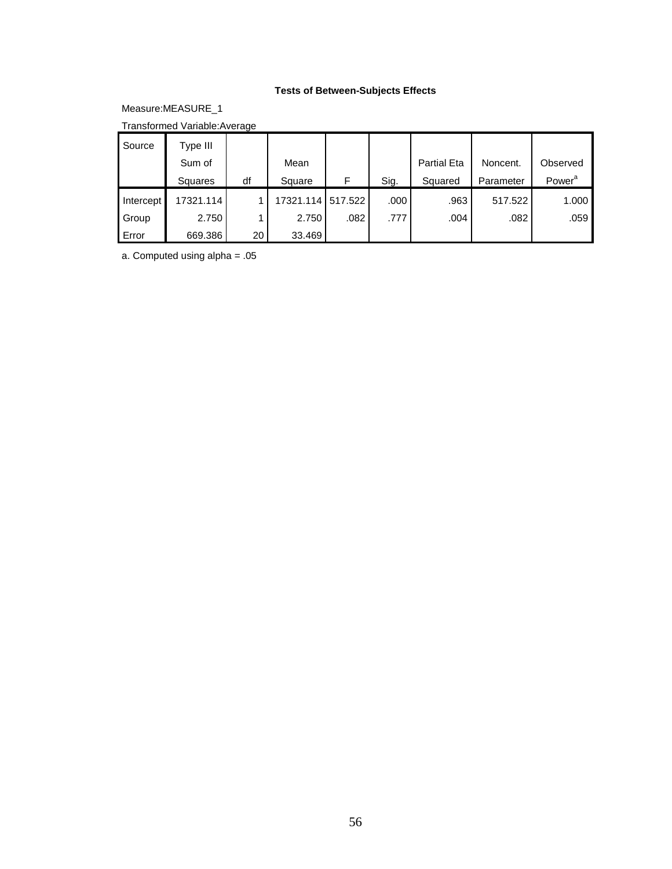# **Tests of Between-Subjects Effects**

Measure:MEASURE\_1

Transformed Variable:Average

| Source    | Type III  |    |                   |      |      |                    |           |                    |
|-----------|-----------|----|-------------------|------|------|--------------------|-----------|--------------------|
|           | Sum of    |    | Mean              |      |      | <b>Partial Eta</b> | Noncent.  | Observed           |
|           | Squares   | df | Square            | F    | Sig. | Squared            | Parameter | Power <sup>a</sup> |
| Intercept | 17321.114 |    | 17321.114 517.522 |      | .000 | .963               | 517.522   | 1.000              |
| Group     | 2.750     |    | 2.750             | .082 | .777 | .004               | .082      | .059               |
| Error     | 669.386   | 20 | 33.469            |      |      |                    |           |                    |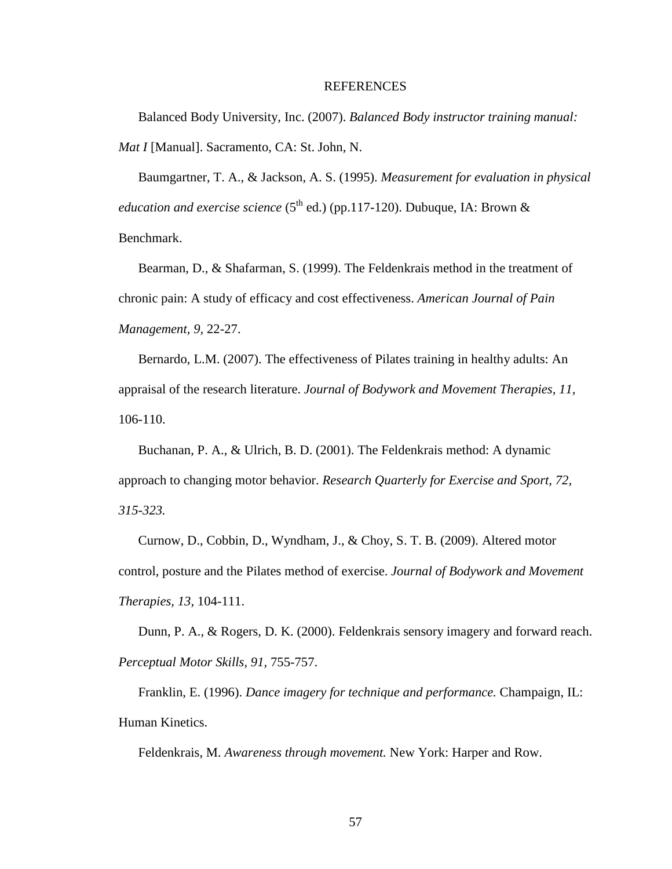#### REFERENCES

Balanced Body University, Inc. (2007). *Balanced Body instructor training manual: Mat I* [Manual]. Sacramento, CA: St. John, N.

Baumgartner, T. A., & Jackson, A. S. (1995). *Measurement for evaluation in physical education and exercise science* ( $5<sup>th</sup>$  ed.) (pp.117-120). Dubuque, IA: Brown & Benchmark.

Bearman, D., & Shafarman, S. (1999). The Feldenkrais method in the treatment of chronic pain: A study of efficacy and cost effectiveness. *American Journal of Pain Management, 9,* 22-27.

Bernardo, L.M. (2007). The effectiveness of Pilates training in healthy adults: An appraisal of the research literature. *Journal of Bodywork and Movement Therapies, 11,*  106-110.

Buchanan, P. A., & Ulrich, B. D. (2001). The Feldenkrais method: A dynamic approach to changing motor behavior. *Research Quarterly for Exercise and Sport, 72, 315-323.* 

Curnow, D., Cobbin, D., Wyndham, J., & Choy, S. T. B. (2009). Altered motor control, posture and the Pilates method of exercise. *Journal of Bodywork and Movement Therapies, 13,* 104-111.

Dunn, P. A., & Rogers, D. K. (2000). Feldenkrais sensory imagery and forward reach. *Perceptual Motor Skills, 91,* 755-757.

Franklin, E. (1996). *Dance imagery for technique and performance.* Champaign, IL: Human Kinetics.

Feldenkrais, M. *Awareness through movement.* New York: Harper and Row.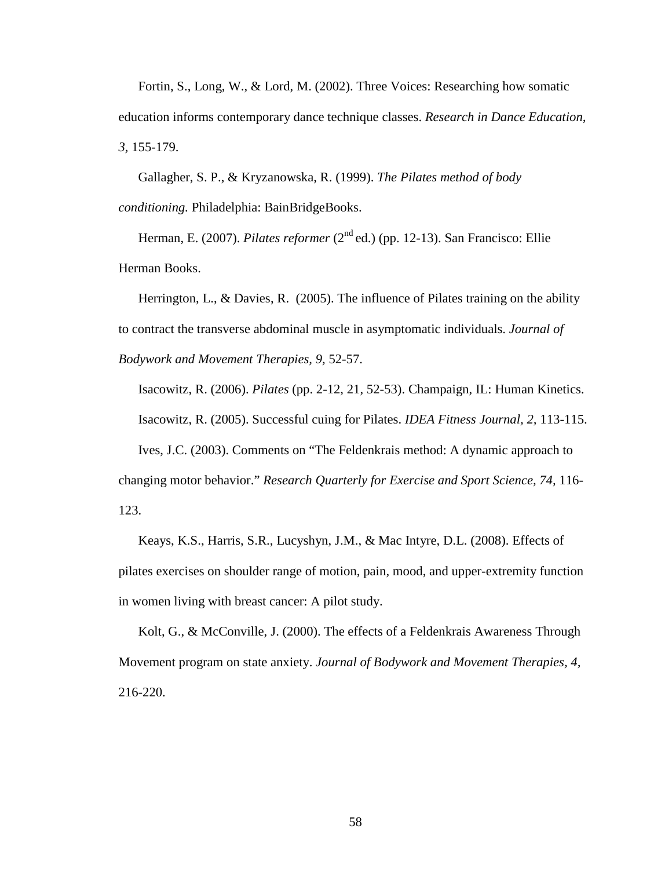Fortin, S., Long, W., & Lord, M. (2002). Three Voices: Researching how somatic education informs contemporary dance technique classes. *Research in Dance Education, 3,* 155-179.

Gallagher, S. P., & Kryzanowska, R. (1999). *The Pilates method of body conditioning.* Philadelphia: BainBridgeBooks.

Herman, E. (2007). *Pilates reformer* (2<sup>nd</sup> ed.) (pp. 12-13). San Francisco: Ellie Herman Books.

Herrington, L., & Davies, R. (2005). The influence of Pilates training on the ability to contract the transverse abdominal muscle in asymptomatic individuals. *Journal of Bodywork and Movement Therapies, 9,* 52-57.

Isacowitz, R. (2006). *Pilates* (pp. 2-12, 21, 52-53). Champaign, IL: Human Kinetics.

Isacowitz, R. (2005). Successful cuing for Pilates. *IDEA Fitness Journal, 2,* 113-115.

Ives, J.C. (2003). Comments on "The Feldenkrais method: A dynamic approach to changing motor behavior." *Research Quarterly for Exercise and Sport Science, 74,* 116- 123.

Keays, K.S., Harris, S.R., Lucyshyn, J.M., & Mac Intyre, D.L. (2008). Effects of pilates exercises on shoulder range of motion, pain, mood, and upper-extremity function in women living with breast cancer: A pilot study.

Kolt, G., & McConville, J. (2000). The effects of a Feldenkrais Awareness Through Movement program on state anxiety. *Journal of Bodywork and Movement Therapies, 4,*  216-220.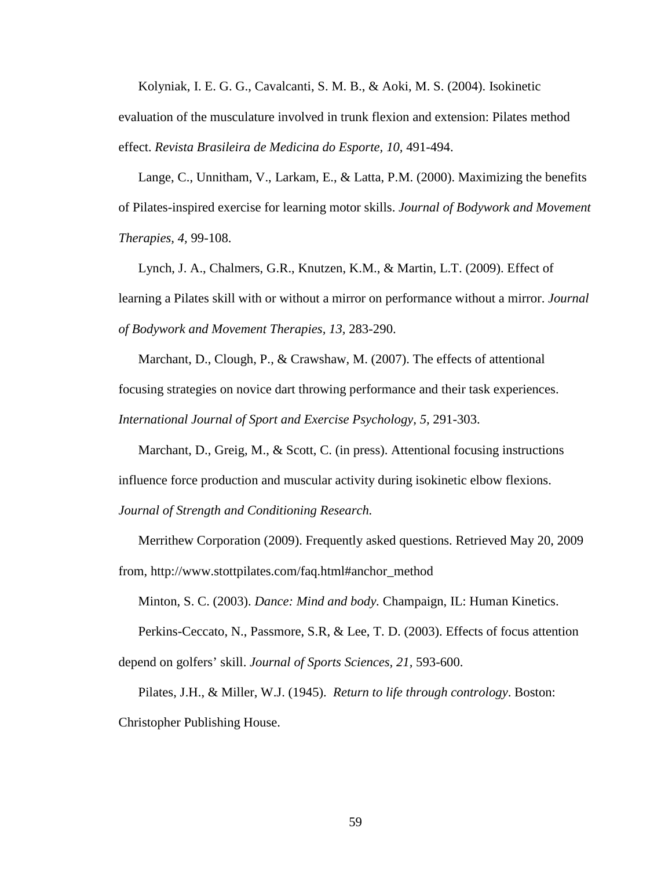Kolyniak, I. E. G. G., Cavalcanti, S. M. B., & Aoki, M. S. (2004). Isokinetic

evaluation of the musculature involved in trunk flexion and extension: Pilates method effect. *Revista Brasileira de Medicina do Esporte, 10,* 491-494.

Lange, C., Unnitham, V., Larkam, E., & Latta, P.M. (2000). Maximizing the benefits of Pilates-inspired exercise for learning motor skills. *Journal of Bodywork and Movement Therapies, 4,* 99-108.

Lynch, J. A., Chalmers, G.R., Knutzen, K.M., & Martin, L.T. (2009). Effect of learning a Pilates skill with or without a mirror on performance without a mirror. *Journal of Bodywork and Movement Therapies, 13,* 283-290.

Marchant, D., Clough, P., & Crawshaw, M. (2007). The effects of attentional focusing strategies on novice dart throwing performance and their task experiences. *International Journal of Sport and Exercise Psychology, 5,* 291-303.

Marchant, D., Greig, M., & Scott, C. (in press). Attentional focusing instructions influence force production and muscular activity during isokinetic elbow flexions. *Journal of Strength and Conditioning Research.* 

Merrithew Corporation (2009). Frequently asked questions. Retrieved May 20, 2009 from, http://www.stottpilates.com/faq.html#anchor\_method

Minton, S. C. (2003). *Dance: Mind and body.* Champaign, IL: Human Kinetics.

Perkins-Ceccato, N., Passmore, S.R, & Lee, T. D. (2003). Effects of focus attention depend on golfers' skill. *Journal of Sports Sciences, 21,* 593-600.

Pilates, J.H., & Miller, W.J. (1945). *Return to life through contrology*. Boston: Christopher Publishing House.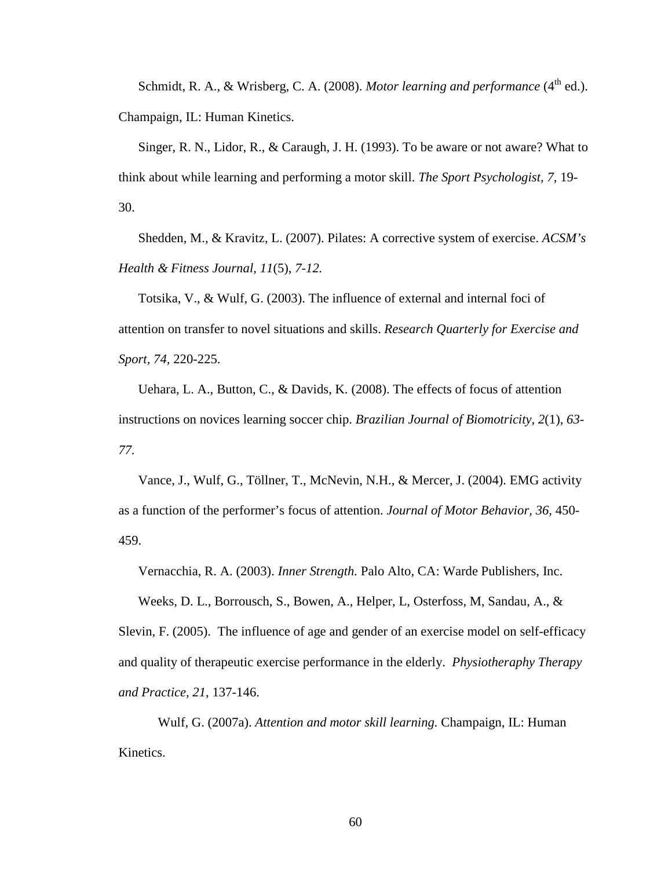Schmidt, R. A., & Wrisberg, C. A. (2008). *Motor learning and performance* (4<sup>th</sup> ed.). Champaign, IL: Human Kinetics.

Singer, R. N., Lidor, R., & Caraugh, J. H. (1993). To be aware or not aware? What to think about while learning and performing a motor skill. *The Sport Psychologist, 7,* 19- 30.

Shedden, M., & Kravitz, L. (2007). Pilates: A corrective system of exercise. *ACSM's Health & Fitness Journal, 11*(5), *7-12.* 

Totsika, V., & Wulf, G. (2003). The influence of external and internal foci of attention on transfer to novel situations and skills. *Research Quarterly for Exercise and Sport, 74,* 220-225.

Uehara, L. A., Button, C., & Davids, K. (2008). The effects of focus of attention instructions on novices learning soccer chip. *Brazilian Journal of Biomotricity, 2*(1), *63- 77.* 

Vance, J., Wulf, G., Töllner, T., McNevin, N.H., & Mercer, J. (2004). EMG activity as a function of the performer's focus of attention. *Journal of Motor Behavior, 36,* 450- 459.

Vernacchia, R. A. (2003). *Inner Strength.* Palo Alto, CA: Warde Publishers, Inc.

Weeks, D. L., Borrousch, S., Bowen, A., Helper, L, Osterfoss, M, Sandau, A., & Slevin, F. (2005). The influence of age and gender of an exercise model on self-efficacy and quality of therapeutic exercise performance in the elderly. *Physiotheraphy Therapy and Practice, 21*, 137-146.

 Wulf, G. (2007a). *Attention and motor skill learning.* Champaign, IL: Human Kinetics.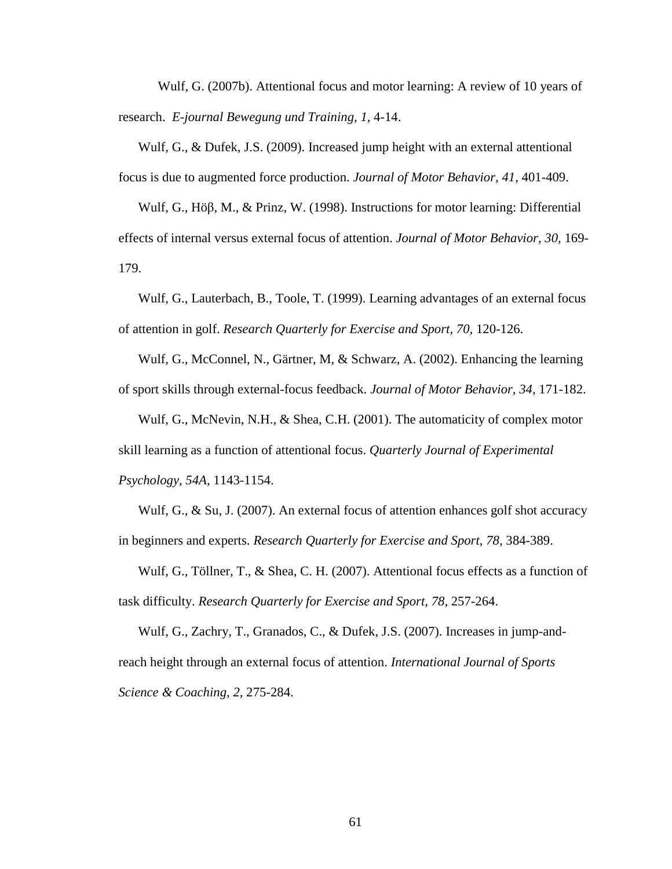Wulf, G. (2007b). Attentional focus and motor learning: A review of 10 years of research. *E-journal Bewegung und Training, 1,* 4-14.

Wulf, G., & Dufek, J.S. (2009). Increased jump height with an external attentional focus is due to augmented force production. *Journal of Motor Behavior, 41,* 401-409.

Wulf, G., Höβ, M., & Prinz, W. (1998). Instructions for motor learning: Differential effects of internal versus external focus of attention. *Journal of Motor Behavior, 30,* 169- 179.

Wulf, G., Lauterbach, B., Toole, T. (1999). Learning advantages of an external focus of attention in golf. *Research Quarterly for Exercise and Sport, 70,* 120-126.

Wulf, G., McConnel, N., Gärtner, M, & Schwarz, A. (2002). Enhancing the learning of sport skills through external-focus feedback. *Journal of Motor Behavior, 34,* 171-182.

Wulf, G., McNevin, N.H., & Shea, C.H. (2001). The automaticity of complex motor skill learning as a function of attentional focus. *Quarterly Journal of Experimental Psychology, 54A,* 1143-1154.

Wulf, G., & Su, J. (2007). An external focus of attention enhances golf shot accuracy in beginners and experts. *Research Quarterly for Exercise and Sport, 78,* 384-389.

Wulf, G., Töllner, T., & Shea, C. H. (2007). Attentional focus effects as a function of task difficulty. *Research Quarterly for Exercise and Sport, 78,* 257-264.

Wulf, G., Zachry, T., Granados, C., & Dufek, J.S. (2007). Increases in jump-andreach height through an external focus of attention. *International Journal of Sports Science & Coaching, 2,* 275-284.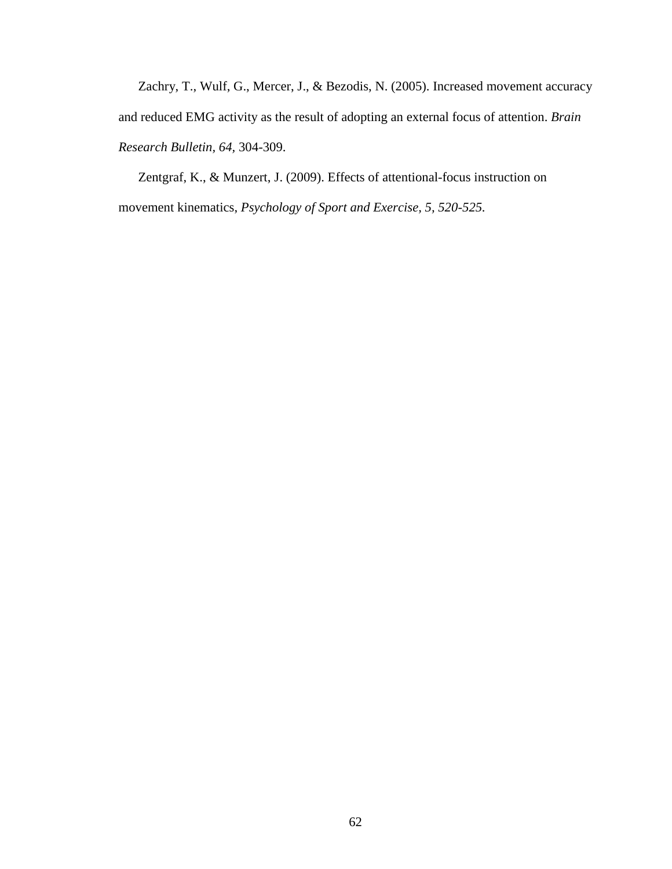Zachry, T., Wulf, G., Mercer, J., & Bezodis, N. (2005). Increased movement accuracy and reduced EMG activity as the result of adopting an external focus of attention. *Brain Research Bulletin, 64,* 304-309.

Zentgraf, K., & Munzert, J. (2009). Effects of attentional-focus instruction on movement kinematics, *Psychology of Sport and Exercise, 5, 520-525.*